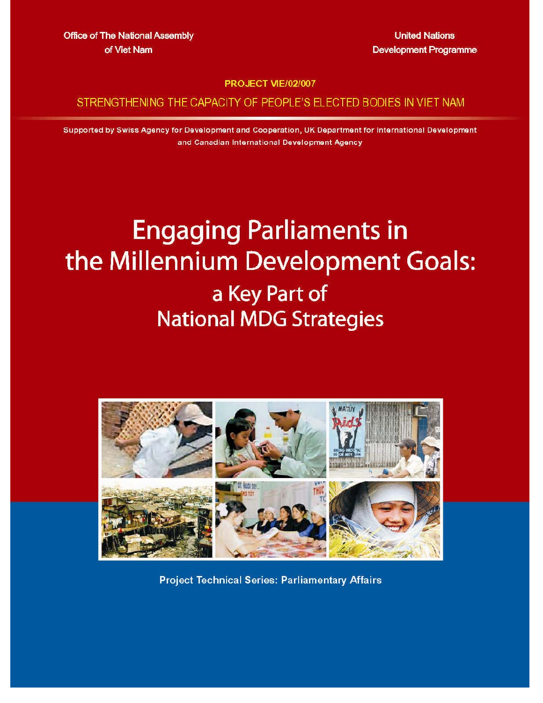## PROJECT VIE/02/007

## STRENGTHENING THE CAPACITY OF PEOPLE'S ELECTED BODIES IN VIET NAM

Supported by Swiss Agency for Development and Cooperation, UK Department for International Development and Canadian International Development Agency

# **Engaging Parliaments in** the Millennium Development Goals: a Key Part of **National MDG Strategies**



**Project Technical Series: Parliamentary Affairs**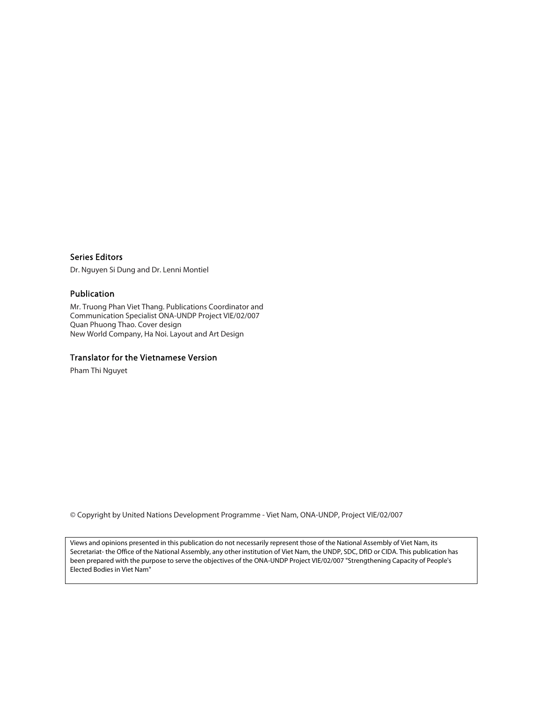#### Series Editors

Dr. Nguyen Si Dung and Dr. Lenni Montiel

#### Publication

Mr. Truong Phan Viet Thang. Publications Coordinator and Communication Specialist ONA-UNDP Project VIE/02/007 Quan Phuong Thao. Cover design New World Company, Ha Noi. Layout and Art Design

#### Translator for the Vietnamese Version

Pham Thi Nguyet

© Copyright by United Nations Development Programme - Viet Nam, ONA-UNDP, Project VIE/02/007

Views and opinions presented in this publication do not necessarily represent those of the National Assembly of Viet Nam, its Secretariat- the Office of the National Assembly, any other institution of Viet Nam, the UNDP, SDC, DfID or CIDA. This publication has been prepared with the purpose to serve the objectives of the ONA-UNDP Project VIE/02/007 "Strengthening Capacity of People's Elected Bodies in Viet Nam"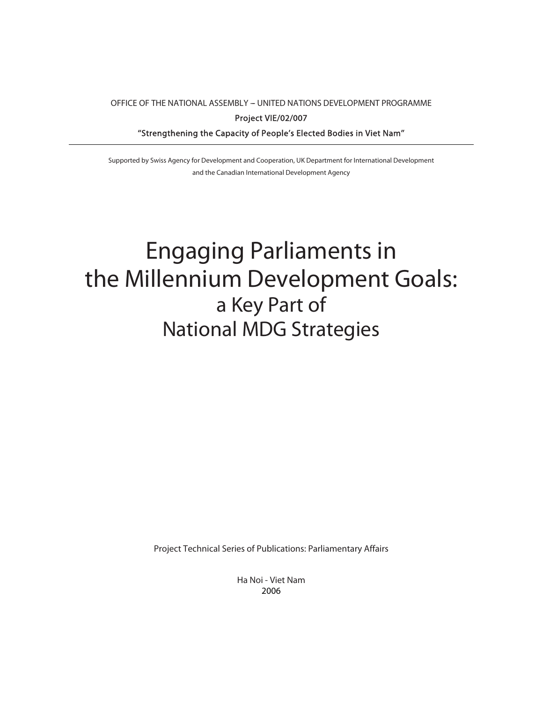OFFICE OF THE NATIONAL ASSEMBLY - UNITED NATIONS DEVELOPMENT PROGRAMME Project VIE/02/007 ''Strengthening the Capacity of People's Elected Bodies in Viet Nam''

Supported by Swiss Agency for Development and Cooperation, UK Department for International Development and the Canadian International Development Agency

# Engaging Parliaments in the Millennium Development Goals: a Key Part of National MDG Strategies

Project Technical Series of Publications: Parliamentary Affairs

Ha Noi - Viet Nam 2006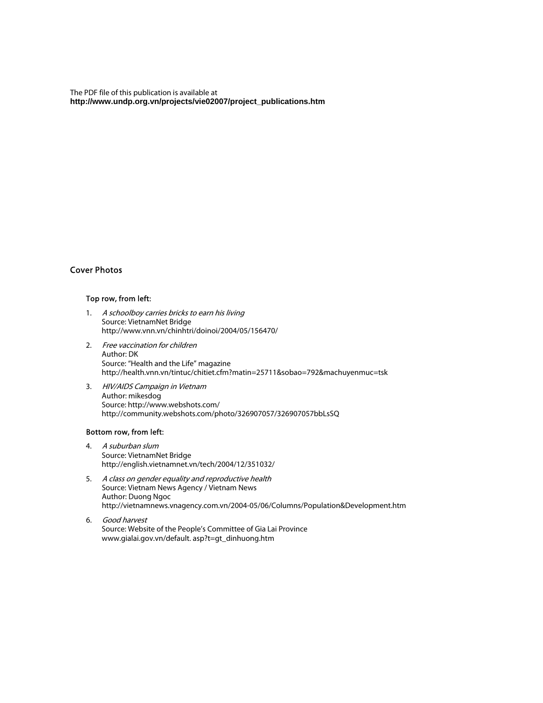The PDF file of this publication is available at **http://www.undp.org.vn/projects/vie02007/project\_publications.htm** 

#### Cover Photos

#### Top row, from left:

- 1. A schoolboy carries bricks to earn his living Source: VietnamNet Bridge http://www.vnn.vn/chinhtri/doinoi/2004/05/156470/
- 2. Free vaccination for children Author: DK Source: "Health and the Life" magazine http://health.vnn.vn/tintuc/chitiet.cfm?matin=25711&sobao=792&machuyenmuc=tsk
- 3. HIV/AIDS Campaign in Vietnam Author: mikesdog Source: http://www.webshots.com/ http://community.webshots.com/photo/326907057/326907057bbLsSQ

#### Bottom row, from left:

- 4. A suburban slum Source: VietnamNet Bridge http://english.vietnamnet.vn/tech/2004/12/351032/
- 5. A class on gender equality and reproductive health Source: Vietnam News Agency / Vietnam News Author: Duong Ngoc http://vietnamnews.vnagency.com.vn/2004-05/06/Columns/Population&Development.htm
- 6. Good harvest Source: Website of the People's Committee of Gia Lai Province www.gialai.gov.vn/default. asp?t=gt\_dinhuong.htm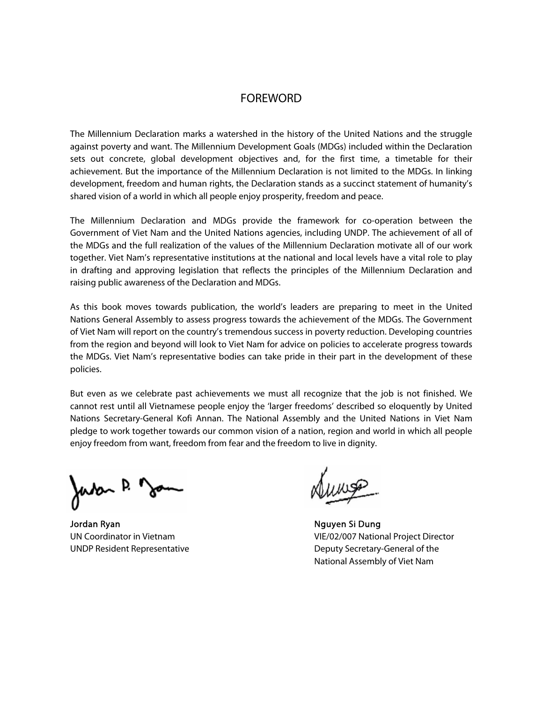## FOREWORD

The Millennium Declaration marks a watershed in the history of the United Nations and the struggle against poverty and want. The Millennium Development Goals (MDGs) included within the Declaration sets out concrete, global development objectives and, for the first time, a timetable for their achievement. But the importance of the Millennium Declaration is not limited to the MDGs. In linking development, freedom and human rights, the Declaration stands as a succinct statement of humanity's shared vision of a world in which all people enjoy prosperity, freedom and peace.

The Millennium Declaration and MDGs provide the framework for co-operation between the Government of Viet Nam and the United Nations agencies, including UNDP. The achievement of all of the MDGs and the full realization of the values of the Millennium Declaration motivate all of our work together. Viet Nam's representative institutions at the national and local levels have a vital role to play in drafting and approving legislation that reflects the principles of the Millennium Declaration and raising public awareness of the Declaration and MDGs.

As this book moves towards publication, the world's leaders are preparing to meet in the United Nations General Assembly to assess progress towards the achievement of the MDGs. The Government of Viet Nam will report on the country's tremendous success in poverty reduction. Developing countries from the region and beyond will look to Viet Nam for advice on policies to accelerate progress towards the MDGs. Viet Nam's representative bodies can take pride in their part in the development of these policies.

But even as we celebrate past achievements we must all recognize that the job is not finished. We cannot rest until all Vietnamese people enjoy the 'larger freedoms' described so eloquently by United Nations Secretary-General Kofi Annan. The National Assembly and the United Nations in Viet Nam pledge to work together towards our common vision of a nation, region and world in which all people enjoy freedom from want, freedom from fear and the freedom to live in dignity.

Jukan P. Jan

Jordan Ryan UN Coordinator in Vietnam UNDP Resident Representative

Nguyen Si Dung VIE/02/007 National Project Director Deputy Secretary-General of the National Assembly of Viet Nam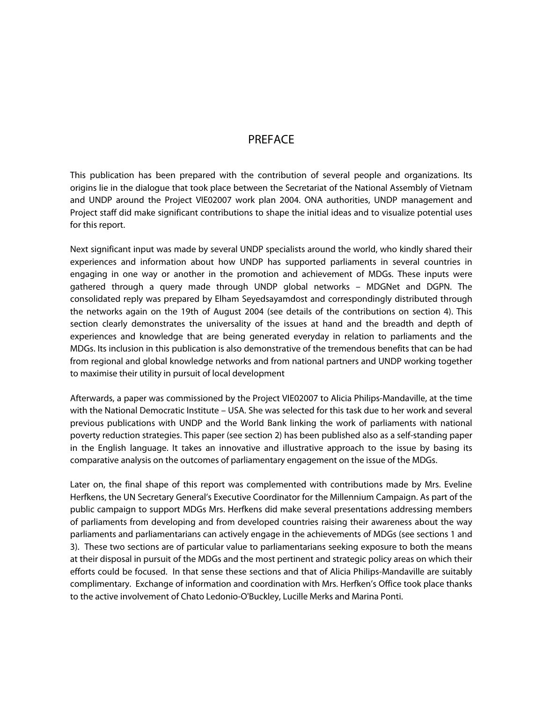## PREFACE

This publication has been prepared with the contribution of several people and organizations. Its origins lie in the dialogue that took place between the Secretariat of the National Assembly of Vietnam and UNDP around the Project VIE02007 work plan 2004. ONA authorities, UNDP management and Project staff did make significant contributions to shape the initial ideas and to visualize potential uses for this report.

Next significant input was made by several UNDP specialists around the world, who kindly shared their experiences and information about how UNDP has supported parliaments in several countries in engaging in one way or another in the promotion and achievement of MDGs. These inputs were gathered through a query made through UNDP global networks – MDGNet and DGPN. The consolidated reply was prepared by Elham Seyedsayamdost and correspondingly distributed through the networks again on the 19th of August 2004 (see details of the contributions on section 4). This section clearly demonstrates the universality of the issues at hand and the breadth and depth of experiences and knowledge that are being generated everyday in relation to parliaments and the MDGs. Its inclusion in this publication is also demonstrative of the tremendous benefits that can be had from regional and global knowledge networks and from national partners and UNDP working together to maximise their utility in pursuit of local development

Afterwards, a paper was commissioned by the Project VIE02007 to Alicia Philips-Mandaville, at the time with the National Democratic Institute – USA. She was selected for this task due to her work and several previous publications with UNDP and the World Bank linking the work of parliaments with national poverty reduction strategies. This paper (see section 2) has been published also as a self-standing paper in the English language. It takes an innovative and illustrative approach to the issue by basing its comparative analysis on the outcomes of parliamentary engagement on the issue of the MDGs.

Later on, the final shape of this report was complemented with contributions made by Mrs. Eveline Herfkens, the UN Secretary General's Executive Coordinator for the Millennium Campaign. As part of the public campaign to support MDGs Mrs. Herfkens did make several presentations addressing members of parliaments from developing and from developed countries raising their awareness about the way parliaments and parliamentarians can actively engage in the achievements of MDGs (see sections 1 and 3). These two sections are of particular value to parliamentarians seeking exposure to both the means at their disposal in pursuit of the MDGs and the most pertinent and strategic policy areas on which their efforts could be focused. In that sense these sections and that of Alicia Philips-Mandaville are suitably complimentary. Exchange of information and coordination with Mrs. Herfken's Office took place thanks to the active involvement of Chato Ledonio-O'Buckley, Lucille Merks and Marina Ponti.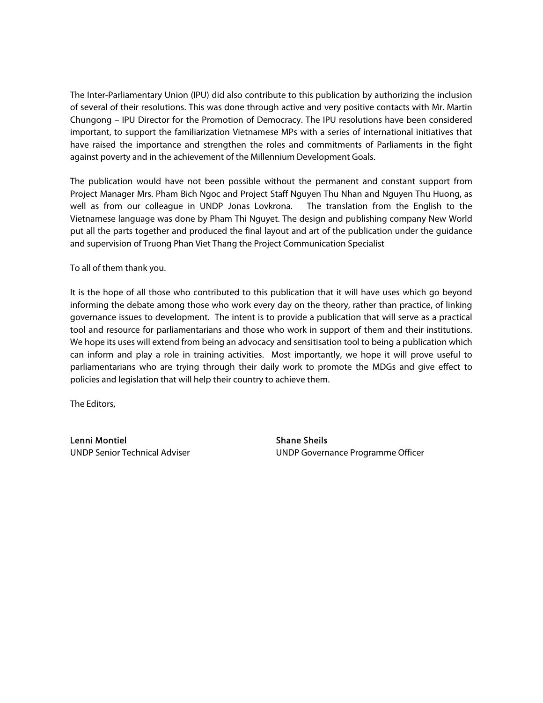The Inter-Parliamentary Union (IPU) did also contribute to this publication by authorizing the inclusion of several of their resolutions. This was done through active and very positive contacts with Mr. Martin Chungong – IPU Director for the Promotion of Democracy. The IPU resolutions have been considered important, to support the familiarization Vietnamese MPs with a series of international initiatives that have raised the importance and strengthen the roles and commitments of Parliaments in the fight against poverty and in the achievement of the Millennium Development Goals.

The publication would have not been possible without the permanent and constant support from Project Manager Mrs. Pham Bich Ngoc and Project Staff Nguyen Thu Nhan and Nguyen Thu Huong, as well as from our colleague in UNDP Jonas Lovkrona. The translation from the English to the Vietnamese language was done by Pham Thi Nguyet. The design and publishing company New World put all the parts together and produced the final layout and art of the publication under the guidance and supervision of Truong Phan Viet Thang the Project Communication Specialist

To all of them thank you.

It is the hope of all those who contributed to this publication that it will have uses which go beyond informing the debate among those who work every day on the theory, rather than practice, of linking governance issues to development. The intent is to provide a publication that will serve as a practical tool and resource for parliamentarians and those who work in support of them and their institutions. We hope its uses will extend from being an advocacy and sensitisation tool to being a publication which can inform and play a role in training activities. Most importantly, we hope it will prove useful to parliamentarians who are trying through their daily work to promote the MDGs and give effect to policies and legislation that will help their country to achieve them.

The Editors,

Lenni Montiel UNDP Senior Technical Adviser Shane Sheils UNDP Governance Programme Officer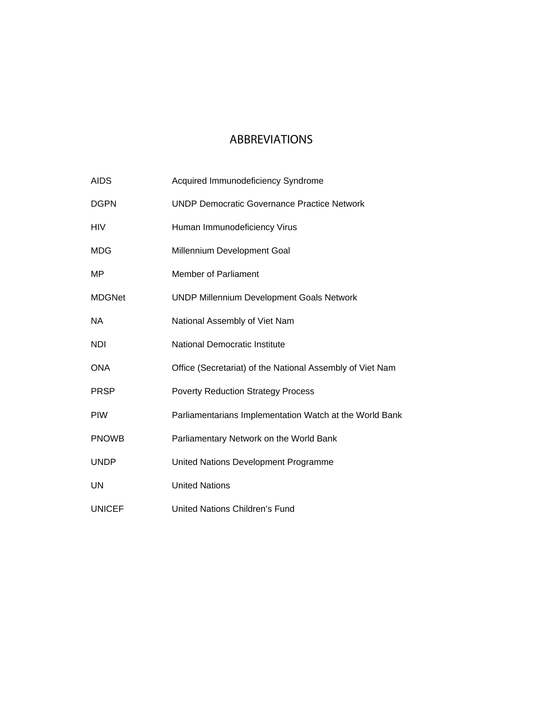## ABBREVIATIONS

| <b>AIDS</b>   | Acquired Immunodeficiency Syndrome                        |
|---------------|-----------------------------------------------------------|
| <b>DGPN</b>   | <b>UNDP Democratic Governance Practice Network</b>        |
| <b>HIV</b>    | Human Immunodeficiency Virus                              |
| <b>MDG</b>    | Millennium Development Goal                               |
| МP            | <b>Member of Parliament</b>                               |
| <b>MDGNet</b> | <b>UNDP Millennium Development Goals Network</b>          |
| NA            | National Assembly of Viet Nam                             |
| <b>NDI</b>    | <b>National Democratic Institute</b>                      |
| <b>ONA</b>    | Office (Secretariat) of the National Assembly of Viet Nam |
| <b>PRSP</b>   | <b>Poverty Reduction Strategy Process</b>                 |
| <b>PIW</b>    | Parliamentarians Implementation Watch at the World Bank   |
| <b>PNOWB</b>  | Parliamentary Network on the World Bank                   |
| <b>UNDP</b>   | United Nations Development Programme                      |
| UN            | <b>United Nations</b>                                     |
| <b>UNICEF</b> | United Nations Children's Fund                            |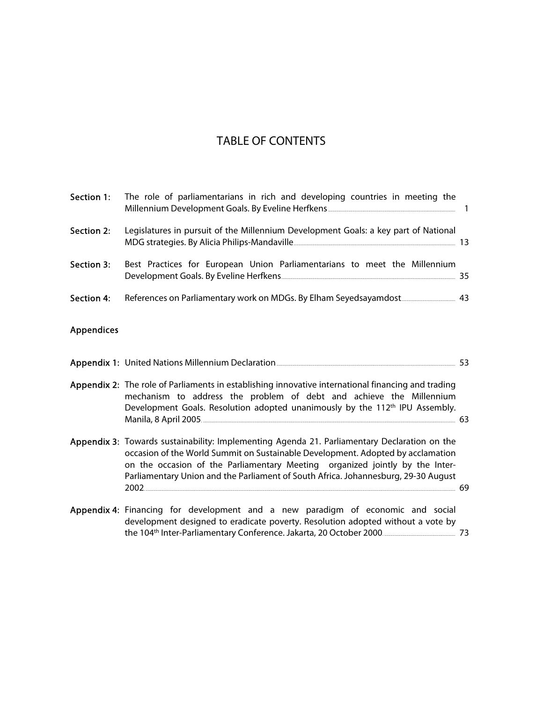## TABLE OF CONTENTS

| Section 1:        | The role of parliamentarians in rich and developing countries in meeting the                                                                                                                                                                                                                                                                                                           |  |
|-------------------|----------------------------------------------------------------------------------------------------------------------------------------------------------------------------------------------------------------------------------------------------------------------------------------------------------------------------------------------------------------------------------------|--|
| Section 2:        | Legislatures in pursuit of the Millennium Development Goals: a key part of National                                                                                                                                                                                                                                                                                                    |  |
| Section 3:        | Best Practices for European Union Parliamentarians to meet the Millennium                                                                                                                                                                                                                                                                                                              |  |
| Section 4:        |                                                                                                                                                                                                                                                                                                                                                                                        |  |
| <b>Appendices</b> |                                                                                                                                                                                                                                                                                                                                                                                        |  |
|                   | Appendix 1: United Nations Millennium Declaration <b>Entity of the Strategier Strategier Strategier</b> 53                                                                                                                                                                                                                                                                             |  |
|                   | Appendix 2: The role of Parliaments in establishing innovative international financing and trading<br>mechanism to address the problem of debt and achieve the Millennium<br>Development Goals. Resolution adopted unanimously by the 112 <sup>th</sup> IPU Assembly.<br>Manila, 8 April 2005. 2005. 2008. 2009. 2010. 2010. 2010. 2010. 2010. 2010. 2010. 2010. 2010. 2010. 2010. 201 |  |
|                   | Appendix 3: Towards sustainability: Implementing Agenda 21. Parliamentary Declaration on the<br>occasion of the World Summit on Sustainable Development. Adopted by acclamation<br>on the occasion of the Parliamentary Meeting organized jointly by the Inter-<br>Parliamentary Union and the Parliament of South Africa. Johannesburg, 29-30 August                                  |  |
|                   | Appendix 4: Financing for development and a new paradigm of economic and social<br>development designed to eradicate poverty. Resolution adopted without a vote by                                                                                                                                                                                                                     |  |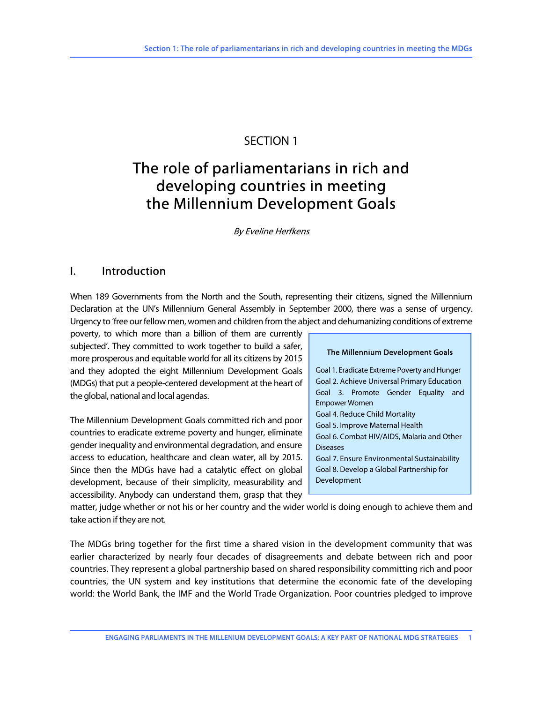## SECTION 1

## The role of parliamentarians in rich and developing countries in meeting the Millennium Development Goals

By Eveline Herfkens

## I. Introduction

When 189 Governments from the North and the South, representing their citizens, signed the Millennium Declaration at the UN's Millennium General Assembly in September 2000, there was a sense of urgency. Urgency to 'free our fellow men, women and children from the abject and dehumanizing conditions of extreme

poverty, to which more than a billion of them are currently subjected'. They committed to work together to build a safer, more prosperous and equitable world for all its citizens by 2015 and they adopted the eight Millennium Development Goals (MDGs) that put a people-centered development at the heart of the global, national and local agendas.

The Millennium Development Goals committed rich and poor countries to eradicate extreme poverty and hunger, eliminate gender inequality and environmental degradation, and ensure access to education, healthcare and clean water, all by 2015. Since then the MDGs have had a catalytic effect on global development, because of their simplicity, measurability and accessibility. Anybody can understand them, grasp that they

#### The Millennium Development Goals

Goal 1. Eradicate Extreme Poverty and Hunger Goal 2. Achieve Universal Primary Education Goal 3. Promote Gender Equality and Empower Women Goal 4. Reduce Child Mortality Goal 5. Improve Maternal Health Goal 6. Combat HIV/AIDS, Malaria and Other Diseases Goal 7. Ensure Environmental Sustainability Goal 8. Develop a Global Partnership for Development

matter, judge whether or not his or her country and the wider world is doing enough to achieve them and take action if they are not.

The MDGs bring together for the first time a shared vision in the development community that was earlier characterized by nearly four decades of disagreements and debate between rich and poor countries. They represent a global partnership based on shared responsibility committing rich and poor countries, the UN system and key institutions that determine the economic fate of the developing world: the World Bank, the IMF and the World Trade Organization. Poor countries pledged to improve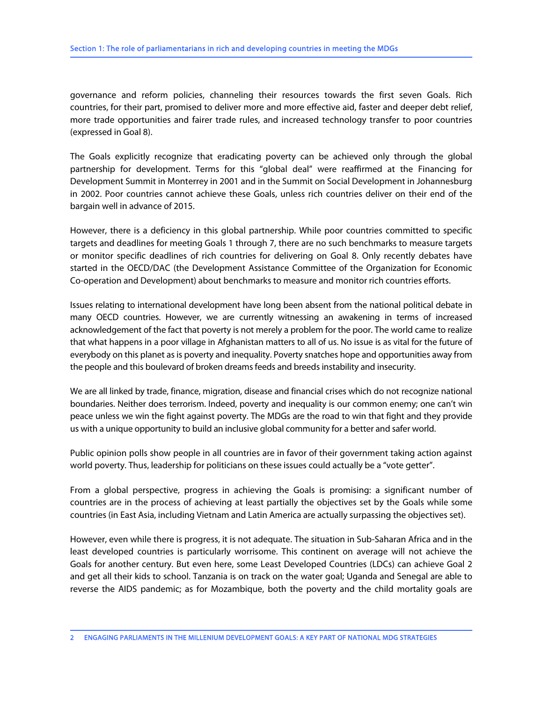governance and reform policies, channeling their resources towards the first seven Goals. Rich countries, for their part, promised to deliver more and more effective aid, faster and deeper debt relief, more trade opportunities and fairer trade rules, and increased technology transfer to poor countries (expressed in Goal 8).

The Goals explicitly recognize that eradicating poverty can be achieved only through the global partnership for development. Terms for this "global deal" were reaffirmed at the Financing for Development Summit in Monterrey in 2001 and in the Summit on Social Development in Johannesburg in 2002. Poor countries cannot achieve these Goals, unless rich countries deliver on their end of the bargain well in advance of 2015.

However, there is a deficiency in this global partnership. While poor countries committed to specific targets and deadlines for meeting Goals 1 through 7, there are no such benchmarks to measure targets or monitor specific deadlines of rich countries for delivering on Goal 8. Only recently debates have started in the OECD/DAC (the Development Assistance Committee of the Organization for Economic Co-operation and Development) about benchmarks to measure and monitor rich countries efforts.

Issues relating to international development have long been absent from the national political debate in many OECD countries. However, we are currently witnessing an awakening in terms of increased acknowledgement of the fact that poverty is not merely a problem for the poor. The world came to realize that what happens in a poor village in Afghanistan matters to all of us. No issue is as vital for the future of everybody on this planet as is poverty and inequality. Poverty snatches hope and opportunities away from the people and this boulevard of broken dreams feeds and breeds instability and insecurity.

We are all linked by trade, finance, migration, disease and financial crises which do not recognize national boundaries. Neither does terrorism. Indeed, poverty and inequality is our common enemy; one can't win peace unless we win the fight against poverty. The MDGs are the road to win that fight and they provide us with a unique opportunity to build an inclusive global community for a better and safer world.

Public opinion polls show people in all countries are in favor of their government taking action against world poverty. Thus, leadership for politicians on these issues could actually be a "vote getter".

From a global perspective, progress in achieving the Goals is promising: a significant number of countries are in the process of achieving at least partially the objectives set by the Goals while some countries (in East Asia, including Vietnam and Latin America are actually surpassing the objectives set).

However, even while there is progress, it is not adequate. The situation in Sub-Saharan Africa and in the least developed countries is particularly worrisome. This continent on average will not achieve the Goals for another century. But even here, some Least Developed Countries (LDCs) can achieve Goal 2 and get all their kids to school. Tanzania is on track on the water goal; Uganda and Senegal are able to reverse the AIDS pandemic; as for Mozambique, both the poverty and the child mortality goals are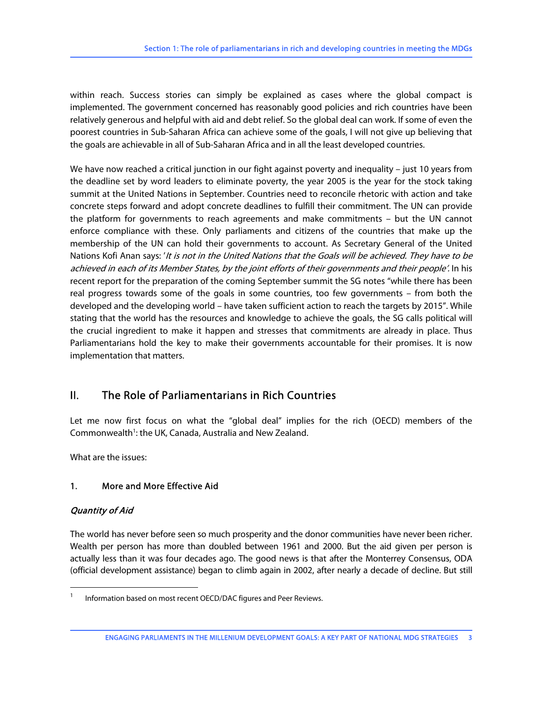within reach. Success stories can simply be explained as cases where the global compact is implemented. The government concerned has reasonably good policies and rich countries have been relatively generous and helpful with aid and debt relief. So the global deal can work. If some of even the poorest countries in Sub-Saharan Africa can achieve some of the goals, I will not give up believing that the goals are achievable in all of Sub-Saharan Africa and in all the least developed countries.

We have now reached a critical junction in our fight against poverty and inequality – just 10 years from the deadline set by word leaders to eliminate poverty, the year 2005 is the year for the stock taking summit at the United Nations in September. Countries need to reconcile rhetoric with action and take concrete steps forward and adopt concrete deadlines to fulfill their commitment. The UN can provide the platform for governments to reach agreements and make commitments – but the UN cannot enforce compliance with these. Only parliaments and citizens of the countries that make up the membership of the UN can hold their governments to account. As Secretary General of the United Nations Kofi Anan says: 'It is not in the United Nations that the Goals will be achieved. They have to be achieved in each of its Member States, by the joint efforts of their governments and their people'. In his recent report for the preparation of the coming September summit the SG notes "while there has been real progress towards some of the goals in some countries, too few governments – from both the developed and the developing world – have taken sufficient action to reach the targets by 2015". While stating that the world has the resources and knowledge to achieve the goals, the SG calls political will the crucial ingredient to make it happen and stresses that commitments are already in place. Thus Parliamentarians hold the key to make their governments accountable for their promises. It is now implementation that matters.

## II. The Role of Parliamentarians in Rich Countries

Let me now first focus on what the "global deal" implies for the rich (OECD) members of the Commonwealth<sup>1</sup>: the UK, Canada, Australia and New Zealand.

What are the issues:

## 1. More and More Effective Aid

## Quantity of Aid

 $\overline{a}$ 

The world has never before seen so much prosperity and the donor communities have never been richer. Wealth per person has more than doubled between 1961 and 2000. But the aid given per person is actually less than it was four decades ago. The good news is that after the Monterrey Consensus, ODA (official development assistance) began to climb again in 2002, after nearly a decade of decline. But still

<sup>1</sup> Information based on most recent OECD/DAC figures and Peer Reviews.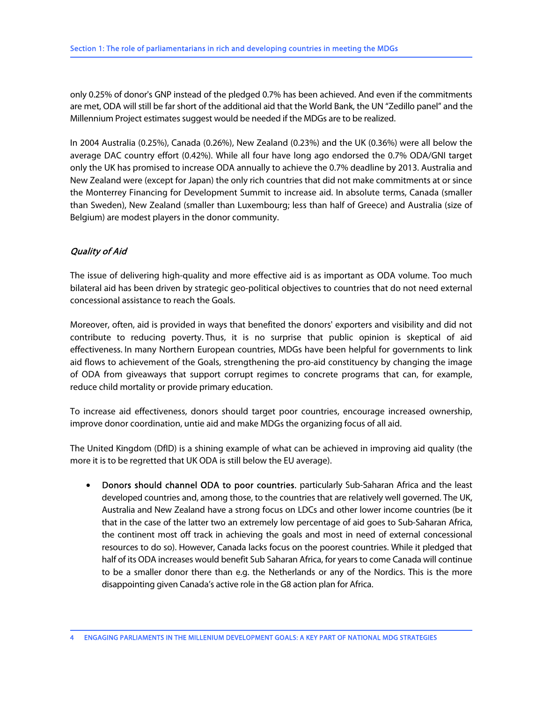only 0.25% of donor's GNP instead of the pledged 0.7% has been achieved. And even if the commitments are met, ODA will still be far short of the additional aid that the World Bank, the UN "Zedillo panel" and the Millennium Project estimates suggest would be needed if the MDGs are to be realized.

In 2004 Australia (0.25%), Canada (0.26%), New Zealand (0.23%) and the UK (0.36%) were all below the average DAC country effort (0.42%). While all four have long ago endorsed the 0.7% ODA/GNI target only the UK has promised to increase ODA annually to achieve the 0.7% deadline by 2013. Australia and New Zealand were (except for Japan) the only rich countries that did not make commitments at or since the Monterrey Financing for Development Summit to increase aid. In absolute terms, Canada (smaller than Sweden), New Zealand (smaller than Luxembourg; less than half of Greece) and Australia (size of Belgium) are modest players in the donor community.

## Quality of Aid

The issue of delivering high-quality and more effective aid is as important as ODA volume. Too much bilateral aid has been driven by strategic geo-political objectives to countries that do not need external concessional assistance to reach the Goals.

Moreover, often, aid is provided in ways that benefited the donors' exporters and visibility and did not contribute to reducing poverty. Thus, it is no surprise that public opinion is skeptical of aid effectiveness. In many Northern European countries, MDGs have been helpful for governments to link aid flows to achievement of the Goals, strengthening the pro-aid constituency by changing the image of ODA from giveaways that support corrupt regimes to concrete programs that can, for example, reduce child mortality or provide primary education.

To increase aid effectiveness, donors should target poor countries, encourage increased ownership, improve donor coordination, untie aid and make MDGs the organizing focus of all aid.

The United Kingdom (DfID) is a shining example of what can be achieved in improving aid quality (the more it is to be regretted that UK ODA is still below the EU average).

• Donors should channel ODA to poor countries. particularly Sub-Saharan Africa and the least developed countries and, among those, to the countries that are relatively well governed. The UK, Australia and New Zealand have a strong focus on LDCs and other lower income countries (be it that in the case of the latter two an extremely low percentage of aid goes to Sub-Saharan Africa, the continent most off track in achieving the goals and most in need of external concessional resources to do so). However, Canada lacks focus on the poorest countries. While it pledged that half of its ODA increases would benefit Sub Saharan Africa, for years to come Canada will continue to be a smaller donor there than e.g. the Netherlands or any of the Nordics. This is the more disappointing given Canada's active role in the G8 action plan for Africa.

4 ENGAGING PARLIAMENTS IN THE MILLENIUM DEVELOPMENT GOALS: A KEY PART OF NATIONAL MDG STRATEGIES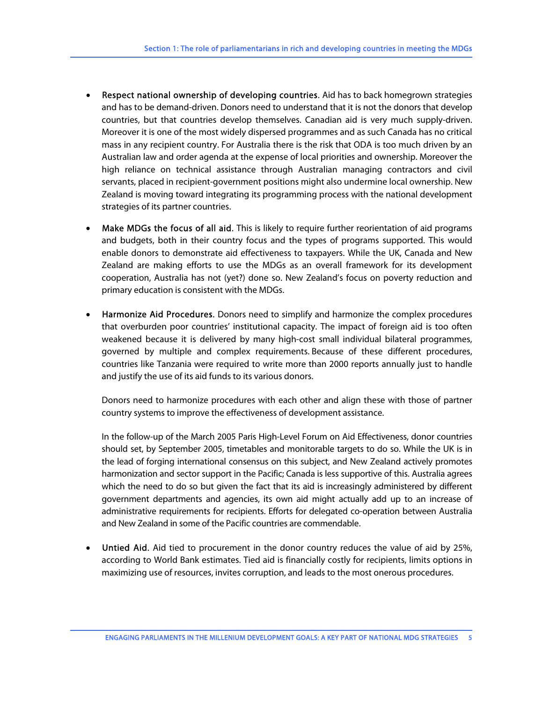- Respect national ownership of developing countries. Aid has to back homegrown strategies and has to be demand-driven. Donors need to understand that it is not the donors that develop countries, but that countries develop themselves. Canadian aid is very much supply-driven. Moreover it is one of the most widely dispersed programmes and as such Canada has no critical mass in any recipient country. For Australia there is the risk that ODA is too much driven by an Australian law and order agenda at the expense of local priorities and ownership. Moreover the high reliance on technical assistance through Australian managing contractors and civil servants, placed in recipient-government positions might also undermine local ownership. New Zealand is moving toward integrating its programming process with the national development strategies of its partner countries.
- Make MDGs the focus of all aid. This is likely to require further reorientation of aid programs and budgets, both in their country focus and the types of programs supported. This would enable donors to demonstrate aid effectiveness to taxpayers. While the UK, Canada and New Zealand are making efforts to use the MDGs as an overall framework for its development cooperation, Australia has not (yet?) done so. New Zealand's focus on poverty reduction and primary education is consistent with the MDGs.
- Harmonize Aid Procedures. Donors need to simplify and harmonize the complex procedures that overburden poor countries' institutional capacity. The impact of foreign aid is too often weakened because it is delivered by many high-cost small individual bilateral programmes, governed by multiple and complex requirements. Because of these different procedures, countries like Tanzania were required to write more than 2000 reports annually just to handle and justify the use of its aid funds to its various donors.

Donors need to harmonize procedures with each other and align these with those of partner country systems to improve the effectiveness of development assistance.

In the follow-up of the March 2005 Paris High-Level Forum on Aid Effectiveness, donor countries should set, by September 2005, timetables and monitorable targets to do so. While the UK is in the lead of forging international consensus on this subject, and New Zealand actively promotes harmonization and sector support in the Pacific; Canada is less supportive of this. Australia agrees which the need to do so but given the fact that its aid is increasingly administered by different government departments and agencies, its own aid might actually add up to an increase of administrative requirements for recipients. Efforts for delegated co-operation between Australia and New Zealand in some of the Pacific countries are commendable.

• Untied Aid. Aid tied to procurement in the donor country reduces the value of aid by 25%, according to World Bank estimates. Tied aid is financially costly for recipients, limits options in maximizing use of resources, invites corruption, and leads to the most onerous procedures.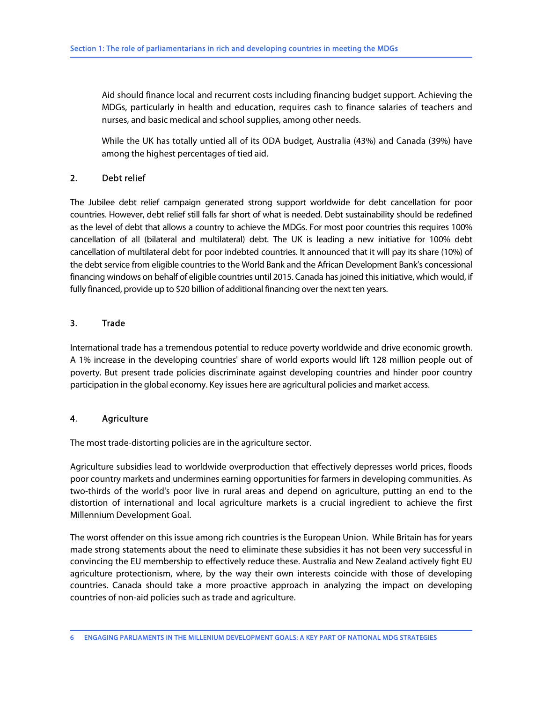Aid should finance local and recurrent costs including financing budget support. Achieving the MDGs, particularly in health and education, requires cash to finance salaries of teachers and nurses, and basic medical and school supplies, among other needs.

While the UK has totally untied all of its ODA budget, Australia (43%) and Canada (39%) have among the highest percentages of tied aid.

## 2. Debt relief

The Jubilee debt relief campaign generated strong support worldwide for debt cancellation for poor countries. However, debt relief still falls far short of what is needed. Debt sustainability should be redefined as the level of debt that allows a country to achieve the MDGs. For most poor countries this requires 100% cancellation of all (bilateral and multilateral) debt. The UK is leading a new initiative for 100% debt cancellation of multilateral debt for poor indebted countries. It announced that it will pay its share (10%) of the debt service from eligible countries to the World Bank and the African Development Bank's concessional financing windows on behalf of eligible countries until 2015. Canada has joined this initiative, which would, if fully financed, provide up to \$20 billion of additional financing over the next ten years.

## 3. Trade

International trade has a tremendous potential to reduce poverty worldwide and drive economic growth. A 1% increase in the developing countries' share of world exports would lift 128 million people out of poverty. But present trade policies discriminate against developing countries and hinder poor country participation in the global economy. Key issues here are agricultural policies and market access.

## 4. Agriculture

The most trade-distorting policies are in the agriculture sector.

Agriculture subsidies lead to worldwide overproduction that effectively depresses world prices, floods poor country markets and undermines earning opportunities for farmers in developing communities. As two-thirds of the world's poor live in rural areas and depend on agriculture, putting an end to the distortion of international and local agriculture markets is a crucial ingredient to achieve the first Millennium Development Goal.

The worst offender on this issue among rich countries is the European Union. While Britain has for years made strong statements about the need to eliminate these subsidies it has not been very successful in convincing the EU membership to effectively reduce these. Australia and New Zealand actively fight EU agriculture protectionism, where, by the way their own interests coincide with those of developing countries. Canada should take a more proactive approach in analyzing the impact on developing countries of non-aid policies such as trade and agriculture.

6 ENGAGING PARLIAMENTS IN THE MILLENIUM DEVELOPMENT GOALS: A KEY PART OF NATIONAL MDG STRATEGIES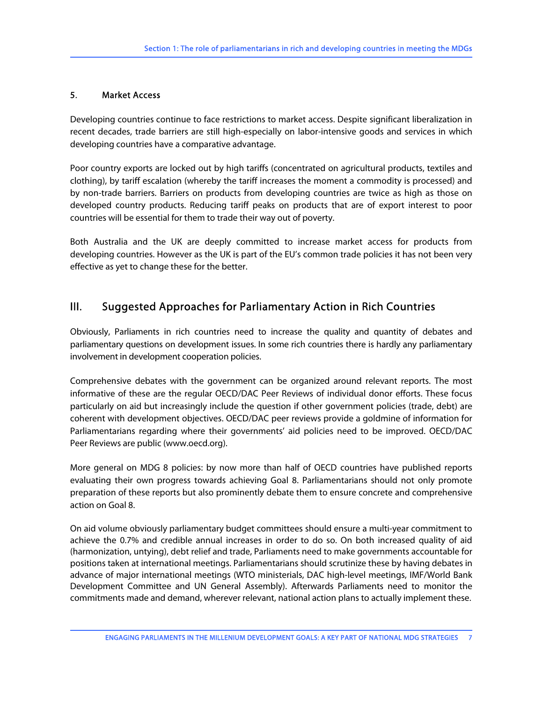## 5. Market Access

Developing countries continue to face restrictions to market access. Despite significant liberalization in recent decades, trade barriers are still high-especially on labor-intensive goods and services in which developing countries have a comparative advantage.

Poor country exports are locked out by high tariffs (concentrated on agricultural products, textiles and clothing), by tariff escalation (whereby the tariff increases the moment a commodity is processed) and by non-trade barriers. Barriers on products from developing countries are twice as high as those on developed country products. Reducing tariff peaks on products that are of export interest to poor countries will be essential for them to trade their way out of poverty.

Both Australia and the UK are deeply committed to increase market access for products from developing countries. However as the UK is part of the EU's common trade policies it has not been very effective as yet to change these for the better.

## III. Suggested Approaches for Parliamentary Action in Rich Countries

Obviously, Parliaments in rich countries need to increase the quality and quantity of debates and parliamentary questions on development issues. In some rich countries there is hardly any parliamentary involvement in development cooperation policies.

Comprehensive debates with the government can be organized around relevant reports. The most informative of these are the regular OECD/DAC Peer Reviews of individual donor efforts. These focus particularly on aid but increasingly include the question if other government policies (trade, debt) are coherent with development objectives. OECD/DAC peer reviews provide a goldmine of information for Parliamentarians regarding where their governments' aid policies need to be improved. OECD/DAC Peer Reviews are public (www.oecd.org).

More general on MDG 8 policies: by now more than half of OECD countries have published reports evaluating their own progress towards achieving Goal 8. Parliamentarians should not only promote preparation of these reports but also prominently debate them to ensure concrete and comprehensive action on Goal 8.

On aid volume obviously parliamentary budget committees should ensure a multi-year commitment to achieve the 0.7% and credible annual increases in order to do so. On both increased quality of aid (harmonization, untying), debt relief and trade, Parliaments need to make governments accountable for positions taken at international meetings. Parliamentarians should scrutinize these by having debates in advance of major international meetings (WTO ministerials, DAC high-level meetings, IMF/World Bank Development Committee and UN General Assembly). Afterwards Parliaments need to monitor the commitments made and demand, wherever relevant, national action plans to actually implement these.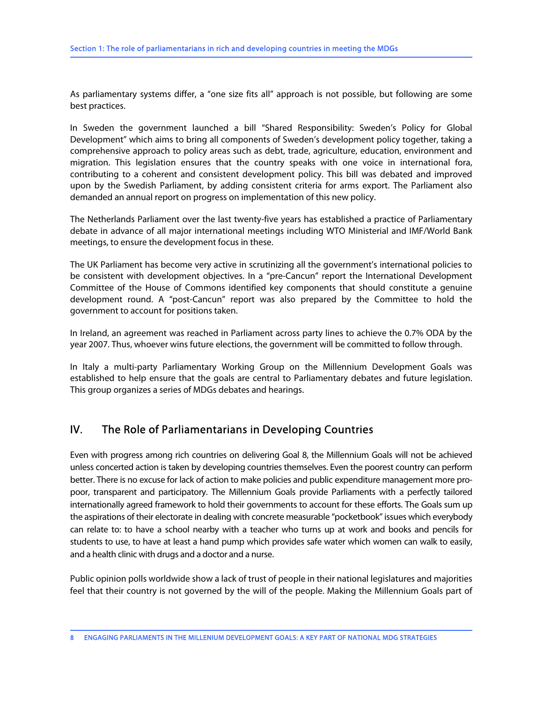As parliamentary systems differ, a "one size fits all" approach is not possible, but following are some best practices.

In Sweden the government launched a bill "Shared Responsibility: Sweden's Policy for Global Development" which aims to bring all components of Sweden's development policy together, taking a comprehensive approach to policy areas such as debt, trade, agriculture, education, environment and migration. This legislation ensures that the country speaks with one voice in international fora, contributing to a coherent and consistent development policy. This bill was debated and improved upon by the Swedish Parliament, by adding consistent criteria for arms export. The Parliament also demanded an annual report on progress on implementation of this new policy.

The Netherlands Parliament over the last twenty-five years has established a practice of Parliamentary debate in advance of all major international meetings including WTO Ministerial and IMF/World Bank meetings, to ensure the development focus in these.

The UK Parliament has become very active in scrutinizing all the government's international policies to be consistent with development objectives. In a "pre-Cancun" report the International Development Committee of the House of Commons identified key components that should constitute a genuine development round. A "post-Cancun" report was also prepared by the Committee to hold the government to account for positions taken.

In Ireland, an agreement was reached in Parliament across party lines to achieve the 0.7% ODA by the year 2007. Thus, whoever wins future elections, the government will be committed to follow through.

In Italy a multi-party Parliamentary Working Group on the Millennium Development Goals was established to help ensure that the goals are central to Parliamentary debates and future legislation. This group organizes a series of MDGs debates and hearings.

## IV. The Role of Parliamentarians in Developing Countries

Even with progress among rich countries on delivering Goal 8, the Millennium Goals will not be achieved unless concerted action is taken by developing countries themselves. Even the poorest country can perform better. There is no excuse for lack of action to make policies and public expenditure management more propoor, transparent and participatory. The Millennium Goals provide Parliaments with a perfectly tailored internationally agreed framework to hold their governments to account for these efforts. The Goals sum up the aspirations of their electorate in dealing with concrete measurable "pocketbook" issues which everybody can relate to: to have a school nearby with a teacher who turns up at work and books and pencils for students to use, to have at least a hand pump which provides safe water which women can walk to easily, and a health clinic with drugs and a doctor and a nurse.

Public opinion polls worldwide show a lack of trust of people in their national legislatures and majorities feel that their country is not governed by the will of the people. Making the Millennium Goals part of

<sup>8</sup> ENGAGING PARLIAMENTS IN THE MILLENIUM DEVELOPMENT GOALS: A KEY PART OF NATIONAL MDG STRATEGIES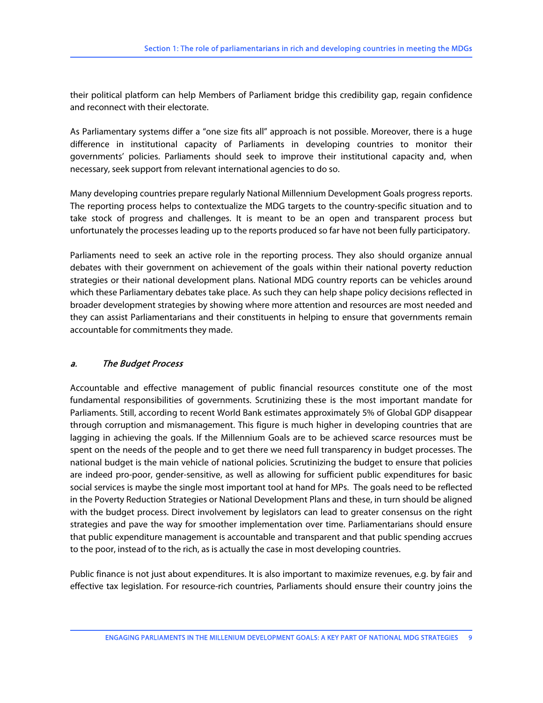their political platform can help Members of Parliament bridge this credibility gap, regain confidence and reconnect with their electorate.

As Parliamentary systems differ a "one size fits all" approach is not possible. Moreover, there is a huge difference in institutional capacity of Parliaments in developing countries to monitor their governments' policies. Parliaments should seek to improve their institutional capacity and, when necessary, seek support from relevant international agencies to do so.

Many developing countries prepare regularly National Millennium Development Goals progress reports. The reporting process helps to contextualize the MDG targets to the country-specific situation and to take stock of progress and challenges. It is meant to be an open and transparent process but unfortunately the processes leading up to the reports produced so far have not been fully participatory.

Parliaments need to seek an active role in the reporting process. They also should organize annual debates with their government on achievement of the goals within their national poverty reduction strategies or their national development plans. National MDG country reports can be vehicles around which these Parliamentary debates take place. As such they can help shape policy decisions reflected in broader development strategies by showing where more attention and resources are most needed and they can assist Parliamentarians and their constituents in helping to ensure that governments remain accountable for commitments they made.

## a. The Budget Process

Accountable and effective management of public financial resources constitute one of the most fundamental responsibilities of governments. Scrutinizing these is the most important mandate for Parliaments. Still, according to recent World Bank estimates approximately 5% of Global GDP disappear through corruption and mismanagement. This figure is much higher in developing countries that are lagging in achieving the goals. If the Millennium Goals are to be achieved scarce resources must be spent on the needs of the people and to get there we need full transparency in budget processes. The national budget is the main vehicle of national policies. Scrutinizing the budget to ensure that policies are indeed pro-poor, gender-sensitive, as well as allowing for sufficient public expenditures for basic social services is maybe the single most important tool at hand for MPs. The goals need to be reflected in the Poverty Reduction Strategies or National Development Plans and these, in turn should be aligned with the budget process. Direct involvement by legislators can lead to greater consensus on the right strategies and pave the way for smoother implementation over time. Parliamentarians should ensure that public expenditure management is accountable and transparent and that public spending accrues to the poor, instead of to the rich, as is actually the case in most developing countries.

Public finance is not just about expenditures. It is also important to maximize revenues, e.g. by fair and effective tax legislation. For resource-rich countries, Parliaments should ensure their country joins the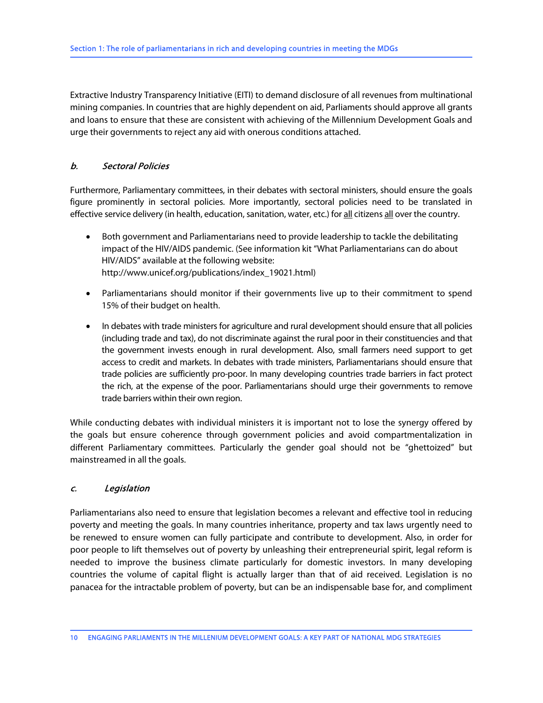Extractive Industry Transparency Initiative (EITI) to demand disclosure of all revenues from multinational mining companies. In countries that are highly dependent on aid, Parliaments should approve all grants and loans to ensure that these are consistent with achieving of the Millennium Development Goals and urge their governments to reject any aid with onerous conditions attached.

## b. Sectoral Policies

Furthermore, Parliamentary committees, in their debates with sectoral ministers, should ensure the goals figure prominently in sectoral policies. More importantly, sectoral policies need to be translated in effective service delivery (in health, education, sanitation, water, etc.) for all citizens all over the country.

- Both government and Parliamentarians need to provide leadership to tackle the debilitating impact of the HIV/AIDS pandemic. (See information kit "What Parliamentarians can do about HIV/AIDS" available at the following website: http://www.unicef.org/publications/index\_19021.html)
- Parliamentarians should monitor if their governments live up to their commitment to spend 15% of their budget on health.
- In debates with trade ministers for agriculture and rural development should ensure that all policies (including trade and tax), do not discriminate against the rural poor in their constituencies and that the government invests enough in rural development. Also, small farmers need support to get access to credit and markets. In debates with trade ministers, Parliamentarians should ensure that trade policies are sufficiently pro-poor. In many developing countries trade barriers in fact protect the rich, at the expense of the poor. Parliamentarians should urge their governments to remove trade barriers within their own region.

While conducting debates with individual ministers it is important not to lose the synergy offered by the goals but ensure coherence through government policies and avoid compartmentalization in different Parliamentary committees. Particularly the gender goal should not be "ghettoized" but mainstreamed in all the goals.

## c. Legislation

Parliamentarians also need to ensure that legislation becomes a relevant and effective tool in reducing poverty and meeting the goals. In many countries inheritance, property and tax laws urgently need to be renewed to ensure women can fully participate and contribute to development. Also, in order for poor people to lift themselves out of poverty by unleashing their entrepreneurial spirit, legal reform is needed to improve the business climate particularly for domestic investors. In many developing countries the volume of capital flight is actually larger than that of aid received. Legislation is no panacea for the intractable problem of poverty, but can be an indispensable base for, and compliment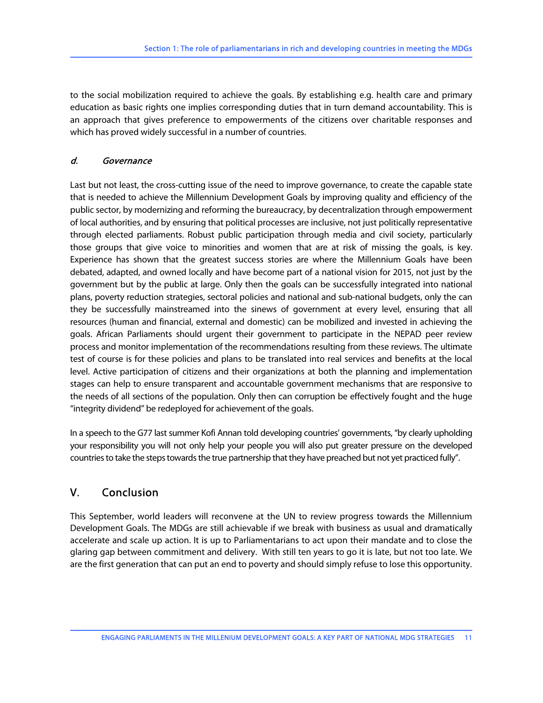to the social mobilization required to achieve the goals. By establishing e.g. health care and primary education as basic rights one implies corresponding duties that in turn demand accountability. This is an approach that gives preference to empowerments of the citizens over charitable responses and which has proved widely successful in a number of countries.

## d. Governance

Last but not least, the cross-cutting issue of the need to improve governance, to create the capable state that is needed to achieve the Millennium Development Goals by improving quality and efficiency of the public sector, by modernizing and reforming the bureaucracy, by decentralization through empowerment of local authorities, and by ensuring that political processes are inclusive, not just politically representative through elected parliaments. Robust public participation through media and civil society, particularly those groups that give voice to minorities and women that are at risk of missing the goals, is key. Experience has shown that the greatest success stories are where the Millennium Goals have been debated, adapted, and owned locally and have become part of a national vision for 2015, not just by the government but by the public at large. Only then the goals can be successfully integrated into national plans, poverty reduction strategies, sectoral policies and national and sub-national budgets, only the can they be successfully mainstreamed into the sinews of government at every level, ensuring that all resources (human and financial, external and domestic) can be mobilized and invested in achieving the goals. African Parliaments should urgent their government to participate in the NEPAD peer review process and monitor implementation of the recommendations resulting from these reviews. The ultimate test of course is for these policies and plans to be translated into real services and benefits at the local level. Active participation of citizens and their organizations at both the planning and implementation stages can help to ensure transparent and accountable government mechanisms that are responsive to the needs of all sections of the population. Only then can corruption be effectively fought and the huge "integrity dividend" be redeployed for achievement of the goals.

In a speech to the G77 last summer Kofi Annan told developing countries' governments, "by clearly upholding your responsibility you will not only help your people you will also put greater pressure on the developed countries to take the steps towards the true partnership that they have preached but not yet practiced fully".

## V. Conclusion

This September, world leaders will reconvene at the UN to review progress towards the Millennium Development Goals. The MDGs are still achievable if we break with business as usual and dramatically accelerate and scale up action. It is up to Parliamentarians to act upon their mandate and to close the glaring gap between commitment and delivery. With still ten years to go it is late, but not too late. We are the first generation that can put an end to poverty and should simply refuse to lose this opportunity.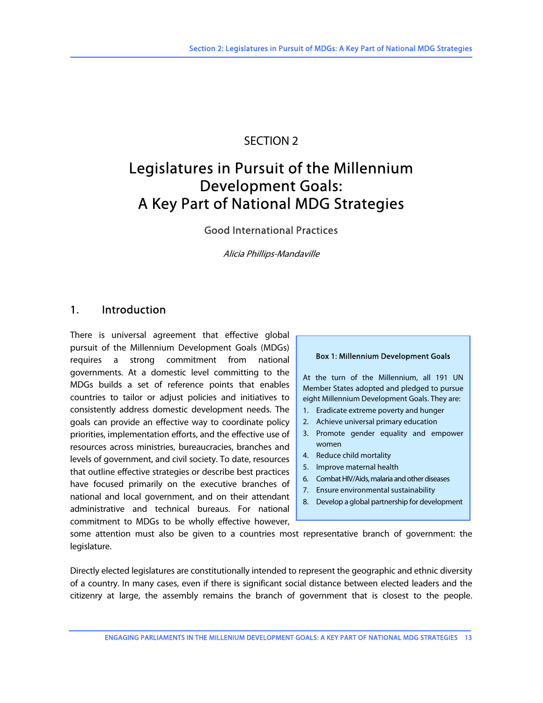## SECTION 2

## Legislatures in Pursuit of the Millennium Development Goals: A Key Part of National MDG Strategies

Good International Practices

Alicia Phillips-Mandaville

## 1. Introduction

There is universal agreement that effective global pursuit of the Millennium Development Goals (MDGs) requires a strong commitment from national governments. At a domestic level committing to the MDGs builds a set of reference points that enables countries to tailor or adjust policies and initiatives to consistently address domestic development needs. The goals can provide an effective way to coordinate policy priorities, implementation efforts, and the effective use of resources across ministries, bureaucracies, branches and levels of government, and civil society. To date, resources that outline effective strategies or describe best practices have focused primarily on the executive branches of national and local government, and on their attendant administrative and technical bureaus. For national commitment to MDGs to be wholly effective however,

#### Box 1: Millennium Development Goals

At the turn of the Millennium, all 191 UN Member States adopted and pledged to pursue eight Millennium Development Goals. They are:

- 1. Eradicate extreme poverty and hunger
- 2. Achieve universal primary education
- 3. Promote gender equality and empower women
- 4. Reduce child mortality
- 5. Improve maternal health
- 6. Combat HIV/Aids, malaria and other diseases
- 7. Ensure environmental sustainability
- 8. Develop a global partnership for development

some attention must also be given to a countries most representative branch of government: the legislature.

Directly elected legislatures are constitutionally intended to represent the geographic and ethnic diversity of a country. In many cases, even if there is significant social distance between elected leaders and the citizenry at large, the assembly remains the branch of government that is closest to the people.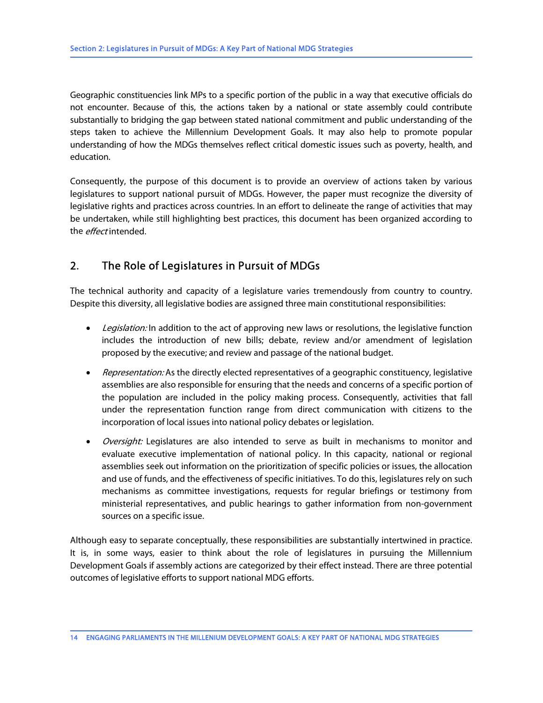Geographic constituencies link MPs to a specific portion of the public in a way that executive officials do not encounter. Because of this, the actions taken by a national or state assembly could contribute substantially to bridging the gap between stated national commitment and public understanding of the steps taken to achieve the Millennium Development Goals. It may also help to promote popular understanding of how the MDGs themselves reflect critical domestic issues such as poverty, health, and education.

Consequently, the purpose of this document is to provide an overview of actions taken by various legislatures to support national pursuit of MDGs. However, the paper must recognize the diversity of legislative rights and practices across countries. In an effort to delineate the range of activities that may be undertaken, while still highlighting best practices, this document has been organized according to the *effect* intended.

## 2. The Role of Legislatures in Pursuit of MDGs

The technical authority and capacity of a legislature varies tremendously from country to country. Despite this diversity, all legislative bodies are assigned three main constitutional responsibilities:

- Legislation: In addition to the act of approving new laws or resolutions, the legislative function includes the introduction of new bills; debate, review and/or amendment of legislation proposed by the executive; and review and passage of the national budget.
- Representation: As the directly elected representatives of a geographic constituency, legislative assemblies are also responsible for ensuring that the needs and concerns of a specific portion of the population are included in the policy making process. Consequently, activities that fall under the representation function range from direct communication with citizens to the incorporation of local issues into national policy debates or legislation.
- Oversight: Legislatures are also intended to serve as built in mechanisms to monitor and evaluate executive implementation of national policy. In this capacity, national or regional assemblies seek out information on the prioritization of specific policies or issues, the allocation and use of funds, and the effectiveness of specific initiatives. To do this, legislatures rely on such mechanisms as committee investigations, requests for regular briefings or testimony from ministerial representatives, and public hearings to gather information from non-government sources on a specific issue.

Although easy to separate conceptually, these responsibilities are substantially intertwined in practice. It is, in some ways, easier to think about the role of legislatures in pursuing the Millennium Development Goals if assembly actions are categorized by their effect instead. There are three potential outcomes of legislative efforts to support national MDG efforts.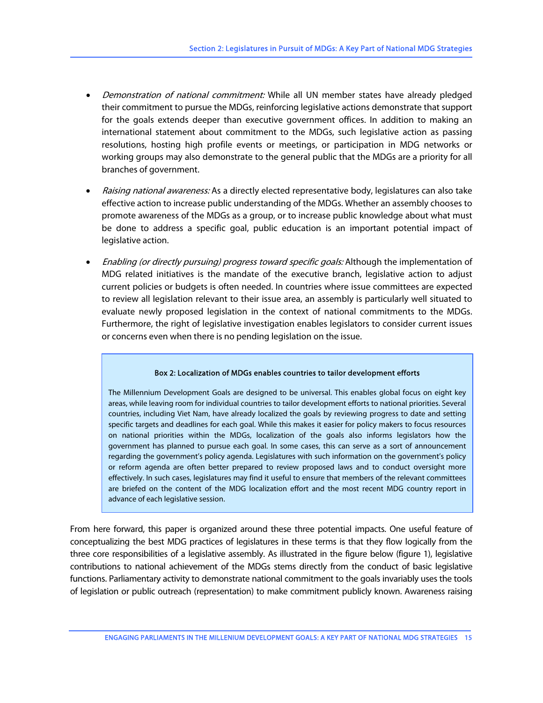- Demonstration of national commitment: While all UN member states have already pledged their commitment to pursue the MDGs, reinforcing legislative actions demonstrate that support for the goals extends deeper than executive government offices. In addition to making an international statement about commitment to the MDGs, such legislative action as passing resolutions, hosting high profile events or meetings, or participation in MDG networks or working groups may also demonstrate to the general public that the MDGs are a priority for all branches of government.
- Raising national awareness: As a directly elected representative body, legislatures can also take effective action to increase public understanding of the MDGs. Whether an assembly chooses to promote awareness of the MDGs as a group, or to increase public knowledge about what must be done to address a specific goal, public education is an important potential impact of legislative action.
- *Enabling (or directly pursuing) progress toward specific goals:* Although the implementation of MDG related initiatives is the mandate of the executive branch, legislative action to adjust current policies or budgets is often needed. In countries where issue committees are expected to review all legislation relevant to their issue area, an assembly is particularly well situated to evaluate newly proposed legislation in the context of national commitments to the MDGs. Furthermore, the right of legislative investigation enables legislators to consider current issues or concerns even when there is no pending legislation on the issue.

#### Box 2: Localization of MDGs enables countries to tailor development efforts

The Millennium Development Goals are designed to be universal. This enables global focus on eight key areas, while leaving room for individual countries to tailor development efforts to national priorities. Several countries, including Viet Nam, have already localized the goals by reviewing progress to date and setting specific targets and deadlines for each goal. While this makes it easier for policy makers to focus resources on national priorities within the MDGs, localization of the goals also informs legislators how the government has planned to pursue each goal. In some cases, this can serve as a sort of announcement regarding the government's policy agenda. Legislatures with such information on the government's policy or reform agenda are often better prepared to review proposed laws and to conduct oversight more effectively. In such cases, legislatures may find it useful to ensure that members of the relevant committees are briefed on the content of the MDG localization effort and the most recent MDG country report in advance of each legislative session.

From here forward, this paper is organized around these three potential impacts. One useful feature of conceptualizing the best MDG practices of legislatures in these terms is that they flow logically from the three core responsibilities of a legislative assembly. As illustrated in the figure below (figure 1), legislative contributions to national achievement of the MDGs stems directly from the conduct of basic legislative functions. Parliamentary activity to demonstrate national commitment to the goals invariably uses the tools of legislation or public outreach (representation) to make commitment publicly known. Awareness raising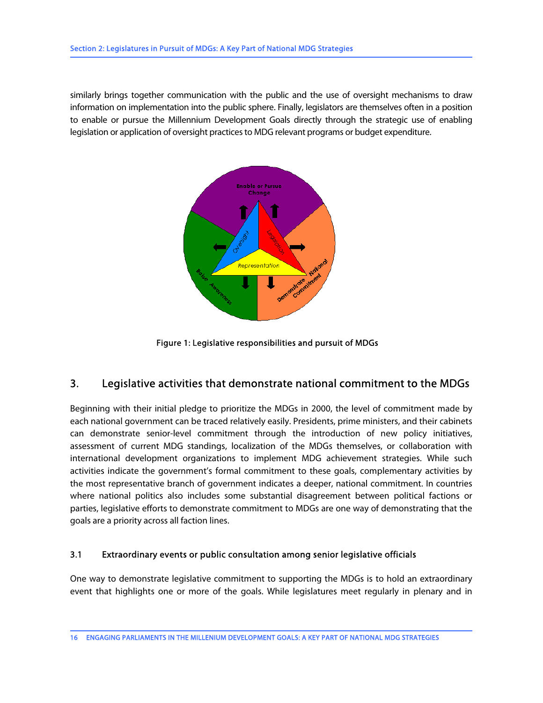similarly brings together communication with the public and the use of oversight mechanisms to draw information on implementation into the public sphere. Finally, legislators are themselves often in a position to enable or pursue the Millennium Development Goals directly through the strategic use of enabling legislation or application of oversight practices to MDG relevant programs or budget expenditure.



Figure 1: Legislative responsibilities and pursuit of MDGs

## 3. Legislative activities that demonstrate national commitment to the MDGs

Beginning with their initial pledge to prioritize the MDGs in 2000, the level of commitment made by each national government can be traced relatively easily. Presidents, prime ministers, and their cabinets can demonstrate senior-level commitment through the introduction of new policy initiatives, assessment of current MDG standings, localization of the MDGs themselves, or collaboration with international development organizations to implement MDG achievement strategies. While such activities indicate the government's formal commitment to these goals, complementary activities by the most representative branch of government indicates a deeper, national commitment. In countries where national politics also includes some substantial disagreement between political factions or parties, legislative efforts to demonstrate commitment to MDGs are one way of demonstrating that the goals are a priority across all faction lines.

## 3.1 Extraordinary events or public consultation among senior legislative officials

One way to demonstrate legislative commitment to supporting the MDGs is to hold an extraordinary event that highlights one or more of the goals. While legislatures meet regularly in plenary and in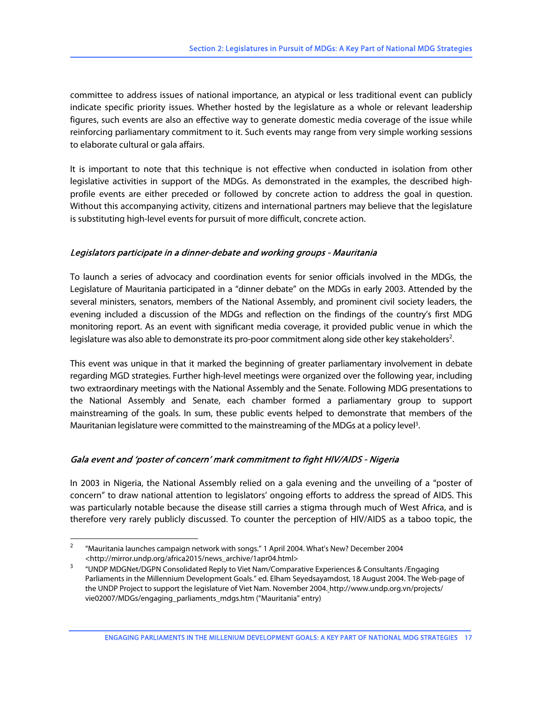committee to address issues of national importance, an atypical or less traditional event can publicly indicate specific priority issues. Whether hosted by the legislature as a whole or relevant leadership figures, such events are also an effective way to generate domestic media coverage of the issue while reinforcing parliamentary commitment to it. Such events may range from very simple working sessions to elaborate cultural or gala affairs.

It is important to note that this technique is not effective when conducted in isolation from other legislative activities in support of the MDGs. As demonstrated in the examples, the described highprofile events are either preceded or followed by concrete action to address the goal in question. Without this accompanying activity, citizens and international partners may believe that the legislature is substituting high-level events for pursuit of more difficult, concrete action.

## Legislators participate in a dinner-debate and working groups - Mauritania

To launch a series of advocacy and coordination events for senior officials involved in the MDGs, the Legislature of Mauritania participated in a "dinner debate" on the MDGs in early 2003. Attended by the several ministers, senators, members of the National Assembly, and prominent civil society leaders, the evening included a discussion of the MDGs and reflection on the findings of the country's first MDG monitoring report. As an event with significant media coverage, it provided public venue in which the legislature was also able to demonstrate its pro-poor commitment along side other key stakeholders<sup>2</sup>.

This event was unique in that it marked the beginning of greater parliamentary involvement in debate regarding MGD strategies. Further high-level meetings were organized over the following year, including two extraordinary meetings with the National Assembly and the Senate. Following MDG presentations to the National Assembly and Senate, each chamber formed a parliamentary group to support mainstreaming of the goals. In sum, these public events helped to demonstrate that members of the Mauritanian legislature were committed to the mainstreaming of the MDGs at a policy level<sup>3</sup>.

## Gala event and 'poster of concern' mark commitment to fight HIV/AIDS - Nigeria

In 2003 in Nigeria, the National Assembly relied on a gala evening and the unveiling of a "poster of concern" to draw national attention to legislators' ongoing efforts to address the spread of AIDS. This was particularly notable because the disease still carries a stigma through much of West Africa, and is therefore very rarely publicly discussed. To counter the perception of HIV/AIDS as a taboo topic, the

 $\frac{1}{2}$  "Mauritania launches campaign network with songs." 1 April 2004. What's New? December 2004 <http://mirror.undp.org/africa2015/news\_archive/1apr04.html> 3

 <sup>&</sup>quot;UNDP MDGNet/DGPN Consolidated Reply to Viet Nam/Comparative Experiences & Consultants /Engaging Parliaments in the Millennium Development Goals." ed. Elham Seyedsayamdost, 18 August 2004. The Web-page of the UNDP Project to support the legislature of Viet Nam. November 2004. http://www.undp.org.vn/projects/ vie02007/MDGs/engaging\_parliaments\_mdgs.htm ("Mauritania" entry)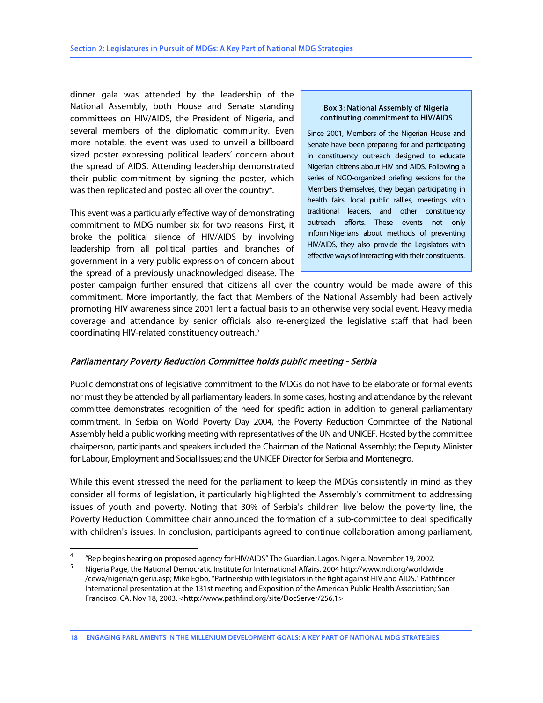dinner gala was attended by the leadership of the National Assembly, both House and Senate standing committees on HIV/AIDS, the President of Nigeria, and several members of the diplomatic community. Even more notable, the event was used to unveil a billboard sized poster expressing political leaders' concern about the spread of AIDS. Attending leadership demonstrated their public commitment by signing the poster, which was then replicated and posted all over the country<sup>4</sup>.

This event was a particularly effective way of demonstrating commitment to MDG number six for two reasons. First, it broke the political silence of HIV/AIDS by involving leadership from all political parties and branches of government in a very public expression of concern about the spread of a previously unacknowledged disease. The

 $\overline{a}$ 

#### Box 3: National Assembly of Nigeria continuting commitment to HIV/AIDS

Since 2001, Members of the Nigerian House and Senate have been preparing for and participating in constituency outreach designed to educate Nigerian citizens about HIV and AIDS. Following a series of NGO-organized briefing sessions for the Members themselves, they began participating in health fairs, local public rallies, meetings with traditional leaders, and other constituency outreach efforts. These events not only inform Nigerians about methods of preventing HIV/AIDS, they also provide the Legislators with effective ways of interacting with their constituents.

poster campaign further ensured that citizens all over the country would be made aware of this commitment. More importantly, the fact that Members of the National Assembly had been actively promoting HIV awareness since 2001 lent a factual basis to an otherwise very social event. Heavy media coverage and attendance by senior officials also re-energized the legislative staff that had been coordinating HIV-related constituency outreach.5

## Parliamentary Poverty Reduction Committee holds public meeting - Serbia

Public demonstrations of legislative commitment to the MDGs do not have to be elaborate or formal events nor must they be attended by all parliamentary leaders. In some cases, hosting and attendance by the relevant committee demonstrates recognition of the need for specific action in addition to general parliamentary commitment. In Serbia on World Poverty Day 2004, the Poverty Reduction Committee of the National Assembly held a public working meeting with representatives of the UN and UNICEF. Hosted by the committee chairperson, participants and speakers included the Chairman of the National Assembly; the Deputy Minister for Labour, Employment and Social Issues; and the UNICEF Director for Serbia and Montenegro.

While this event stressed the need for the parliament to keep the MDGs consistently in mind as they consider all forms of legislation, it particularly highlighted the Assembly's commitment to addressing issues of youth and poverty. Noting that 30% of Serbia's children live below the poverty line, the Poverty Reduction Committee chair announced the formation of a sub-committee to deal specifically with children's issues. In conclusion, participants agreed to continue collaboration among parliament,

<sup>4</sup> "Rep begins hearing on proposed agency for HIV/AIDS" The Guardian. Lagos. Nigeria. November 19, 2002.<br>Sublimatio Pers, the National Democratic Institute for International Affairs 2004 http://www.ndi.org/werklyit

Nigeria Page, the National Democratic Institute for International Affairs. 2004 http://www.ndi.org/worldwide /cewa/nigeria/nigeria.asp; Mike Egbo, "Partnership with legislators in the fight against HIV and AIDS." Pathfinder International presentation at the 131st meeting and Exposition of the American Public Health Association; San Francisco, CA. Nov 18, 2003. <http://www.pathfind.org/site/DocServer/256,1>

<sup>18</sup> ENGAGING PARLIAMENTS IN THE MILLENIUM DEVELOPMENT GOALS: A KEY PART OF NATIONAL MDG STRATEGIES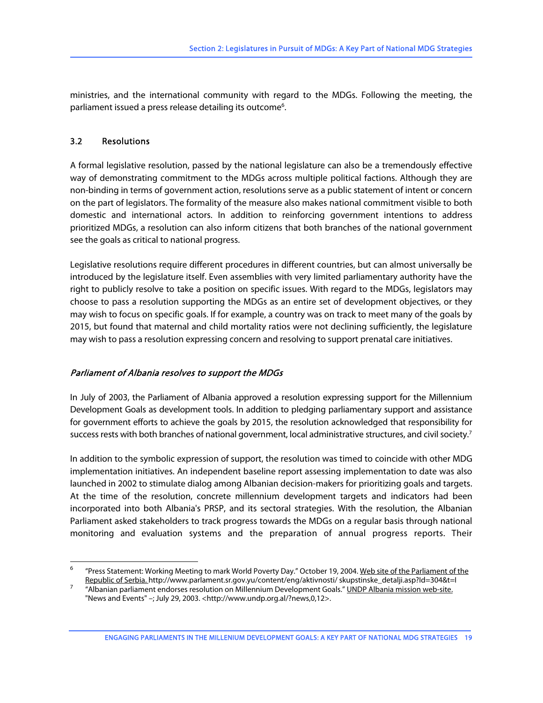ministries, and the international community with regard to the MDGs. Following the meeting, the parliament issued a press release detailing its outcome<sup>6</sup>.

## 3.2 Resolutions

A formal legislative resolution, passed by the national legislature can also be a tremendously effective way of demonstrating commitment to the MDGs across multiple political factions. Although they are non-binding in terms of government action, resolutions serve as a public statement of intent or concern on the part of legislators. The formality of the measure also makes national commitment visible to both domestic and international actors. In addition to reinforcing government intentions to address prioritized MDGs, a resolution can also inform citizens that both branches of the national government see the goals as critical to national progress.

Legislative resolutions require different procedures in different countries, but can almost universally be introduced by the legislature itself. Even assemblies with very limited parliamentary authority have the right to publicly resolve to take a position on specific issues. With regard to the MDGs, legislators may choose to pass a resolution supporting the MDGs as an entire set of development objectives, or they may wish to focus on specific goals. If for example, a country was on track to meet many of the goals by 2015, but found that maternal and child mortality ratios were not declining sufficiently, the legislature may wish to pass a resolution expressing concern and resolving to support prenatal care initiatives.

## Parliament of Albania resolves to support the MDGs

In July of 2003, the Parliament of Albania approved a resolution expressing support for the Millennium Development Goals as development tools. In addition to pledging parliamentary support and assistance for government efforts to achieve the goals by 2015, the resolution acknowledged that responsibility for success rests with both branches of national government, local administrative structures, and civil society.<sup>7</sup>

In addition to the symbolic expression of support, the resolution was timed to coincide with other MDG implementation initiatives. An independent baseline report assessing implementation to date was also launched in 2002 to stimulate dialog among Albanian decision-makers for prioritizing goals and targets. At the time of the resolution, concrete millennium development targets and indicators had been incorporated into both Albania's PRSP, and its sectoral strategies. With the resolution, the Albanian Parliament asked stakeholders to track progress towards the MDGs on a regular basis through national monitoring and evaluation systems and the preparation of annual progress reports. Their

<sup>—&</sup>lt;br>6 "Press Statement: Working Meeting to mark World Poverty Day." October 19, 2004. Web site of the Parliament of the Republic of Serbia. http://www.parlament.sr.gov.yu/content/eng/aktivnosti/ skupstinske\_detalji.asp?Id=304&t=I

 <sup>&</sup>quot;Albanian parliament endorses resolution on Millennium Development Goals." UNDP Albania mission web-site. "News and Events" –; July 29, 2003. <http://www.undp.org.al/?news,0,12>.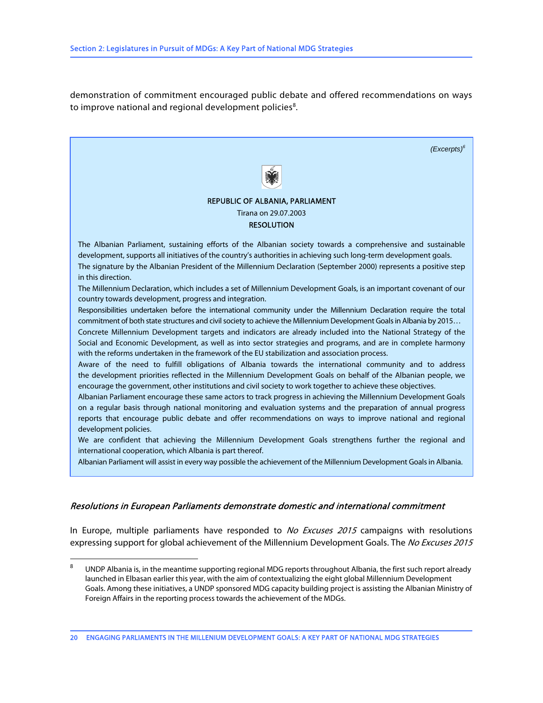demonstration of commitment encouraged public debate and offered recommendations on ways to improve national and regional development policies<sup>8</sup>.



UNDP Albania is, in the meantime supporting regional MDG reports throughout Albania, the first such report already launched in Elbasan earlier this year, with the aim of contextualizing the eight global Millennium Development Goals. Among these initiatives, a UNDP sponsored MDG capacity building project is assisting the Albanian Ministry of Foreign Affairs in the reporting process towards the achievement of the MDGs.

20 ENGAGING PARLIAMENTS IN THE MILLENIUM DEVELOPMENT GOALS: A KEY PART OF NATIONAL MDG STRATEGIES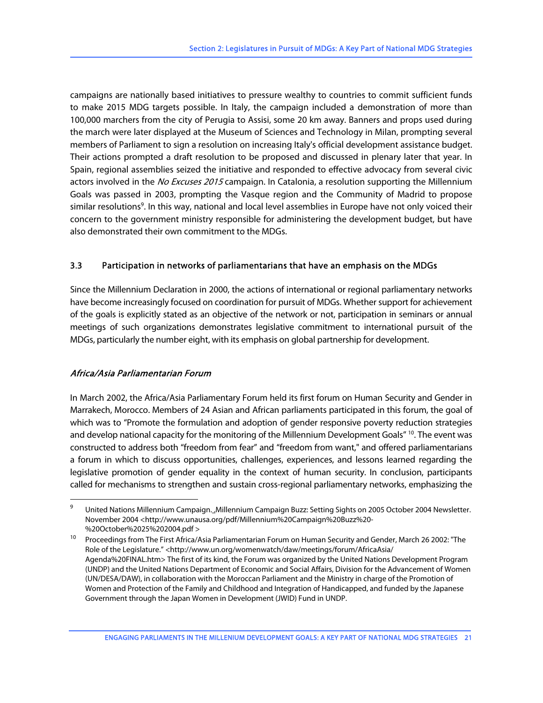campaigns are nationally based initiatives to pressure wealthy to countries to commit sufficient funds to make 2015 MDG targets possible. In Italy, the campaign included a demonstration of more than 100,000 marchers from the city of Perugia to Assisi, some 20 km away. Banners and props used during the march were later displayed at the Museum of Sciences and Technology in Milan, prompting several members of Parliament to sign a resolution on increasing Italy's official development assistance budget. Their actions prompted a draft resolution to be proposed and discussed in plenary later that year. In Spain, regional assemblies seized the initiative and responded to effective advocacy from several civic actors involved in the *No Excuses 2015* campaign. In Catalonia, a resolution supporting the Millennium Goals was passed in 2003, prompting the Vasque region and the Community of Madrid to propose similar resolutions<sup>9</sup>. In this way, national and local level assemblies in Europe have not only voiced their concern to the government ministry responsible for administering the development budget, but have also demonstrated their own commitment to the MDGs.

## 3.3 Participation in networks of parliamentarians that have an emphasis on the MDGs

Since the Millennium Declaration in 2000, the actions of international or regional parliamentary networks have become increasingly focused on coordination for pursuit of MDGs. Whether support for achievement of the goals is explicitly stated as an objective of the network or not, participation in seminars or annual meetings of such organizations demonstrates legislative commitment to international pursuit of the MDGs, particularly the number eight, with its emphasis on global partnership for development.

## Africa/Asia Parliamentarian Forum

 $\overline{a}$ 

In March 2002, the Africa/Asia Parliamentary Forum held its first forum on Human Security and Gender in Marrakech, Morocco. Members of 24 Asian and African parliaments participated in this forum, the goal of which was to "Promote the formulation and adoption of gender responsive poverty reduction strategies and develop national capacity for the monitoring of the Millennium Development Goals" <sup>10</sup>. The event was constructed to address both "freedom from fear" and "freedom from want," and offered parliamentarians a forum in which to discuss opportunities, challenges, experiences, and lessons learned regarding the legislative promotion of gender equality in the context of human security. In conclusion, participants called for mechanisms to strengthen and sustain cross-regional parliamentary networks, emphasizing the

<sup>9</sup> United Nations Millennium Campaign. Millennium Campaign Buzz: Setting Sights on 2005 October 2004 Newsletter. November 2004 <http://www.unausa.org/pdf/Millennium%20Campaign%20Buzz%20-

<sup>%20</sup>October%2025%202004.pdf ><br>Proceedings from The First Africa/Asia Parliamentarian Forum on Human Security and Gender, March 26 2002: "The Role of the Legislature." <http://www.un.org/womenwatch/daw/meetings/forum/AfricaAsia/ Agenda%20FINAL.htm> The first of its kind, the Forum was organized by the United Nations Development Program (UNDP) and the United Nations Department of Economic and Social Affairs, Division for the Advancement of Women (UN/DESA/DAW), in collaboration with the Moroccan Parliament and the Ministry in charge of the Promotion of Women and Protection of the Family and Childhood and Integration of Handicapped, and funded by the Japanese Government through the Japan Women in Development (JWID) Fund in UNDP.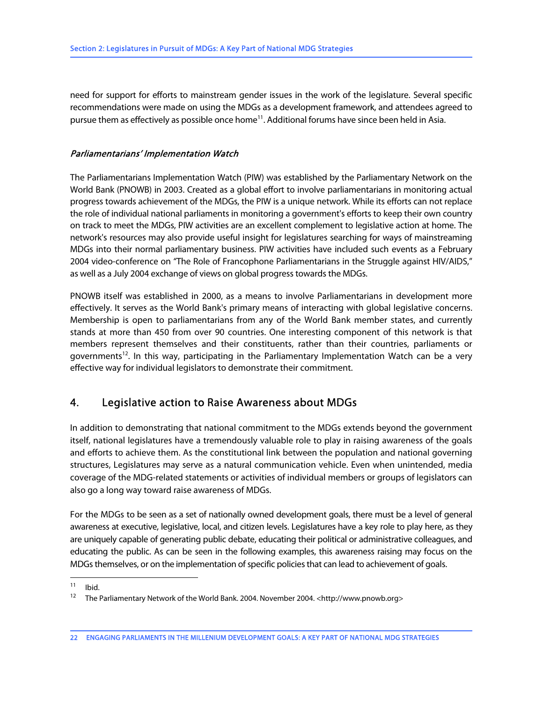need for support for efforts to mainstream gender issues in the work of the legislature. Several specific recommendations were made on using the MDGs as a development framework, and attendees agreed to pursue them as effectively as possible once home<sup>11</sup>. Additional forums have since been held in Asia.

## Parliamentarians' Implementation Watch

The Parliamentarians Implementation Watch (PIW) was established by the Parliamentary Network on the World Bank (PNOWB) in 2003. Created as a global effort to involve parliamentarians in monitoring actual progress towards achievement of the MDGs, the PIW is a unique network. While its efforts can not replace the role of individual national parliaments in monitoring a government's efforts to keep their own country on track to meet the MDGs, PIW activities are an excellent complement to legislative action at home. The network's resources may also provide useful insight for legislatures searching for ways of mainstreaming MDGs into their normal parliamentary business. PIW activities have included such events as a February 2004 video-conference on "The Role of Francophone Parliamentarians in the Struggle against HIV/AIDS," as well as a July 2004 exchange of views on global progress towards the MDGs.

PNOWB itself was established in 2000, as a means to involve Parliamentarians in development more effectively. It serves as the World Bank's primary means of interacting with global legislative concerns. Membership is open to parliamentarians from any of the World Bank member states, and currently stands at more than 450 from over 90 countries. One interesting component of this network is that members represent themselves and their constituents, rather than their countries, parliaments or governments<sup>12</sup>. In this way, participating in the Parliamentary Implementation Watch can be a very effective way for individual legislators to demonstrate their commitment.

## 4. Legislative action to Raise Awareness about MDGs

In addition to demonstrating that national commitment to the MDGs extends beyond the government itself, national legislatures have a tremendously valuable role to play in raising awareness of the goals and efforts to achieve them. As the constitutional link between the population and national governing structures, Legislatures may serve as a natural communication vehicle. Even when unintended, media coverage of the MDG-related statements or activities of individual members or groups of legislators can also go a long way toward raise awareness of MDGs.

For the MDGs to be seen as a set of nationally owned development goals, there must be a level of general awareness at executive, legislative, local, and citizen levels. Legislatures have a key role to play here, as they are uniquely capable of generating public debate, educating their political or administrative colleagues, and educating the public. As can be seen in the following examples, this awareness raising may focus on the MDGs themselves, or on the implementation of specific policies that can lead to achievement of goals.

 $11$  $\frac{11}{12}$  Ibid.

<sup>12</sup> The Parliamentary Network of the World Bank. 2004. November 2004. <http://www.pnowb.org>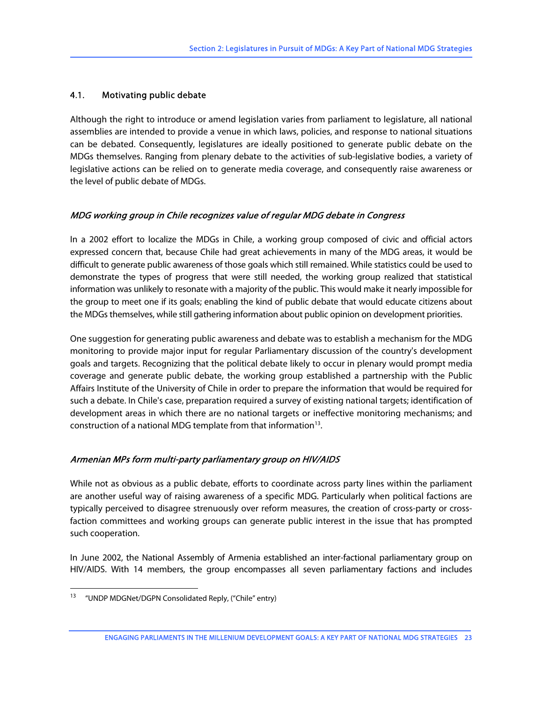## 4.1. Motivating public debate

Although the right to introduce or amend legislation varies from parliament to legislature, all national assemblies are intended to provide a venue in which laws, policies, and response to national situations can be debated. Consequently, legislatures are ideally positioned to generate public debate on the MDGs themselves. Ranging from plenary debate to the activities of sub-legislative bodies, a variety of legislative actions can be relied on to generate media coverage, and consequently raise awareness or the level of public debate of MDGs.

## MDG working group in Chile recognizes value of regular MDG debate in Congress

In a 2002 effort to localize the MDGs in Chile, a working group composed of civic and official actors expressed concern that, because Chile had great achievements in many of the MDG areas, it would be difficult to generate public awareness of those goals which still remained. While statistics could be used to demonstrate the types of progress that were still needed, the working group realized that statistical information was unlikely to resonate with a majority of the public. This would make it nearly impossible for the group to meet one if its goals; enabling the kind of public debate that would educate citizens about the MDGs themselves, while still gathering information about public opinion on development priorities.

One suggestion for generating public awareness and debate was to establish a mechanism for the MDG monitoring to provide major input for regular Parliamentary discussion of the country's development goals and targets. Recognizing that the political debate likely to occur in plenary would prompt media coverage and generate public debate, the working group established a partnership with the Public Affairs Institute of the University of Chile in order to prepare the information that would be required for such a debate. In Chile's case, preparation required a survey of existing national targets; identification of development areas in which there are no national targets or ineffective monitoring mechanisms; and construction of a national MDG template from that information<sup>13</sup>.

## Armenian MPs form multi-party parliamentary group on HIV/AIDS

While not as obvious as a public debate, efforts to coordinate across party lines within the parliament are another useful way of raising awareness of a specific MDG. Particularly when political factions are typically perceived to disagree strenuously over reform measures, the creation of cross-party or crossfaction committees and working groups can generate public interest in the issue that has prompted such cooperation.

In June 2002, the National Assembly of Armenia established an inter-factional parliamentary group on HIV/AIDS. With 14 members, the group encompasses all seven parliamentary factions and includes

 $\overline{a}$ 

<sup>&</sup>lt;sup>13</sup> "UNDP MDGNet/DGPN Consolidated Reply, ("Chile" entry)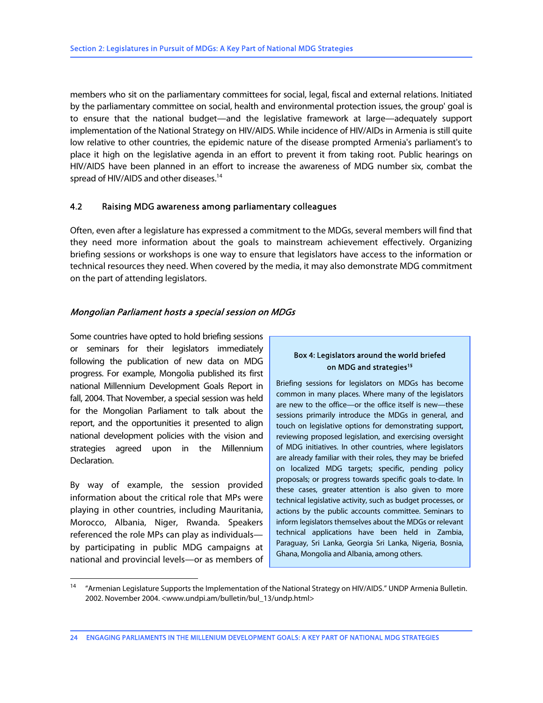members who sit on the parliamentary committees for social, legal, fiscal and external relations. Initiated by the parliamentary committee on social, health and environmental protection issues, the group' goal is to ensure that the national budget—and the legislative framework at large—adequately support implementation of the National Strategy on HIV/AIDS. While incidence of HIV/AIDs in Armenia is still quite low relative to other countries, the epidemic nature of the disease prompted Armenia's parliament's to place it high on the legislative agenda in an effort to prevent it from taking root. Public hearings on HIV/AIDS have been planned in an effort to increase the awareness of MDG number six, combat the spread of HIV/AIDS and other diseases.<sup>14</sup>

#### 4.2 Raising MDG awareness among parliamentary colleagues

Often, even after a legislature has expressed a commitment to the MDGs, several members will find that they need more information about the goals to mainstream achievement effectively. Organizing briefing sessions or workshops is one way to ensure that legislators have access to the information or technical resources they need. When covered by the media, it may also demonstrate MDG commitment on the part of attending legislators.

#### Mongolian Parliament hosts a special session on MDGs

Some countries have opted to hold briefing sessions or seminars for their legislators immediately following the publication of new data on MDG progress. For example, Mongolia published its first national Millennium Development Goals Report in fall, 2004. That November, a special session was held for the Mongolian Parliament to talk about the report, and the opportunities it presented to align national development policies with the vision and strategies agreed upon in the Millennium Declaration.

By way of example, the session provided information about the critical role that MPs were playing in other countries, including Mauritania, Morocco, Albania, Niger, Rwanda. Speakers referenced the role MPs can play as individuals by participating in public MDG campaigns at national and provincial levels—or as members of

#### Box 4: Legislators around the world briefed on MDG and strategies<sup>15</sup>

Briefing sessions for legislators on MDGs has become common in many places. Where many of the legislators are new to the office—or the office itself is new—these sessions primarily introduce the MDGs in general, and touch on legislative options for demonstrating support, reviewing proposed legislation, and exercising oversight of MDG initiatives. In other countries, where legislators are already familiar with their roles, they may be briefed on localized MDG targets; specific, pending policy proposals; or progress towards specific goals to-date. In these cases, greater attention is also given to more technical legislative activity, such as budget processes, or actions by the public accounts committee. Seminars to inform legislators themselves about the MDGs or relevant technical applications have been held in Zambia, Paraguay, Sri Lanka, Georgia Sri Lanka, Nigeria, Bosnia, Ghana, Mongolia and Albania, among others.

<sup>14 &</sup>quot;Armenian Legislature Supports the Implementation of the National Strategy on HIV/AIDS." UNDP Armenia Bulletin. 2002. November 2004. <www.undpi.am/bulletin/bul\_13/undp.html>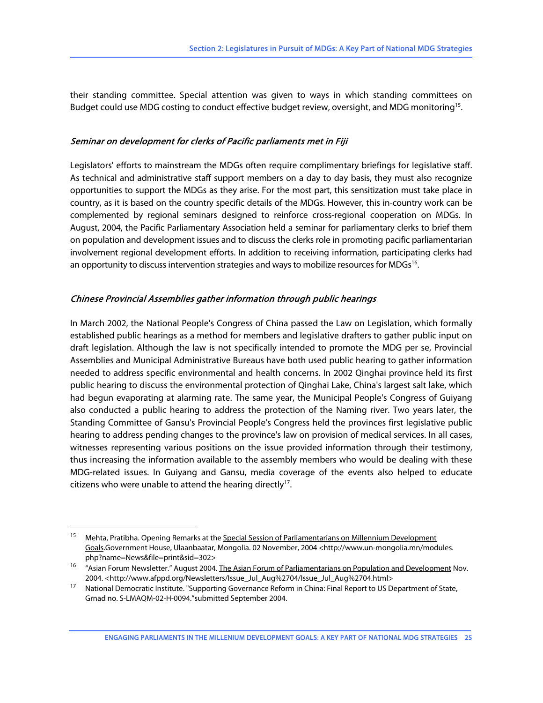their standing committee. Special attention was given to ways in which standing committees on Budget could use MDG costing to conduct effective budget review, oversight, and MDG monitoring<sup>15</sup>.

## Seminar on development for clerks of Pacific parliaments met in Fiji

Legislators' efforts to mainstream the MDGs often require complimentary briefings for legislative staff. As technical and administrative staff support members on a day to day basis, they must also recognize opportunities to support the MDGs as they arise. For the most part, this sensitization must take place in country, as it is based on the country specific details of the MDGs. However, this in-country work can be complemented by regional seminars designed to reinforce cross-regional cooperation on MDGs. In August, 2004, the Pacific Parliamentary Association held a seminar for parliamentary clerks to brief them on population and development issues and to discuss the clerks role in promoting pacific parliamentarian involvement regional development efforts. In addition to receiving information, participating clerks had an opportunity to discuss intervention strategies and ways to mobilize resources for MDGs<sup>16</sup>.

#### Chinese Provincial Assemblies gather information through public hearings

In March 2002, the National People's Congress of China passed the Law on Legislation, which formally established public hearings as a method for members and legislative drafters to gather public input on draft legislation. Although the law is not specifically intended to promote the MDG per se, Provincial Assemblies and Municipal Administrative Bureaus have both used public hearing to gather information needed to address specific environmental and health concerns. In 2002 Qinghai province held its first public hearing to discuss the environmental protection of Qinghai Lake, China's largest salt lake, which had begun evaporating at alarming rate. The same year, the Municipal People's Congress of Guiyang also conducted a public hearing to address the protection of the Naming river. Two years later, the Standing Committee of Gansu's Provincial People's Congress held the provinces first legislative public hearing to address pending changes to the province's law on provision of medical services. In all cases, witnesses representing various positions on the issue provided information through their testimony, thus increasing the information available to the assembly members who would be dealing with these MDG-related issues. In Guiyang and Gansu, media coverage of the events also helped to educate citizens who were unable to attend the hearing directly<sup>17</sup>.

 $15$ Mehta, Pratibha. Opening Remarks at the Special Session of Parliamentarians on Millennium Development Goals.Government House, Ulaanbaatar, Mongolia. 02 November, 2004 <http://www.un-mongolia.mn/modules. php?name=News&file=print&sid=302> 16 "Asian Forum Newsletter." August 2004. The Asian Forum of Parliamentarians on Population and Development Nov.

<sup>2004. &</sup>lt;http://www.afppd.org/Newsletters/Issue\_Jul\_Aug%2704/Issue\_Jul\_Aug%2704.html> 17 National Democratic Institute. "Supporting Governance Reform in China: Final Report to US Department of State,

Grnad no. S-LMAQM-02-H-0094."submitted September 2004.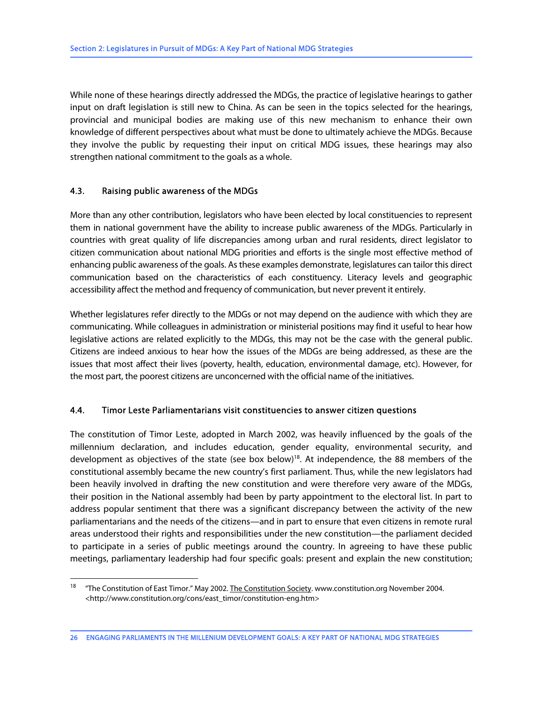While none of these hearings directly addressed the MDGs, the practice of legislative hearings to gather input on draft legislation is still new to China. As can be seen in the topics selected for the hearings, provincial and municipal bodies are making use of this new mechanism to enhance their own knowledge of different perspectives about what must be done to ultimately achieve the MDGs. Because they involve the public by requesting their input on critical MDG issues, these hearings may also strengthen national commitment to the goals as a whole.

## 4.3. Raising public awareness of the MDGs

More than any other contribution, legislators who have been elected by local constituencies to represent them in national government have the ability to increase public awareness of the MDGs. Particularly in countries with great quality of life discrepancies among urban and rural residents, direct legislator to citizen communication about national MDG priorities and efforts is the single most effective method of enhancing public awareness of the goals. As these examples demonstrate, legislatures can tailor this direct communication based on the characteristics of each constituency. Literacy levels and geographic accessibility affect the method and frequency of communication, but never prevent it entirely.

Whether legislatures refer directly to the MDGs or not may depend on the audience with which they are communicating. While colleagues in administration or ministerial positions may find it useful to hear how legislative actions are related explicitly to the MDGs, this may not be the case with the general public. Citizens are indeed anxious to hear how the issues of the MDGs are being addressed, as these are the issues that most affect their lives (poverty, health, education, environmental damage, etc). However, for the most part, the poorest citizens are unconcerned with the official name of the initiatives.

## 4.4. Timor Leste Parliamentarians visit constituencies to answer citizen questions

The constitution of Timor Leste, adopted in March 2002, was heavily influenced by the goals of the millennium declaration, and includes education, gender equality, environmental security, and development as objectives of the state (see box below)<sup>18</sup>. At independence, the 88 members of the constitutional assembly became the new country's first parliament. Thus, while the new legislators had been heavily involved in drafting the new constitution and were therefore very aware of the MDGs, their position in the National assembly had been by party appointment to the electoral list. In part to address popular sentiment that there was a significant discrepancy between the activity of the new parliamentarians and the needs of the citizens—and in part to ensure that even citizens in remote rural areas understood their rights and responsibilities under the new constitution—the parliament decided to participate in a series of public meetings around the country. In agreeing to have these public meetings, parliamentary leadership had four specific goals: present and explain the new constitution;

<sup>18</sup> 18 "The Constitution of East Timor." May 2002. The Constitution Society. www.constitution.org November 2004. <http://www.constitution.org/cons/east\_timor/constitution-eng.htm>

<sup>26</sup> ENGAGING PARLIAMENTS IN THE MILLENIUM DEVELOPMENT GOALS: A KEY PART OF NATIONAL MDG STRATEGIES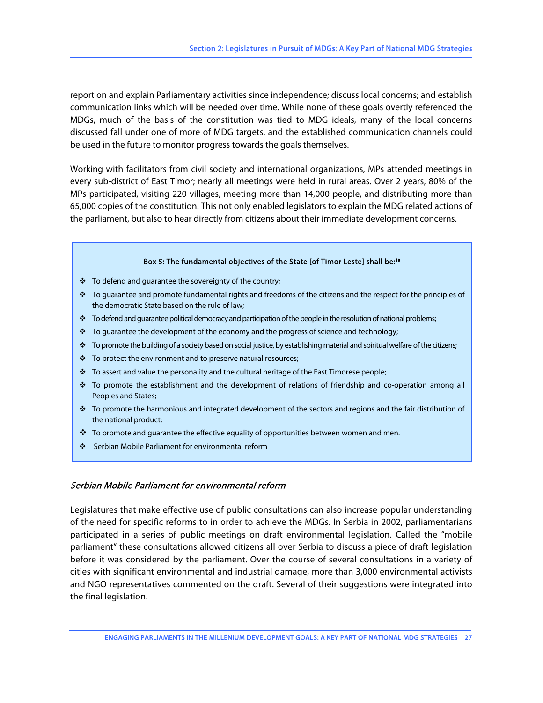report on and explain Parliamentary activities since independence; discuss local concerns; and establish communication links which will be needed over time. While none of these goals overtly referenced the MDGs, much of the basis of the constitution was tied to MDG ideals, many of the local concerns discussed fall under one of more of MDG targets, and the established communication channels could be used in the future to monitor progress towards the goals themselves.

Working with facilitators from civil society and international organizations, MPs attended meetings in every sub-district of East Timor; nearly all meetings were held in rural areas. Over 2 years, 80% of the MPs participated, visiting 220 villages, meeting more than 14,000 people, and distributing more than 65,000 copies of the constitution. This not only enabled legislators to explain the MDG related actions of the parliament, but also to hear directly from citizens about their immediate development concerns.

#### Box 5: The fundamental objectives of the State [of Timor Leste] shall be:18

- \* To defend and guarantee the sovereignty of the country;
- To guarantee and promote fundamental rights and freedoms of the citizens and the respect for the principles of the democratic State based on the rule of law;
- \* To defend and guarantee political democracy and participation of the people in the resolution of national problems;
- $\cdot$  To guarantee the development of the economy and the progress of science and technology;
- \* To promote the building of a society based on social justice, by establishing material and spiritual welfare of the citizens;
- $\cdot \cdot$  To protect the environment and to preserve natural resources;
- $\div$  To assert and value the personality and the cultural heritage of the East Timorese people;
- To promote the establishment and the development of relations of friendship and co-operation among all Peoples and States;
- To promote the harmonious and integrated development of the sectors and regions and the fair distribution of the national product;
- $\clubsuit$  To promote and guarantee the effective equality of opportunities between women and men.
- Serbian Mobile Parliament for environmental reform

### Serbian Mobile Parliament for environmental reform

Legislatures that make effective use of public consultations can also increase popular understanding of the need for specific reforms to in order to achieve the MDGs. In Serbia in 2002, parliamentarians participated in a series of public meetings on draft environmental legislation. Called the "mobile parliament" these consultations allowed citizens all over Serbia to discuss a piece of draft legislation before it was considered by the parliament. Over the course of several consultations in a variety of cities with significant environmental and industrial damage, more than 3,000 environmental activists and NGO representatives commented on the draft. Several of their suggestions were integrated into the final legislation.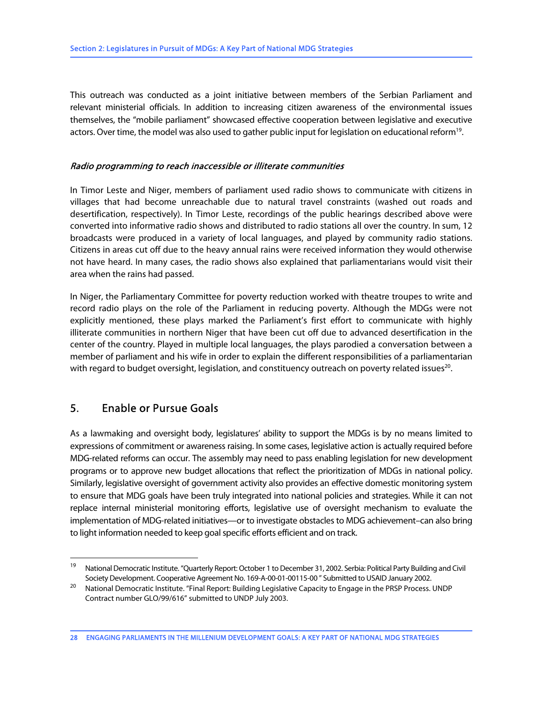This outreach was conducted as a joint initiative between members of the Serbian Parliament and relevant ministerial officials. In addition to increasing citizen awareness of the environmental issues themselves, the "mobile parliament" showcased effective cooperation between legislative and executive actors. Over time, the model was also used to gather public input for legislation on educational reform<sup>19</sup>.

### Radio programming to reach inaccessible or illiterate communities

In Timor Leste and Niger, members of parliament used radio shows to communicate with citizens in villages that had become unreachable due to natural travel constraints (washed out roads and desertification, respectively). In Timor Leste, recordings of the public hearings described above were converted into informative radio shows and distributed to radio stations all over the country. In sum, 12 broadcasts were produced in a variety of local languages, and played by community radio stations. Citizens in areas cut off due to the heavy annual rains were received information they would otherwise not have heard. In many cases, the radio shows also explained that parliamentarians would visit their area when the rains had passed.

In Niger, the Parliamentary Committee for poverty reduction worked with theatre troupes to write and record radio plays on the role of the Parliament in reducing poverty. Although the MDGs were not explicitly mentioned, these plays marked the Parliament's first effort to communicate with highly illiterate communities in northern Niger that have been cut off due to advanced desertification in the center of the country. Played in multiple local languages, the plays parodied a conversation between a member of parliament and his wife in order to explain the different responsibilities of a parliamentarian with regard to budget oversight, legislation, and constituency outreach on poverty related issues<sup>20</sup>.

### 5. Enable or Pursue Goals

As a lawmaking and oversight body, legislatures' ability to support the MDGs is by no means limited to expressions of commitment or awareness raising. In some cases, legislative action is actually required before MDG-related reforms can occur. The assembly may need to pass enabling legislation for new development programs or to approve new budget allocations that reflect the prioritization of MDGs in national policy. Similarly, legislative oversight of government activity also provides an effective domestic monitoring system to ensure that MDG goals have been truly integrated into national policies and strategies. While it can not replace internal ministerial monitoring efforts, legislative use of oversight mechanism to evaluate the implementation of MDG-related initiatives—or to investigate obstacles to MDG achievement–can also bring to light information needed to keep goal specific efforts efficient and on track.

<sup>19</sup> 19 National Democratic Institute. "Quarterly Report: October 1 to December 31, 2002. Serbia: Political Party Building and Civil

Society Development. Cooperative Agreement No. 169-A-00-01-00115-00 " Submitted to USAID January 2002.<br><sup>20</sup> National Democratic Institute. "Final Report: Building Legislative Capacity to Engage in the PRSP Process. UNDP Contract number GLO/99/616" submitted to UNDP July 2003.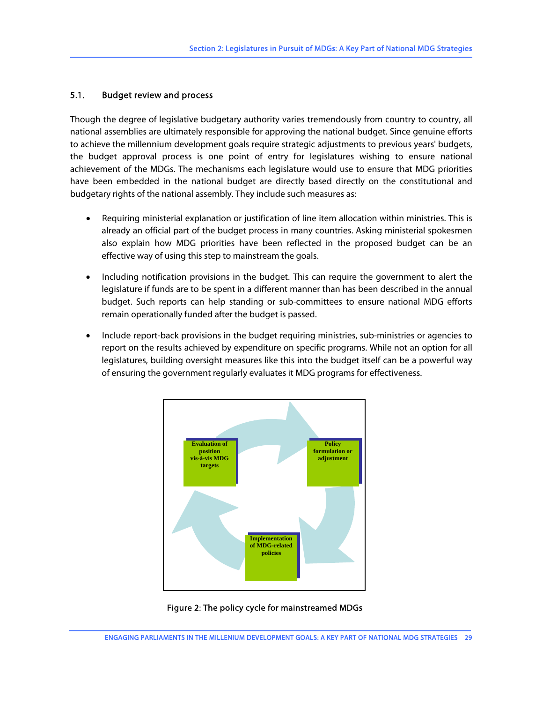### 5.1. Budget review and process

Though the degree of legislative budgetary authority varies tremendously from country to country, all national assemblies are ultimately responsible for approving the national budget. Since genuine efforts to achieve the millennium development goals require strategic adjustments to previous years' budgets, the budget approval process is one point of entry for legislatures wishing to ensure national achievement of the MDGs. The mechanisms each legislature would use to ensure that MDG priorities have been embedded in the national budget are directly based directly on the constitutional and budgetary rights of the national assembly. They include such measures as:

- Requiring ministerial explanation or justification of line item allocation within ministries. This is already an official part of the budget process in many countries. Asking ministerial spokesmen also explain how MDG priorities have been reflected in the proposed budget can be an effective way of using this step to mainstream the goals.
- Including notification provisions in the budget. This can require the government to alert the legislature if funds are to be spent in a different manner than has been described in the annual budget. Such reports can help standing or sub-committees to ensure national MDG efforts remain operationally funded after the budget is passed.
- Include report-back provisions in the budget requiring ministries, sub-ministries or agencies to report on the results achieved by expenditure on specific programs. While not an option for all legislatures, building oversight measures like this into the budget itself can be a powerful way of ensuring the government regularly evaluates it MDG programs for effectiveness.



Figure 2: The policy cycle for mainstreamed MDGs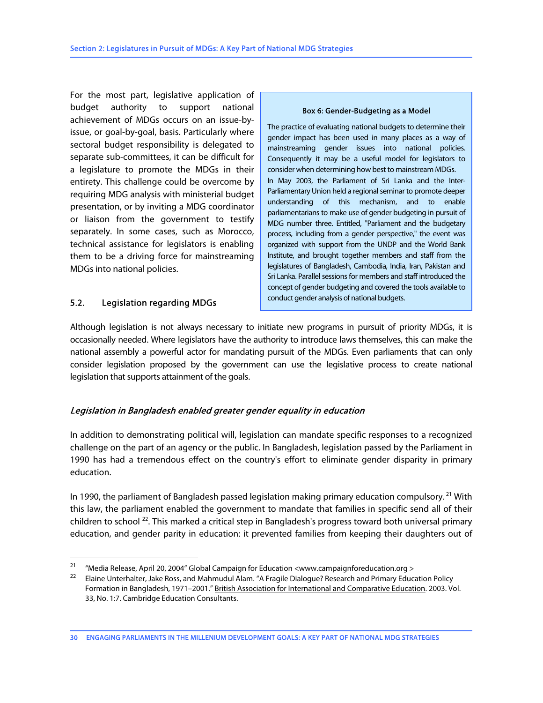For the most part, legislative application of budget authority to support national achievement of MDGs occurs on an issue-byissue, or goal-by-goal, basis. Particularly where sectoral budget responsibility is delegated to separate sub-committees, it can be difficult for a legislature to promote the MDGs in their entirety. This challenge could be overcome by requiring MDG analysis with ministerial budget presentation, or by inviting a MDG coordinator or liaison from the government to testify separately. In some cases, such as Morocco, technical assistance for legislators is enabling them to be a driving force for mainstreaming MDGs into national policies.

### 5.2. Legislation regarding MDGs

#### Box 6: Gender-Budgeting as a Model

The practice of evaluating national budgets to determine their gender impact has been used in many places as a way of mainstreaming gender issues into national policies. Consequently it may be a useful model for legislators to consider when determining how best to mainstream MDGs. In May 2003, the Parliament of Sri Lanka and the Inter-Parliamentary Union held a regional seminar to promote deeper understanding of this mechanism, and to enable parliamentarians to make use of gender budgeting in pursuit of MDG number three. Entitled, "Parliament and the budgetary process, including from a gender perspective," the event was organized with support from the UNDP and the World Bank Institute, and brought together members and staff from the legislatures of Bangladesh, Cambodia, India, Iran, Pakistan and Sri Lanka. Parallel sessions for members and staff introduced the concept of gender budgeting and covered the tools available to conduct gender analysis of national budgets.

Although legislation is not always necessary to initiate new programs in pursuit of priority MDGs, it is occasionally needed. Where legislators have the authority to introduce laws themselves, this can make the national assembly a powerful actor for mandating pursuit of the MDGs. Even parliaments that can only consider legislation proposed by the government can use the legislative process to create national legislation that supports attainment of the goals.

### Legislation in Bangladesh enabled greater gender equality in education

In addition to demonstrating political will, legislation can mandate specific responses to a recognized challenge on the part of an agency or the public. In Bangladesh, legislation passed by the Parliament in 1990 has had a tremendous effect on the country's effort to eliminate gender disparity in primary education.

In 1990, the parliament of Bangladesh passed legislation making primary education compulsory.<sup>21</sup> With this law, the parliament enabled the government to mandate that families in specific send all of their children to school<sup>22</sup>. This marked a critical step in Bangladesh's progress toward both universal primary education, and gender parity in education: it prevented families from keeping their daughters out of

 $21$ 

<sup>&</sup>lt;sup>21</sup> "Media Release, April 20, 2004" Global Campaign for Education <www.campaignforeducation.org > 22 Elaine Unterhalter, Jake Ross, and Mahmudul Alam. "A Fragile Dialogue? Research and Primary Education Policy Formation in Bangladesh, 1971-2001." British Association for International and Comparative Education. 2003. Vol. 33, No. 1:7. Cambridge Education Consultants.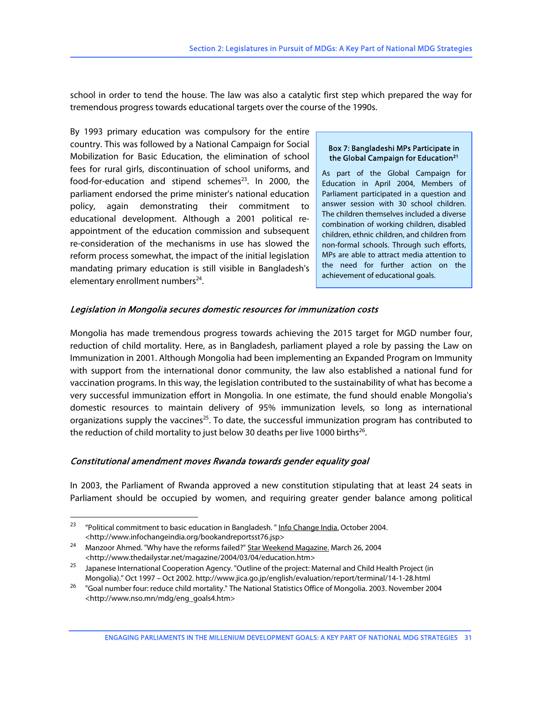school in order to tend the house. The law was also a catalytic first step which prepared the way for tremendous progress towards educational targets over the course of the 1990s.

By 1993 primary education was compulsory for the entire country. This was followed by a National Campaign for Social Mobilization for Basic Education, the elimination of school fees for rural girls, discontinuation of school uniforms, and food-for-education and stipend schemes $23$ . In 2000, the parliament endorsed the prime minister's national education policy, again demonstrating their commitment to educational development. Although a 2001 political reappointment of the education commission and subsequent re-consideration of the mechanisms in use has slowed the reform process somewhat, the impact of the initial legislation mandating primary education is still visible in Bangladesh's elementary enrollment numbers $^{24}$ .

#### Box 7: Bangladeshi MPs Participate in the Global Campaign for Education<sup>21</sup>

As part of the Global Campaign for Education in April 2004, Members of Parliament participated in a question and answer session with 30 school children. The children themselves included a diverse combination of working children, disabled children, ethnic children, and children from non-formal schools. Through such efforts, MPs are able to attract media attention to the need for further action on the achievement of educational goals.

### Legislation in Mongolia secures domestic resources for immunization costs

Mongolia has made tremendous progress towards achieving the 2015 target for MGD number four, reduction of child mortality. Here, as in Bangladesh, parliament played a role by passing the Law on Immunization in 2001. Although Mongolia had been implementing an Expanded Program on Immunity with support from the international donor community, the law also established a national fund for vaccination programs. In this way, the legislation contributed to the sustainability of what has become a very successful immunization effort in Mongolia. In one estimate, the fund should enable Mongolia's domestic resources to maintain delivery of 95% immunization levels, so long as international organizations supply the vaccines<sup>25</sup>. To date, the successful immunization program has contributed to the reduction of child mortality to just below 30 deaths per live 1000 births<sup>26</sup>.

### Constitutional amendment moves Rwanda towards gender equality goal

In 2003, the Parliament of Rwanda approved a new constitution stipulating that at least 24 seats in Parliament should be occupied by women, and requiring greater gender balance among political

<sup>&</sup>lt;sup>23</sup> "Political commitment to basic education in Bangladesh." Info Change India. October 2004. <http://www.infochangeindia.org/bookandreportsst76.jsp> 24 Manzoor Ahmed. "Why have the reforms failed?" Star Weekend Magazine. March 26, 2004

<sup>&</sup>lt;http://www.thedailystar.net/magazine/2004/03/04/education.htm> 25 Japanese International Cooperation Agency. "Outline of the project: Maternal and Child Health Project (in

Mongolia)." Oct 1997 – Oct 2002. http://www.jica.go.jp/english/evaluation/report/terminal/14-1-28.html 26 "Goal number four: reduce child mortality." The National Statistics Office of Mongolia. 2003. November 2004 <http://www.nso.mn/mdg/eng\_goals4.htm>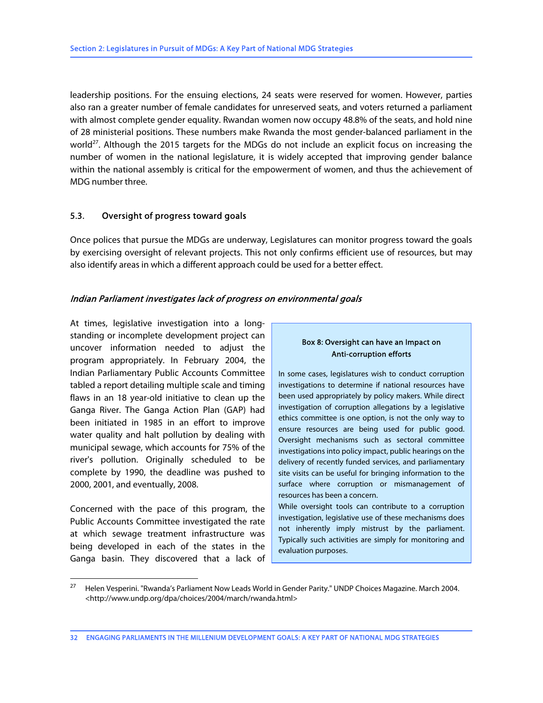leadership positions. For the ensuing elections, 24 seats were reserved for women. However, parties also ran a greater number of female candidates for unreserved seats, and voters returned a parliament with almost complete gender equality. Rwandan women now occupy 48.8% of the seats, and hold nine of 28 ministerial positions. These numbers make Rwanda the most gender-balanced parliament in the world<sup>27</sup>. Although the 2015 targets for the MDGs do not include an explicit focus on increasing the number of women in the national legislature, it is widely accepted that improving gender balance within the national assembly is critical for the empowerment of women, and thus the achievement of MDG number three.

### 5.3. Oversight of progress toward goals

Once polices that pursue the MDGs are underway, Legislatures can monitor progress toward the goals by exercising oversight of relevant projects. This not only confirms efficient use of resources, but may also identify areas in which a different approach could be used for a better effect.

#### Indian Parliament investigates lack of progress on environmental goals

At times, legislative investigation into a longstanding or incomplete development project can uncover information needed to adjust the program appropriately. In February 2004, the Indian Parliamentary Public Accounts Committee tabled a report detailing multiple scale and timing flaws in an 18 year-old initiative to clean up the Ganga River. The Ganga Action Plan (GAP) had been initiated in 1985 in an effort to improve water quality and halt pollution by dealing with municipal sewage, which accounts for 75% of the river's pollution. Originally scheduled to be complete by 1990, the deadline was pushed to 2000, 2001, and eventually, 2008.

Concerned with the pace of this program, the Public Accounts Committee investigated the rate at which sewage treatment infrastructure was being developed in each of the states in the Ganga basin. They discovered that a lack of

### Box 8: Oversight can have an Impact on Anti-corruption efforts

In some cases, legislatures wish to conduct corruption investigations to determine if national resources have been used appropriately by policy makers. While direct investigation of corruption allegations by a legislative ethics committee is one option, is not the only way to ensure resources are being used for public good. Oversight mechanisms such as sectoral committee investigations into policy impact, public hearings on the delivery of recently funded services, and parliamentary site visits can be useful for bringing information to the surface where corruption or mismanagement of resources has been a concern.

While oversight tools can contribute to a corruption investigation, legislative use of these mechanisms does not inherently imply mistrust by the parliament. Typically such activities are simply for monitoring and evaluation purposes.

<sup>27</sup> 27 Helen Vesperini. "Rwanda's Parliament Now Leads World in Gender Parity." UNDP Choices Magazine. March 2004. <http://www.undp.org/dpa/choices/2004/march/rwanda.html>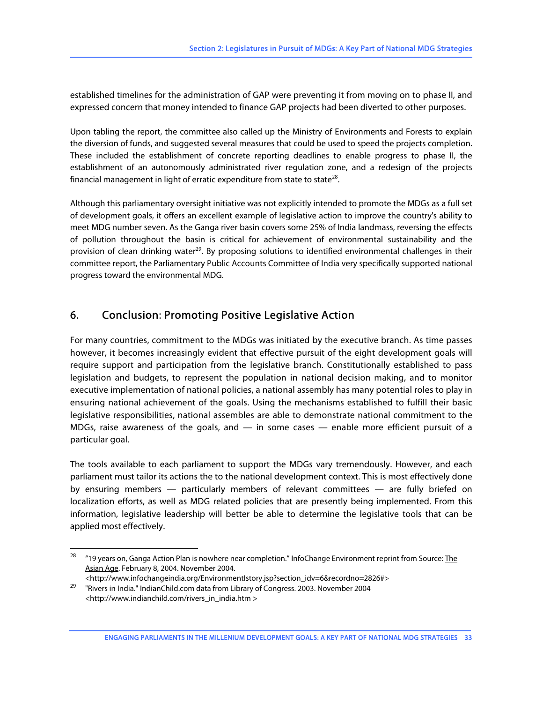established timelines for the administration of GAP were preventing it from moving on to phase II, and expressed concern that money intended to finance GAP projects had been diverted to other purposes.

Upon tabling the report, the committee also called up the Ministry of Environments and Forests to explain the diversion of funds, and suggested several measures that could be used to speed the projects completion. These included the establishment of concrete reporting deadlines to enable progress to phase II, the establishment of an autonomously administrated river regulation zone, and a redesign of the projects financial management in light of erratic expenditure from state to state<sup>28</sup>.

Although this parliamentary oversight initiative was not explicitly intended to promote the MDGs as a full set of development goals, it offers an excellent example of legislative action to improve the country's ability to meet MDG number seven. As the Ganga river basin covers some 25% of India landmass, reversing the effects of pollution throughout the basin is critical for achievement of environmental sustainability and the provision of clean drinking water<sup>29</sup>. By proposing solutions to identified environmental challenges in their committee report, the Parliamentary Public Accounts Committee of India very specifically supported national progress toward the environmental MDG.

# 6. Conclusion: Promoting Positive Legislative Action

For many countries, commitment to the MDGs was initiated by the executive branch. As time passes however, it becomes increasingly evident that effective pursuit of the eight development goals will require support and participation from the legislative branch. Constitutionally established to pass legislation and budgets, to represent the population in national decision making, and to monitor executive implementation of national policies, a national assembly has many potential roles to play in ensuring national achievement of the goals. Using the mechanisms established to fulfill their basic legislative responsibilities, national assembles are able to demonstrate national commitment to the MDGs, raise awareness of the goals, and  $-$  in some cases  $-$  enable more efficient pursuit of a particular goal.

The tools available to each parliament to support the MDGs vary tremendously. However, and each parliament must tailor its actions the to the national development context. This is most effectively done by ensuring members — particularly members of relevant committees — are fully briefed on localization efforts, as well as MDG related policies that are presently being implemented. From this information, legislative leadership will better be able to determine the legislative tools that can be applied most effectively.

 $\overline{a}$ 

 $^{28}$   $\,$  "19 years on, Ganga Action Plan is nowhere near completion." InfoChange Environment reprint from Source: <u>The</u> Asian Age. February 8, 2004. November 2004.

<sup>&</sup>lt;http://www.infochangeindia.org/EnvironmentIstory.jsp?section\_idv=6&recordno=2826#> 29 "Rivers in India." IndianChild.com data from Library of Congress. 2003. November 2004 <http://www.indianchild.com/rivers\_in\_india.htm >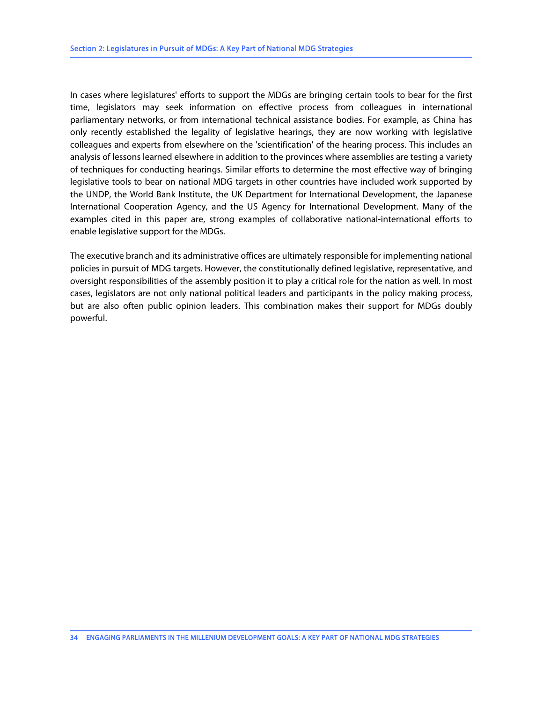In cases where legislatures' efforts to support the MDGs are bringing certain tools to bear for the first time, legislators may seek information on effective process from colleagues in international parliamentary networks, or from international technical assistance bodies. For example, as China has only recently established the legality of legislative hearings, they are now working with legislative colleagues and experts from elsewhere on the 'scientification' of the hearing process. This includes an analysis of lessons learned elsewhere in addition to the provinces where assemblies are testing a variety of techniques for conducting hearings. Similar efforts to determine the most effective way of bringing legislative tools to bear on national MDG targets in other countries have included work supported by the UNDP, the World Bank Institute, the UK Department for International Development, the Japanese International Cooperation Agency, and the US Agency for International Development. Many of the examples cited in this paper are, strong examples of collaborative national-international efforts to enable legislative support for the MDGs.

The executive branch and its administrative offices are ultimately responsible for implementing national policies in pursuit of MDG targets. However, the constitutionally defined legislative, representative, and oversight responsibilities of the assembly position it to play a critical role for the nation as well. In most cases, legislators are not only national political leaders and participants in the policy making process, but are also often public opinion leaders. This combination makes their support for MDGs doubly powerful.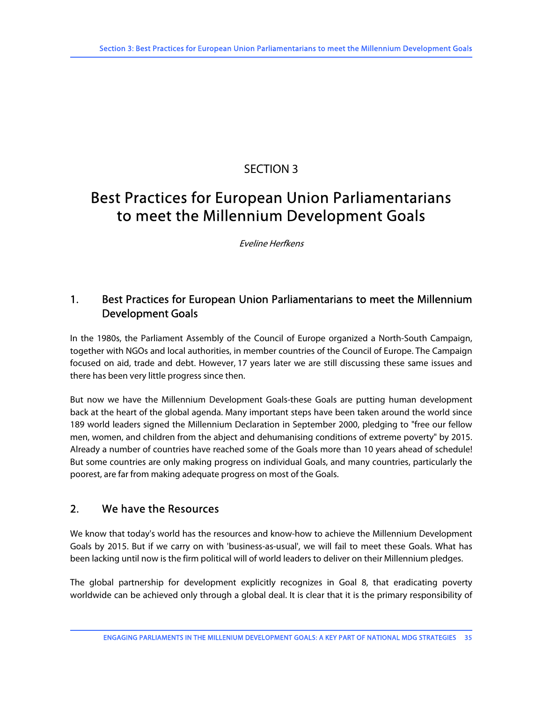# SECTION 3

# Best Practices for European Union Parliamentarians to meet the Millennium Development Goals

Eveline Herfkens

# 1. Best Practices for European Union Parliamentarians to meet the Millennium Development Goals

In the 1980s, the Parliament Assembly of the Council of Europe organized a North-South Campaign, together with NGOs and local authorities, in member countries of the Council of Europe. The Campaign focused on aid, trade and debt. However, 17 years later we are still discussing these same issues and there has been very little progress since then.

But now we have the Millennium Development Goals-these Goals are putting human development back at the heart of the global agenda. Many important steps have been taken around the world since 189 world leaders signed the Millennium Declaration in September 2000, pledging to "free our fellow men, women, and children from the abject and dehumanising conditions of extreme poverty" by 2015. Already a number of countries have reached some of the Goals more than 10 years ahead of schedule! But some countries are only making progress on individual Goals, and many countries, particularly the poorest, are far from making adequate progress on most of the Goals.

# 2. We have the Resources

We know that today's world has the resources and know-how to achieve the Millennium Development Goals by 2015. But if we carry on with 'business-as-usual', we will fail to meet these Goals. What has been lacking until now is the firm political will of world leaders to deliver on their Millennium pledges.

The global partnership for development explicitly recognizes in Goal 8, that eradicating poverty worldwide can be achieved only through a global deal. It is clear that it is the primary responsibility of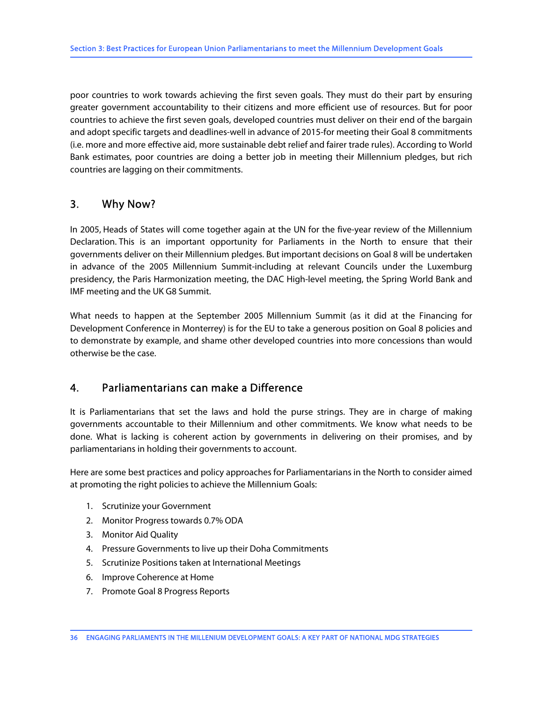poor countries to work towards achieving the first seven goals. They must do their part by ensuring greater government accountability to their citizens and more efficient use of resources. But for poor countries to achieve the first seven goals, developed countries must deliver on their end of the bargain and adopt specific targets and deadlines-well in advance of 2015-for meeting their Goal 8 commitments (i.e. more and more effective aid, more sustainable debt relief and fairer trade rules). According to World Bank estimates, poor countries are doing a better job in meeting their Millennium pledges, but rich countries are lagging on their commitments.

### 3. Why Now?

In 2005, Heads of States will come together again at the UN for the five-year review of the Millennium Declaration. This is an important opportunity for Parliaments in the North to ensure that their governments deliver on their Millennium pledges. But important decisions on Goal 8 will be undertaken in advance of the 2005 Millennium Summit-including at relevant Councils under the Luxemburg presidency, the Paris Harmonization meeting, the DAC High-level meeting, the Spring World Bank and IMF meeting and the UK G8 Summit.

What needs to happen at the September 2005 Millennium Summit (as it did at the Financing for Development Conference in Monterrey) is for the EU to take a generous position on Goal 8 policies and to demonstrate by example, and shame other developed countries into more concessions than would otherwise be the case.

### 4. Parliamentarians can make a Difference

It is Parliamentarians that set the laws and hold the purse strings. They are in charge of making governments accountable to their Millennium and other commitments. We know what needs to be done. What is lacking is coherent action by governments in delivering on their promises, and by parliamentarians in holding their governments to account.

Here are some best practices and policy approaches for Parliamentarians in the North to consider aimed at promoting the right policies to achieve the Millennium Goals:

- 1. Scrutinize your Government
- 2. Monitor Progress towards 0.7% ODA
- 3. Monitor Aid Quality
- 4. Pressure Governments to live up their Doha Commitments
- 5. Scrutinize Positions taken at International Meetings
- 6. Improve Coherence at Home
- 7. Promote Goal 8 Progress Reports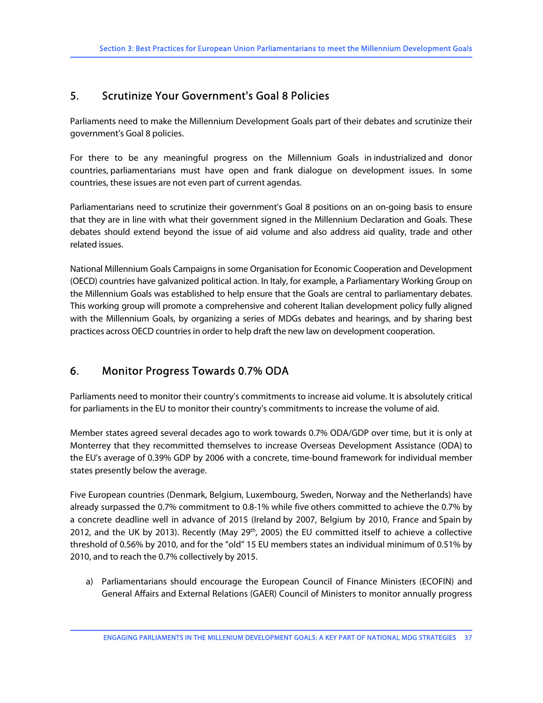# 5. Scrutinize Your Government's Goal 8 Policies

Parliaments need to make the Millennium Development Goals part of their debates and scrutinize their government's Goal 8 policies.

For there to be any meaningful progress on the Millennium Goals in industrialized and donor countries, parliamentarians must have open and frank dialogue on development issues. In some countries, these issues are not even part of current agendas.

Parliamentarians need to scrutinize their government's Goal 8 positions on an on-going basis to ensure that they are in line with what their government signed in the Millennium Declaration and Goals. These debates should extend beyond the issue of aid volume and also address aid quality, trade and other related issues.

National Millennium Goals Campaigns in some Organisation for Economic Cooperation and Development (OECD) countries have galvanized political action. In Italy, for example, a Parliamentary Working Group on the Millennium Goals was established to help ensure that the Goals are central to parliamentary debates. This working group will promote a comprehensive and coherent Italian development policy fully aligned with the Millennium Goals, by organizing a series of MDGs debates and hearings, and by sharing best practices across OECD countries in order to help draft the new law on development cooperation.

# 6. Monitor Progress Towards 0.7% ODA

Parliaments need to monitor their country's commitments to increase aid volume. It is absolutely critical for parliaments in the EU to monitor their country's commitments to increase the volume of aid.

Member states agreed several decades ago to work towards 0.7% ODA/GDP over time, but it is only at Monterrey that they recommitted themselves to increase Overseas Development Assistance (ODA) to the EU's average of 0.39% GDP by 2006 with a concrete, time-bound framework for individual member states presently below the average.

Five European countries (Denmark, Belgium, Luxembourg, Sweden, Norway and the Netherlands) have already surpassed the 0.7% commitment to 0.8-1% while five others committed to achieve the 0.7% by a concrete deadline well in advance of 2015 (Ireland by 2007, Belgium by 2010, France and Spain by 2012, and the UK by 2013). Recently (May 29<sup>th</sup>, 2005) the EU committed itself to achieve a collective threshold of 0.56% by 2010, and for the "old" 15 EU members states an individual minimum of 0.51% by 2010, and to reach the 0.7% collectively by 2015.

a) Parliamentarians should encourage the European Council of Finance Ministers (ECOFIN) and General Affairs and External Relations (GAER) Council of Ministers to monitor annually progress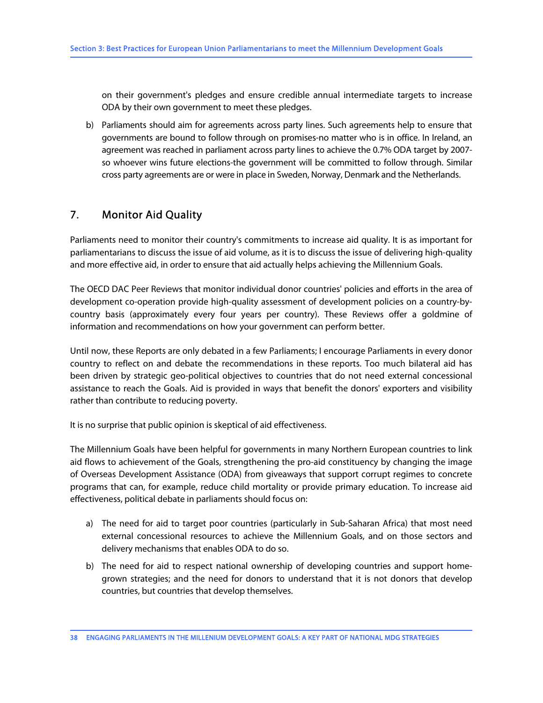on their government's pledges and ensure credible annual intermediate targets to increase ODA by their own government to meet these pledges.

b) Parliaments should aim for agreements across party lines. Such agreements help to ensure that governments are bound to follow through on promises-no matter who is in office. In Ireland, an agreement was reached in parliament across party lines to achieve the 0.7% ODA target by 2007 so whoever wins future elections-the government will be committed to follow through. Similar cross party agreements are or were in place in Sweden, Norway, Denmark and the Netherlands.

### 7. Monitor Aid Quality

Parliaments need to monitor their country's commitments to increase aid quality. It is as important for parliamentarians to discuss the issue of aid volume, as it is to discuss the issue of delivering high-quality and more effective aid, in order to ensure that aid actually helps achieving the Millennium Goals.

The OECD DAC Peer Reviews that monitor individual donor countries' policies and efforts in the area of development co-operation provide high-quality assessment of development policies on a country-bycountry basis (approximately every four years per country). These Reviews offer a goldmine of information and recommendations on how your government can perform better.

Until now, these Reports are only debated in a few Parliaments; I encourage Parliaments in every donor country to reflect on and debate the recommendations in these reports. Too much bilateral aid has been driven by strategic geo-political objectives to countries that do not need external concessional assistance to reach the Goals. Aid is provided in ways that benefit the donors' exporters and visibility rather than contribute to reducing poverty.

It is no surprise that public opinion is skeptical of aid effectiveness.

The Millennium Goals have been helpful for governments in many Northern European countries to link aid flows to achievement of the Goals, strengthening the pro-aid constituency by changing the image of Overseas Development Assistance (ODA) from giveaways that support corrupt regimes to concrete programs that can, for example, reduce child mortality or provide primary education. To increase aid effectiveness, political debate in parliaments should focus on:

- a) The need for aid to target poor countries (particularly in Sub-Saharan Africa) that most need external concessional resources to achieve the Millennium Goals, and on those sectors and delivery mechanisms that enables ODA to do so.
- b) The need for aid to respect national ownership of developing countries and support homegrown strategies; and the need for donors to understand that it is not donors that develop countries, but countries that develop themselves.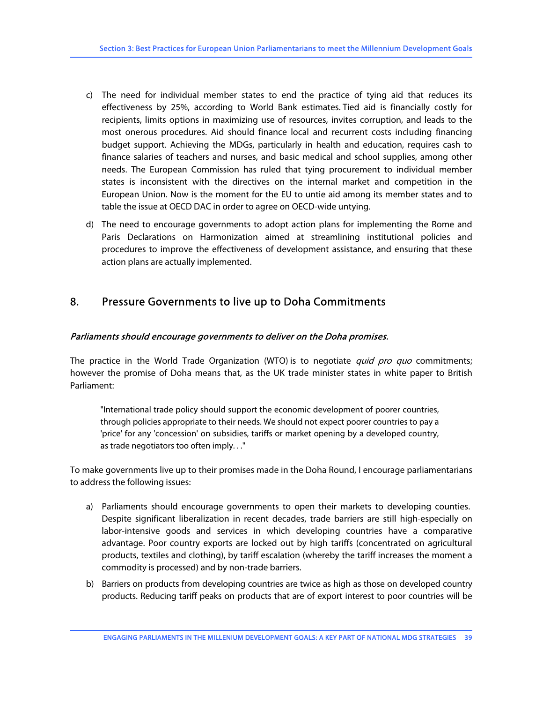- c) The need for individual member states to end the practice of tying aid that reduces its effectiveness by 25%, according to World Bank estimates. Tied aid is financially costly for recipients, limits options in maximizing use of resources, invites corruption, and leads to the most onerous procedures. Aid should finance local and recurrent costs including financing budget support. Achieving the MDGs, particularly in health and education, requires cash to finance salaries of teachers and nurses, and basic medical and school supplies, among other needs. The European Commission has ruled that tying procurement to individual member states is inconsistent with the directives on the internal market and competition in the European Union. Now is the moment for the EU to untie aid among its member states and to table the issue at OECD DAC in order to agree on OECD-wide untying.
- d) The need to encourage governments to adopt action plans for implementing the Rome and Paris Declarations on Harmonization aimed at streamlining institutional policies and procedures to improve the effectiveness of development assistance, and ensuring that these action plans are actually implemented.

# 8. Pressure Governments to live up to Doha Commitments

### Parliaments should encourage governments to deliver on the Doha promises.

The practice in the World Trade Organization (WTO) is to negotiate quid pro quo commitments; however the promise of Doha means that, as the UK trade minister states in white paper to British Parliament:

"International trade policy should support the economic development of poorer countries, through policies appropriate to their needs. We should not expect poorer countries to pay a 'price' for any 'concession' on subsidies, tariffs or market opening by a developed country, as trade negotiators too often imply. . ."

To make governments live up to their promises made in the Doha Round, I encourage parliamentarians to address the following issues:

- a) Parliaments should encourage governments to open their markets to developing counties. Despite significant liberalization in recent decades, trade barriers are still high-especially on labor-intensive goods and services in which developing countries have a comparative advantage. Poor country exports are locked out by high tariffs (concentrated on agricultural products, textiles and clothing), by tariff escalation (whereby the tariff increases the moment a commodity is processed) and by non-trade barriers.
- b) Barriers on products from developing countries are twice as high as those on developed country products. Reducing tariff peaks on products that are of export interest to poor countries will be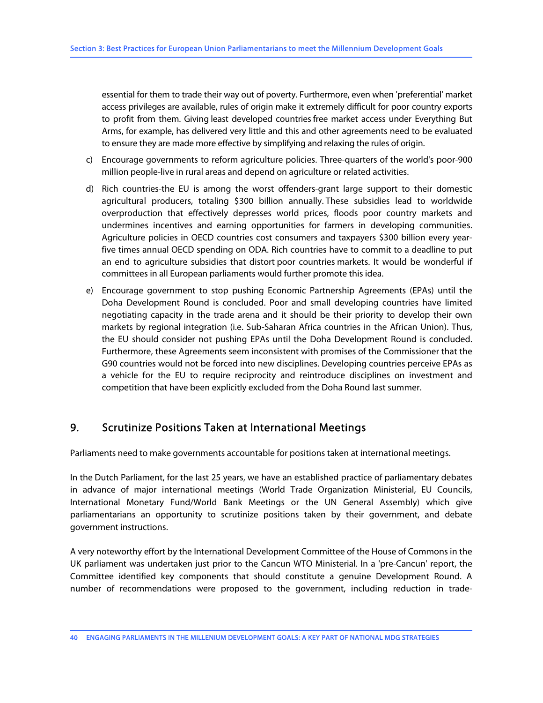essential for them to trade their way out of poverty. Furthermore, even when 'preferential' market access privileges are available, rules of origin make it extremely difficult for poor country exports to profit from them. Giving least developed countries free market access under Everything But Arms, for example, has delivered very little and this and other agreements need to be evaluated to ensure they are made more effective by simplifying and relaxing the rules of origin.

- c) Encourage governments to reform agriculture policies. Three-quarters of the world's poor-900 million people-live in rural areas and depend on agriculture or related activities.
- d) Rich countries-the EU is among the worst offenders-grant large support to their domestic agricultural producers, totaling \$300 billion annually. These subsidies lead to worldwide overproduction that effectively depresses world prices, floods poor country markets and undermines incentives and earning opportunities for farmers in developing communities. Agriculture policies in OECD countries cost consumers and taxpayers \$300 billion every yearfive times annual OECD spending on ODA. Rich countries have to commit to a deadline to put an end to agriculture subsidies that distort poor countries markets. It would be wonderful if committees in all European parliaments would further promote this idea.
- e) Encourage government to stop pushing Economic Partnership Agreements (EPAs) until the Doha Development Round is concluded. Poor and small developing countries have limited negotiating capacity in the trade arena and it should be their priority to develop their own markets by regional integration (i.e. Sub-Saharan Africa countries in the African Union). Thus, the EU should consider not pushing EPAs until the Doha Development Round is concluded. Furthermore, these Agreements seem inconsistent with promises of the Commissioner that the G90 countries would not be forced into new disciplines. Developing countries perceive EPAs as a vehicle for the EU to require reciprocity and reintroduce disciplines on investment and competition that have been explicitly excluded from the Doha Round last summer.

### 9. Scrutinize Positions Taken at International Meetings

Parliaments need to make governments accountable for positions taken at international meetings.

In the Dutch Parliament, for the last 25 years, we have an established practice of parliamentary debates in advance of major international meetings (World Trade Organization Ministerial, EU Councils, International Monetary Fund/World Bank Meetings or the UN General Assembly) which give parliamentarians an opportunity to scrutinize positions taken by their government, and debate government instructions.

A very noteworthy effort by the International Development Committee of the House of Commons in the UK parliament was undertaken just prior to the Cancun WTO Ministerial. In a 'pre-Cancun' report, the Committee identified key components that should constitute a genuine Development Round. A number of recommendations were proposed to the government, including reduction in trade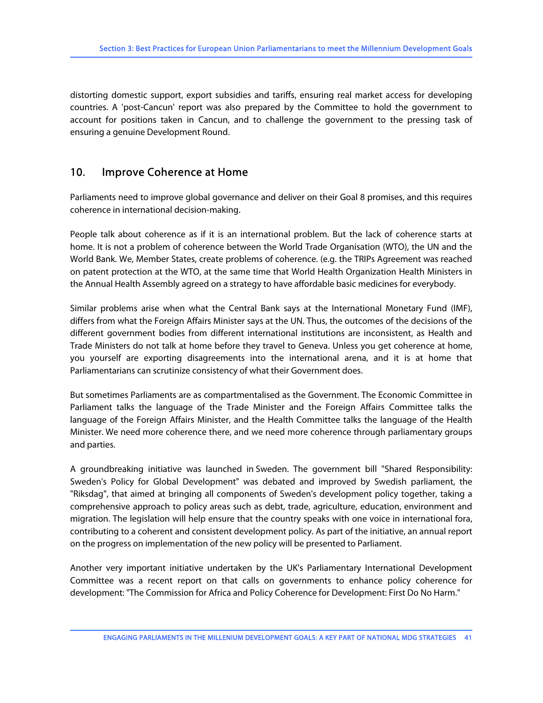distorting domestic support, export subsidies and tariffs, ensuring real market access for developing countries. A 'post-Cancun' report was also prepared by the Committee to hold the government to account for positions taken in Cancun, and to challenge the government to the pressing task of ensuring a genuine Development Round.

# 10. Improve Coherence at Home

Parliaments need to improve global governance and deliver on their Goal 8 promises, and this requires coherence in international decision-making.

People talk about coherence as if it is an international problem. But the lack of coherence starts at home. It is not a problem of coherence between the World Trade Organisation (WTO), the UN and the World Bank. We, Member States, create problems of coherence. (e.g. the TRIPs Agreement was reached on patent protection at the WTO, at the same time that World Health Organization Health Ministers in the Annual Health Assembly agreed on a strategy to have affordable basic medicines for everybody.

Similar problems arise when what the Central Bank says at the International Monetary Fund (IMF), differs from what the Foreign Affairs Minister says at the UN. Thus, the outcomes of the decisions of the different government bodies from different international institutions are inconsistent, as Health and Trade Ministers do not talk at home before they travel to Geneva. Unless you get coherence at home, you yourself are exporting disagreements into the international arena, and it is at home that Parliamentarians can scrutinize consistency of what their Government does.

But sometimes Parliaments are as compartmentalised as the Government. The Economic Committee in Parliament talks the language of the Trade Minister and the Foreign Affairs Committee talks the language of the Foreign Affairs Minister, and the Health Committee talks the language of the Health Minister. We need more coherence there, and we need more coherence through parliamentary groups and parties.

A groundbreaking initiative was launched in Sweden. The government bill "Shared Responsibility: Sweden's Policy for Global Development" was debated and improved by Swedish parliament, the "Riksdag", that aimed at bringing all components of Sweden's development policy together, taking a comprehensive approach to policy areas such as debt, trade, agriculture, education, environment and migration. The legislation will help ensure that the country speaks with one voice in international fora, contributing to a coherent and consistent development policy. As part of the initiative, an annual report on the progress on implementation of the new policy will be presented to Parliament.

Another very important initiative undertaken by the UK's Parliamentary International Development Committee was a recent report on that calls on governments to enhance policy coherence for development: "The Commission for Africa and Policy Coherence for Development: First Do No Harm."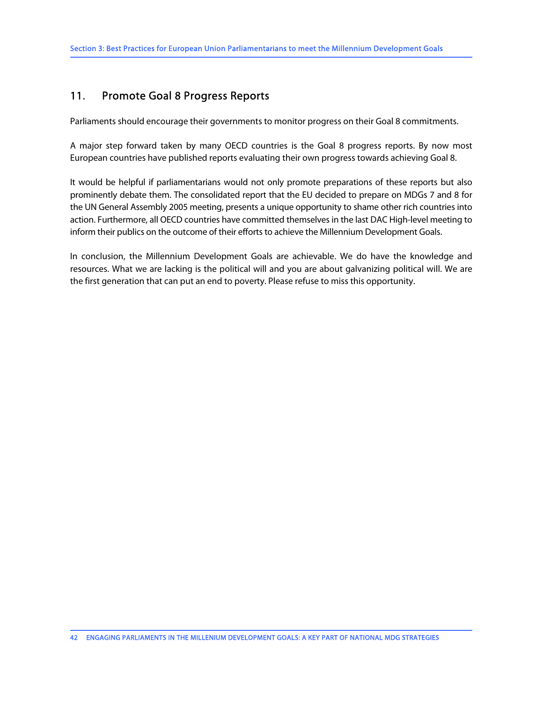### 11. Promote Goal 8 Progress Reports

Parliaments should encourage their governments to monitor progress on their Goal 8 commitments.

A major step forward taken by many OECD countries is the Goal 8 progress reports. By now most European countries have published reports evaluating their own progress towards achieving Goal 8.

It would be helpful if parliamentarians would not only promote preparations of these reports but also prominently debate them. The consolidated report that the EU decided to prepare on MDGs 7 and 8 for the UN General Assembly 2005 meeting, presents a unique opportunity to shame other rich countries into action. Furthermore, all OECD countries have committed themselves in the last DAC High-level meeting to inform their publics on the outcome of their efforts to achieve the Millennium Development Goals.

In conclusion, the Millennium Development Goals are achievable. We do have the knowledge and resources. What we are lacking is the political will and you are about galvanizing political will. We are the first generation that can put an end to poverty. Please refuse to miss this opportunity.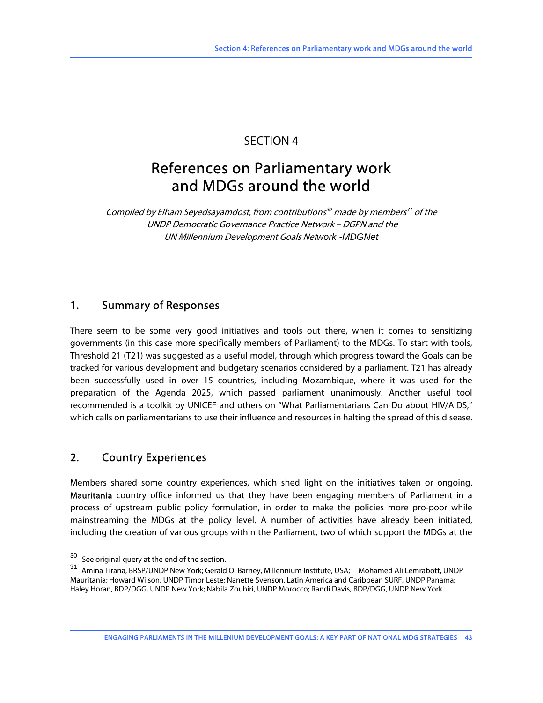# SECTION 4

# References on Parliamentary work and MDGs around the world

Compiled by Elham Seyedsayamdost, from contributions<sup>30</sup> made by members<sup>31</sup> of the UNDP Democratic Governance Practice Network – DGPN and the UN Millennium Development Goals Net*work -MDGNet*

# 1. Summary of Responses

There seem to be some very good initiatives and tools out there, when it comes to sensitizing governments (in this case more specifically members of Parliament) to the MDGs. To start with tools, Threshold 21 (T21) was suggested as a useful model, through which progress toward the Goals can be tracked for various development and budgetary scenarios considered by a parliament. T21 has already been successfully used in over 15 countries, including Mozambique, where it was used for the preparation of the Agenda 2025, which passed parliament unanimously. Another useful tool recommended is a toolkit by UNICEF and others on "What Parliamentarians Can Do about HIV/AIDS," which calls on parliamentarians to use their influence and resources in halting the spread of this disease.

# 2. Country Experiences

Members shared some country experiences, which shed light on the initiatives taken or ongoing. Mauritania country office informed us that they have been engaging members of Parliament in a process of upstream public policy formulation, in order to make the policies more pro-poor while mainstreaming the MDGs at the policy level. A number of activities have already been initiated, including the creation of various groups within the Parliament, two of which support the MDGs at the

 $\overline{a}$ 

 $^{30}$  See original query at the end of the section.

<sup>31</sup> Amina Tirana, BRSP/UNDP New York; Gerald O. Barney, Millennium Institute, USA; Mohamed Ali Lemrabott, UNDP Mauritania; Howard Wilson, UNDP Timor Leste; Nanette Svenson, Latin America and Caribbean SURF, UNDP Panama; Haley Horan, BDP/DGG, UNDP New York; Nabila Zouhiri, UNDP Morocco; Randi Davis, BDP/DGG, UNDP New York.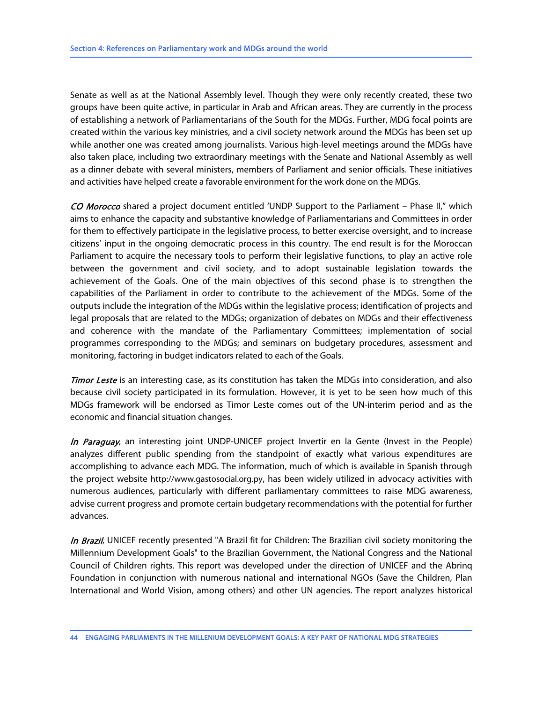Senate as well as at the National Assembly level. Though they were only recently created, these two groups have been quite active, in particular in Arab and African areas. They are currently in the process of establishing a network of Parliamentarians of the South for the MDGs. Further, MDG focal points are created within the various key ministries, and a civil society network around the MDGs has been set up while another one was created among journalists. Various high-level meetings around the MDGs have also taken place, including two extraordinary meetings with the Senate and National Assembly as well as a dinner debate with several ministers, members of Parliament and senior officials. These initiatives and activities have helped create a favorable environment for the work done on the MDGs.

CO Morocco shared a project document entitled 'UNDP Support to the Parliament – Phase II," which aims to enhance the capacity and substantive knowledge of Parliamentarians and Committees in order for them to effectively participate in the legislative process, to better exercise oversight, and to increase citizens' input in the ongoing democratic process in this country. The end result is for the Moroccan Parliament to acquire the necessary tools to perform their legislative functions, to play an active role between the government and civil society, and to adopt sustainable legislation towards the achievement of the Goals. One of the main objectives of this second phase is to strengthen the capabilities of the Parliament in order to contribute to the achievement of the MDGs. Some of the outputs include the integration of the MDGs within the legislative process; identification of projects and legal proposals that are related to the MDGs; organization of debates on MDGs and their effectiveness and coherence with the mandate of the Parliamentary Committees; implementation of social programmes corresponding to the MDGs; and seminars on budgetary procedures, assessment and monitoring, factoring in budget indicators related to each of the Goals.

Timor Leste is an interesting case, as its constitution has taken the MDGs into consideration, and also because civil society participated in its formulation. However, it is yet to be seen how much of this MDGs framework will be endorsed as Timor Leste comes out of the UN-interim period and as the economic and financial situation changes.

In Paraguay, an interesting joint UNDP-UNICEF project Invertir en la Gente (Invest in the People) analyzes different public spending from the standpoint of exactly what various expenditures are accomplishing to advance each MDG. The information, much of which is available in Spanish through the project website http://www.gastosocial.org.py, has been widely utilized in advocacy activities with numerous audiences, particularly with different parliamentary committees to raise MDG awareness, advise current progress and promote certain budgetary recommendations with the potential for further advances.

In Brazil, UNICEF recently presented "A Brazil fit for Children: The Brazilian civil society monitoring the Millennium Development Goals" to the Brazilian Government, the National Congress and the National Council of Children rights. This report was developed under the direction of UNICEF and the Abrinq Foundation in conjunction with numerous national and international NGOs (Save the Children, Plan International and World Vision, among others) and other UN agencies. The report analyzes historical

44 ENGAGING PARLIAMENTS IN THE MILLENIUM DEVELOPMENT GOALS: A KEY PART OF NATIONAL MDG STRATEGIES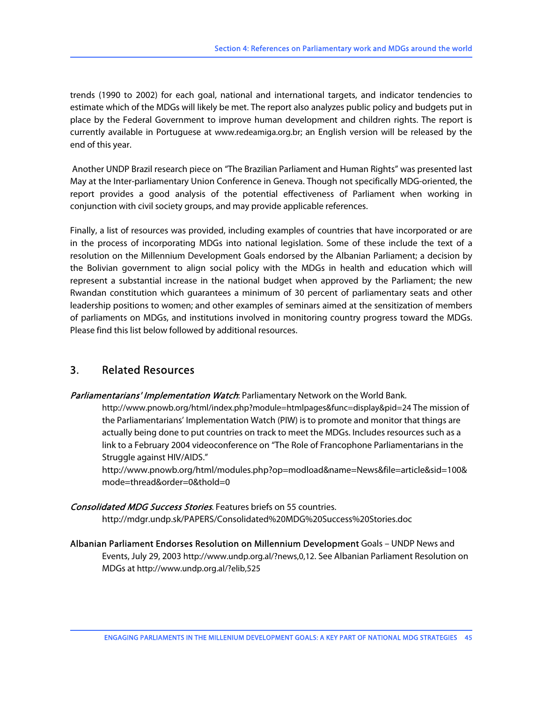trends (1990 to 2002) for each goal, national and international targets, and indicator tendencies to estimate which of the MDGs will likely be met. The report also analyzes public policy and budgets put in place by the Federal Government to improve human development and children rights. The report is currently available in Portuguese at www.redeamiga.org.br; an English version will be released by the end of this year.

 Another UNDP Brazil research piece on "The Brazilian Parliament and Human Rights" was presented last May at the Inter-parliamentary Union Conference in Geneva. Though not specifically MDG-oriented, the report provides a good analysis of the potential effectiveness of Parliament when working in conjunction with civil society groups, and may provide applicable references.

Finally, a list of resources was provided, including examples of countries that have incorporated or are in the process of incorporating MDGs into national legislation. Some of these include the text of a resolution on the Millennium Development Goals endorsed by the Albanian Parliament; a decision by the Bolivian government to align social policy with the MDGs in health and education which will represent a substantial increase in the national budget when approved by the Parliament; the new Rwandan constitution which guarantees a minimum of 30 percent of parliamentary seats and other leadership positions to women; and other examples of seminars aimed at the sensitization of members of parliaments on MDGs, and institutions involved in monitoring country progress toward the MDGs. Please find this list below followed by additional resources.

# 3. Related Resources

Parliamentarians' Implementation Watch: Parliamentary Network on the World Bank.

http://www.pnowb.org/html/index.php?module=htmlpages&func=display&pid=24 The mission of the Parliamentarians' Implementation Watch (PIW) is to promote and monitor that things are actually being done to put countries on track to meet the MDGs. Includes resources such as a link to a February 2004 videoconference on "The Role of Francophone Parliamentarians in the Struggle against HIV/AIDS."

http://www.pnowb.org/html/modules.php?op=modload&name=News&file=article&sid=100& mode=thread&order=0&thold=0

Consolidated MDG Success Stories. Features briefs on 55 countries.

http://mdgr.undp.sk/PAPERS/Consolidated%20MDG%20Success%20Stories.doc

Albanian Parliament Endorses Resolution on Millennium Development Goals – UNDP News and Events, July 29, 2003 http://www.undp.org.al/?news,0,12. See Albanian Parliament Resolution on MDGs at http://www.undp.org.al/?elib,525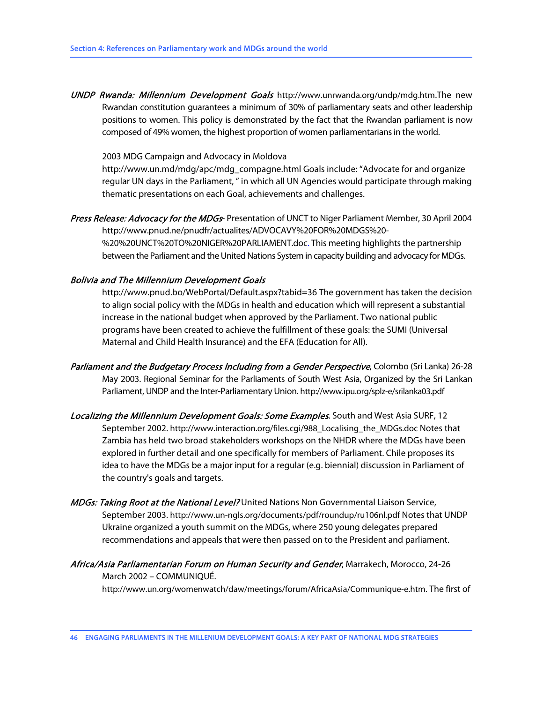UNDP Rwanda: Millennium Development Goals http://www.unrwanda.org/undp/mdg.htm.The new Rwandan constitution guarantees a minimum of 30% of parliamentary seats and other leadership positions to women. This policy is demonstrated by the fact that the Rwandan parliament is now composed of 49% women, the highest proportion of women parliamentarians in the world.

2003 MDG Campaign and Advocacy in Moldova

http://www.un.md/mdg/apc/mdg\_compagne.html Goals include: "Advocate for and organize regular UN days in the Parliament, " in which all UN Agencies would participate through making thematic presentations on each Goal, achievements and challenges.

Press Release: Advocacy for the MDGs- Presentation of UNCT to Niger Parliament Member, 30 April 2004 http://www.pnud.ne/pnudfr/actualites/ADVOCAVY%20FOR%20MDGS%20- %20%20UNCT%20TO%20NIGER%20PARLIAMENT.doc. This meeting highlights the partnership between the Parliament and the United Nations System in capacity building and advocacy for MDGs.

#### Bolivia and The Millennium Development Goals

http://www.pnud.bo/WebPortal/Default.aspx?tabid=36 The government has taken the decision to align social policy with the MDGs in health and education which will represent a substantial increase in the national budget when approved by the Parliament. Two national public programs have been created to achieve the fulfillment of these goals: the SUMI (Universal Maternal and Child Health Insurance) and the EFA (Education for All).

- Parliament and the Budgetary Process Including from a Gender Perspective, Colombo (Sri Lanka) 26-28 May 2003. Regional Seminar for the Parliaments of South West Asia, Organized by the Sri Lankan Parliament, UNDP and the Inter-Parliamentary Union. http://www.ipu.org/splz-e/srilanka03.pdf
- Localizing the Millennium Development Goals: Some Examples. South and West Asia SURF, 12 September 2002. http://www.interaction.org/files.cgi/988 Localising the MDGs.doc Notes that Zambia has held two broad stakeholders workshops on the NHDR where the MDGs have been explored in further detail and one specifically for members of Parliament. Chile proposes its idea to have the MDGs be a major input for a regular (e.g. biennial) discussion in Parliament of the country's goals and targets.
- MDGs: Taking Root at the National Level? United Nations Non Governmental Liaison Service, September 2003. http://www.un-ngls.org/documents/pdf/roundup/ru106nl.pdf Notes that UNDP Ukraine organized a youth summit on the MDGs, where 250 young delegates prepared recommendations and appeals that were then passed on to the President and parliament.
- Africa/Asia Parliamentarian Forum on Human Security and Gender, Marrakech, Morocco, 24-26 March 2002 – COMMUNIQUÉ. http://www.un.org/womenwatch/daw/meetings/forum/AfricaAsia/Communique-e.htm. The first of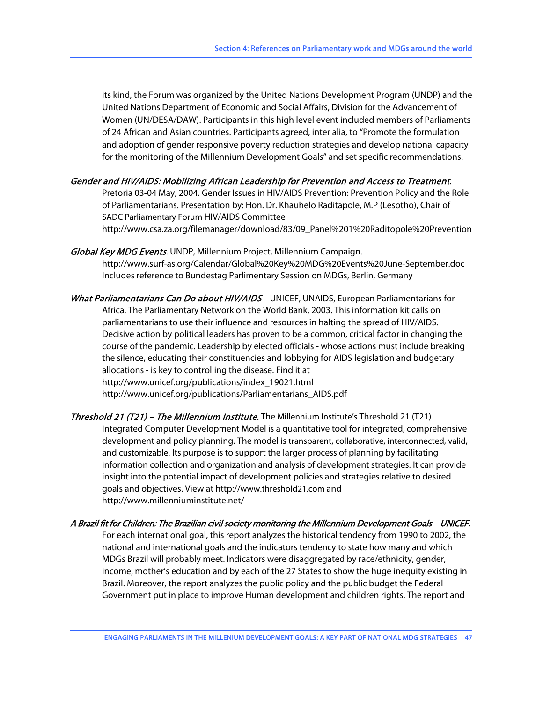its kind, the Forum was organized by the United Nations Development Program (UNDP) and the United Nations Department of Economic and Social Affairs, Division for the Advancement of Women (UN/DESA/DAW). Participants in this high level event included members of Parliaments of 24 African and Asian countries. Participants agreed, inter alia, to "Promote the formulation and adoption of gender responsive poverty reduction strategies and develop national capacity for the monitoring of the Millennium Development Goals" and set specific recommendations.

### Gender and HIV/AIDS: Mobilizing African Leadership for Prevention and Access to Treatment.

Pretoria 03-04 May, 2004. Gender Issues in HIV/AIDS Prevention: Prevention Policy and the Role of Parliamentarians. Presentation by: Hon. Dr. Khauhelo Raditapole, M.P (Lesotho), Chair of SADC Parliamentary Forum HIV/AIDS Committee http://www.csa.za.org/filemanager/download/83/09\_Panel%201%20Raditopole%20Prevention

Global Key MDG Events. UNDP, Millennium Project, Millennium Campaign. http://www.surf-as.org/Calendar/Global%20Key%20MDG%20Events%20June-September.doc Includes reference to Bundestag Parlimentary Session on MDGs, Berlin, Germany

What Parliamentarians Can Do about HIV/AIDS – UNICEF, UNAIDS, European Parliamentarians for Africa, The Parliamentary Network on the World Bank, 2003. This information kit calls on parliamentarians to use their influence and resources in halting the spread of HIV/AIDS. Decisive action by political leaders has proven to be a common, critical factor in changing the course of the pandemic. Leadership by elected officials - whose actions must include breaking the silence, educating their constituencies and lobbying for AIDS legislation and budgetary allocations - is key to controlling the disease. Find it at http://www.unicef.org/publications/index\_19021.html http://www.unicef.org/publications/Parliamentarians\_AIDS.pdf

Threshold 21 (T21) – The Millennium Institute. The Millennium Institute's Threshold 21 (T21) Integrated Computer Development Model is a quantitative tool for integrated, comprehensive development and policy planning. The model is transparent, collaborative, interconnected, valid, and customizable. Its purpose is to support the larger process of planning by facilitating information collection and organization and analysis of development strategies. It can provide insight into the potential impact of development policies and strategies relative to desired goals and objectives. View at http://www.threshold21.com and http://www.millenniuminstitute.net/

#### A Brazil fit for Children: The Brazilian civil society monitoring the Millennium Development Goals – UNICEF.

For each international goal, this report analyzes the historical tendency from 1990 to 2002, the national and international goals and the indicators tendency to state how many and which MDGs Brazil will probably meet. Indicators were disaggregated by race/ethnicity, gender, income, mother's education and by each of the 27 States to show the huge inequity existing in Brazil. Moreover, the report analyzes the public policy and the public budget the Federal Government put in place to improve Human development and children rights. The report and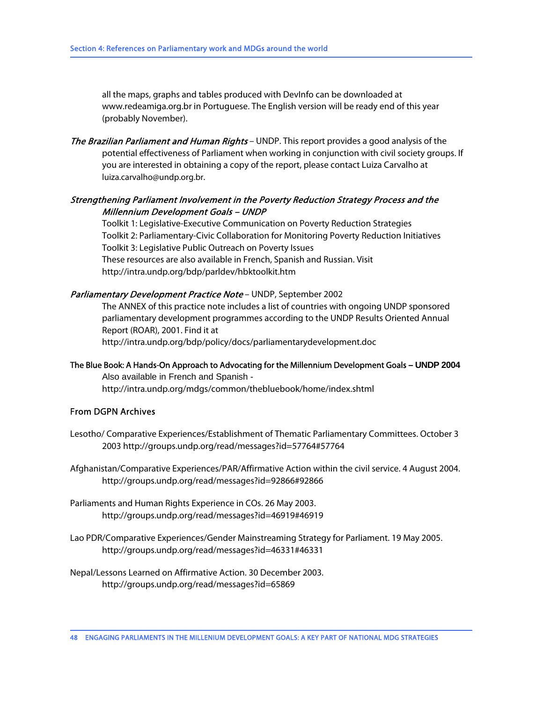all the maps, graphs and tables produced with DevInfo can be downloaded at www.redeamiga.org.br in Portuguese. The English version will be ready end of this year (probably November).

The Brazilian Parliament and Human Rights – UNDP. This report provides a good analysis of the potential effectiveness of Parliament when working in conjunction with civil society groups. If you are interested in obtaining a copy of the report, please contact Luiza Carvalho at luiza.carvalho@undp.org.br.

### Strengthening Parliament Involvement in the Poverty Reduction Strategy Process and the Millennium Development Goals – UNDP

Toolkit 1: Legislative-Executive Communication on Poverty Reduction Strategies Toolkit 2: Parliamentary-Civic Collaboration for Monitoring Poverty Reduction Initiatives Toolkit 3: Legislative Public Outreach on Poverty Issues These resources are also available in French, Spanish and Russian. Visit http://intra.undp.org/bdp/parldev/hbktoolkit.htm

#### Parliamentary Development Practice Note – UNDP, September 2002

The ANNEX of this practice note includes a list of countries with ongoing UNDP sponsored parliamentary development programmes according to the UNDP Results Oriented Annual Report (ROAR), 2001. Find it at http://intra.undp.org/bdp/policy/docs/parliamentarydevelopment.doc

### The Blue Book: A Hands-On Approach to Advocating for the Millennium Development Goals **– UNDP 2004**  Also available in French and Spanish -

http://intra.undp.org/mdgs/common/thebluebook/home/index.shtml

### From DGPN Archives

- Lesotho/ Comparative Experiences/Establishment of Thematic Parliamentary Committees. October 3 2003 http://groups.undp.org/read/messages?id=57764#57764
- Afghanistan/Comparative Experiences/PAR/Affirmative Action within the civil service. 4 August 2004. http://groups.undp.org/read/messages?id=92866#92866
- Parliaments and Human Rights Experience in COs. 26 May 2003. http://groups.undp.org/read/messages?id=46919#46919
- Lao PDR/Comparative Experiences/Gender Mainstreaming Strategy for Parliament. 19 May 2005. http://groups.undp.org/read/messages?id=46331#46331
- Nepal/Lessons Learned on Affirmative Action. 30 December 2003. http://groups.undp.org/read/messages?id=65869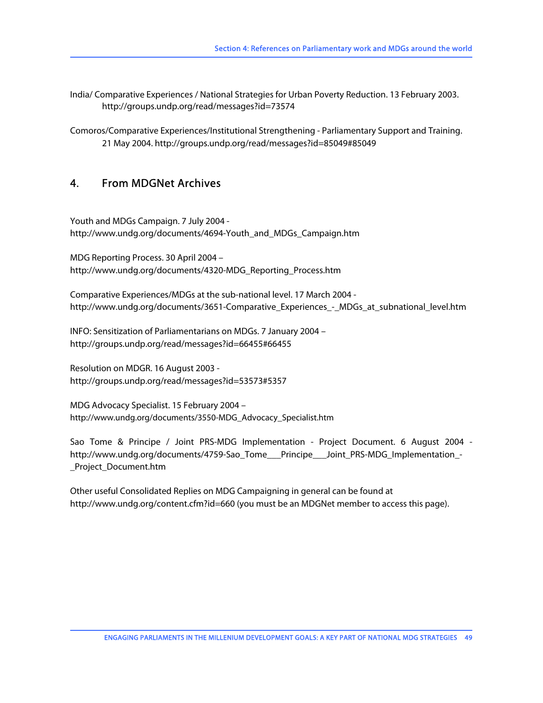India/ Comparative Experiences / National Strategies for Urban Poverty Reduction. 13 February 2003. http://groups.undp.org/read/messages?id=73574

Comoros/Comparative Experiences/Institutional Strengthening - Parliamentary Support and Training. 21 May 2004. http://groups.undp.org/read/messages?id=85049#85049

# 4. From MDGNet Archives

Youth and MDGs Campaign. 7 July 2004 http://www.undg.org/documents/4694-Youth\_and\_MDGs\_Campaign.htm

MDG Reporting Process. 30 April 2004 – http://www.undg.org/documents/4320-MDG\_Reporting\_Process.htm

Comparative Experiences/MDGs at the sub-national level. 17 March 2004 http://www.undg.org/documents/3651-Comparative\_Experiences\_-\_MDGs\_at\_subnational\_level.htm

INFO: Sensitization of Parliamentarians on MDGs. 7 January 2004 – http://groups.undp.org/read/messages?id=66455#66455

Resolution on MDGR. 16 August 2003 http://groups.undp.org/read/messages?id=53573#5357

MDG Advocacy Specialist. 15 February 2004 – http://www.undg.org/documents/3550-MDG\_Advocacy\_Specialist.htm

Sao Tome & Principe / Joint PRS-MDG Implementation - Project Document. 6 August 2004 http://www.undg.org/documents/4759-Sao\_Tome\_\_\_Principe\_\_\_Joint\_PRS-MDG\_Implementation\_- \_Project\_Document.htm

Other useful Consolidated Replies on MDG Campaigning in general can be found at http://www.undg.org/content.cfm?id=660 (you must be an MDGNet member to access this page).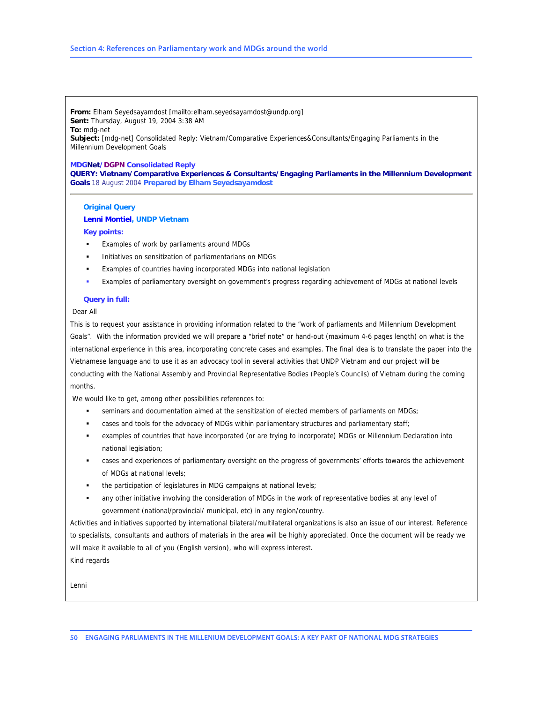**From:** Elham Seyedsayamdost [mailto:elham.seyedsayamdost@undp.org] **Sent:** Thursday, August 19, 2004 3:38 AM **To:** mdg-net **Subject:** [mdg-net] Consolidated Reply: Vietnam/Comparative Experiences&Consultants/Engaging Parliaments in the Millennium Development Goals

**MDGNet/DGPN Consolidated Reply**

**QUERY: Vietnam/Comparative Experiences & Consultants/Engaging Parliaments in the Millennium Development Goals** 18 August 2004 **Prepared by Elham Seyedsayamdost**

#### **Original Query**

**Lenni Montiel, UNDP Vietnam**

**Key points:** 

- Examples of work by parliaments around MDGs
- Initiatives on sensitization of parliamentarians on MDGs
- Examples of countries having incorporated MDGs into national legislation
- Examples of parliamentary oversight on government's progress regarding achievement of MDGs at national levels

#### **Query in full:**

#### Dear All

This is to request your assistance in providing information related to the "work of parliaments and Millennium Development Goals". With the information provided we will prepare a "brief note" or hand-out (maximum 4-6 pages length) on what is the international experience in this area, incorporating concrete cases and examples. The final idea is to translate the paper into the Vietnamese language and to use it as an advocacy tool in several activities that UNDP Vietnam and our project will be conducting with the National Assembly and Provincial Representative Bodies (People's Councils) of Vietnam during the coming months.

We would like to get, among other possibilities references to:

- seminars and documentation aimed at the sensitization of elected members of parliaments on MDGs;
- cases and tools for the advocacy of MDGs within parliamentary structures and parliamentary staff;
- examples of countries that have incorporated (or are trying to incorporate) MDGs or Millennium Declaration into national legislation;
- cases and experiences of parliamentary oversight on the progress of governments' efforts towards the achievement of MDGs at national levels;
- the participation of legislatures in MDG campaigns at national levels;
- any other initiative involving the consideration of MDGs in the work of representative bodies at any level of government (national/provincial/ municipal, etc) in any region/country.

Activities and initiatives supported by international bilateral/multilateral organizations is also an issue of our interest. Reference to specialists, consultants and authors of materials in the area will be highly appreciated. Once the document will be ready we will make it available to all of you (English version), who will express interest. Kind regards

Lenni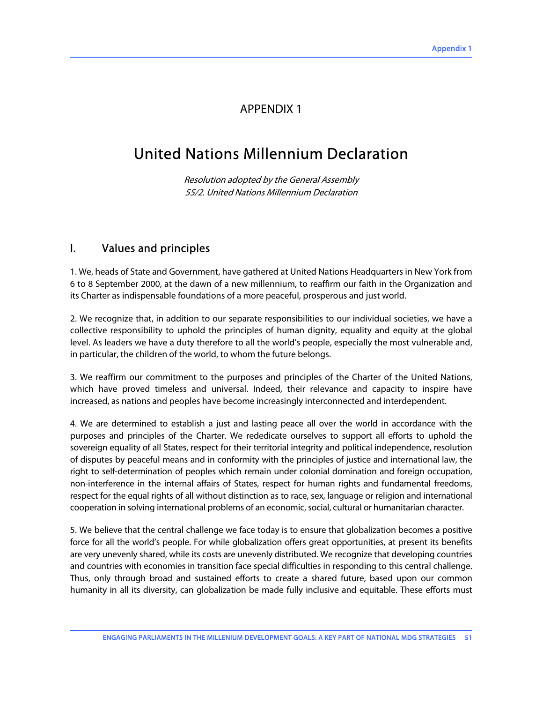# APPENDIX 1

# United Nations Millennium Declaration

Resolution adopted by the General Assembly 55/2. United Nations Millennium Declaration

# I. Values and principles

1. We, heads of State and Government, have gathered at United Nations Headquarters in New York from 6 to 8 September 2000, at the dawn of a new millennium, to reaffirm our faith in the Organization and its Charter as indispensable foundations of a more peaceful, prosperous and just world.

2. We recognize that, in addition to our separate responsibilities to our individual societies, we have a collective responsibility to uphold the principles of human dignity, equality and equity at the global level. As leaders we have a duty therefore to all the world's people, especially the most vulnerable and, in particular, the children of the world, to whom the future belongs.

3. We reaffirm our commitment to the purposes and principles of the Charter of the United Nations, which have proved timeless and universal. Indeed, their relevance and capacity to inspire have increased, as nations and peoples have become increasingly interconnected and interdependent.

4. We are determined to establish a just and lasting peace all over the world in accordance with the purposes and principles of the Charter. We rededicate ourselves to support all efforts to uphold the sovereign equality of all States, respect for their territorial integrity and political independence, resolution of disputes by peaceful means and in conformity with the principles of justice and international law, the right to self-determination of peoples which remain under colonial domination and foreign occupation, non-interference in the internal affairs of States, respect for human rights and fundamental freedoms, respect for the equal rights of all without distinction as to race, sex, language or religion and international cooperation in solving international problems of an economic, social, cultural or humanitarian character.

5. We believe that the central challenge we face today is to ensure that globalization becomes a positive force for all the world's people. For while globalization offers great opportunities, at present its benefits are very unevenly shared, while its costs are unevenly distributed. We recognize that developing countries and countries with economies in transition face special difficulties in responding to this central challenge. Thus, only through broad and sustained efforts to create a shared future, based upon our common humanity in all its diversity, can globalization be made fully inclusive and equitable. These efforts must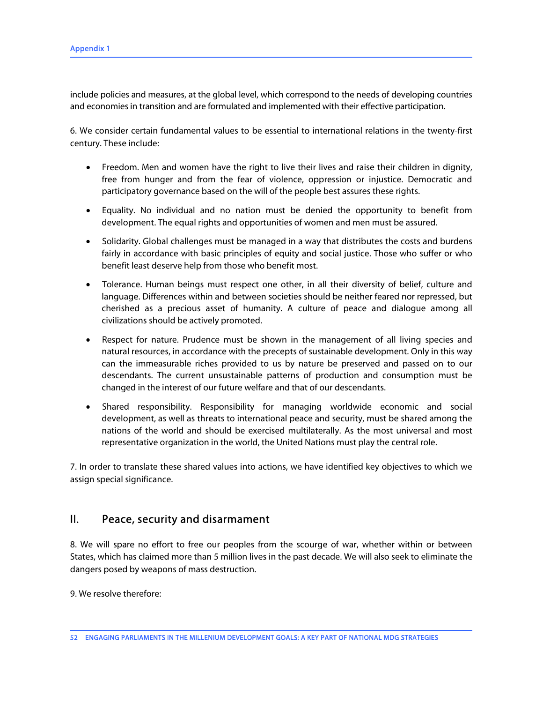include policies and measures, at the global level, which correspond to the needs of developing countries and economies in transition and are formulated and implemented with their effective participation.

6. We consider certain fundamental values to be essential to international relations in the twenty-first century. These include:

- Freedom. Men and women have the right to live their lives and raise their children in dignity, free from hunger and from the fear of violence, oppression or injustice. Democratic and participatory governance based on the will of the people best assures these rights.
- Equality. No individual and no nation must be denied the opportunity to benefit from development. The equal rights and opportunities of women and men must be assured.
- Solidarity. Global challenges must be managed in a way that distributes the costs and burdens fairly in accordance with basic principles of equity and social justice. Those who suffer or who benefit least deserve help from those who benefit most.
- Tolerance. Human beings must respect one other, in all their diversity of belief, culture and language. Differences within and between societies should be neither feared nor repressed, but cherished as a precious asset of humanity. A culture of peace and dialogue among all civilizations should be actively promoted.
- Respect for nature. Prudence must be shown in the management of all living species and natural resources, in accordance with the precepts of sustainable development. Only in this way can the immeasurable riches provided to us by nature be preserved and passed on to our descendants. The current unsustainable patterns of production and consumption must be changed in the interest of our future welfare and that of our descendants.
- Shared responsibility. Responsibility for managing worldwide economic and social development, as well as threats to international peace and security, must be shared among the nations of the world and should be exercised multilaterally. As the most universal and most representative organization in the world, the United Nations must play the central role.

7. In order to translate these shared values into actions, we have identified key objectives to which we assign special significance.

### II. Peace, security and disarmament

8. We will spare no effort to free our peoples from the scourge of war, whether within or between States, which has claimed more than 5 million lives in the past decade. We will also seek to eliminate the dangers posed by weapons of mass destruction.

9. We resolve therefore: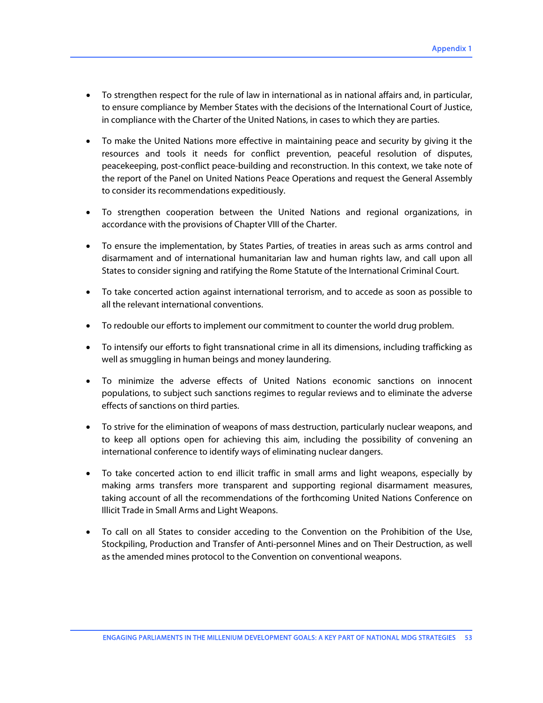- To strengthen respect for the rule of law in international as in national affairs and, in particular, to ensure compliance by Member States with the decisions of the International Court of Justice, in compliance with the Charter of the United Nations, in cases to which they are parties.
- To make the United Nations more effective in maintaining peace and security by giving it the resources and tools it needs for conflict prevention, peaceful resolution of disputes, peacekeeping, post-conflict peace-building and reconstruction. In this context, we take note of the report of the Panel on United Nations Peace Operations and request the General Assembly to consider its recommendations expeditiously.
- To strengthen cooperation between the United Nations and regional organizations, in accordance with the provisions of Chapter VIII of the Charter.
- To ensure the implementation, by States Parties, of treaties in areas such as arms control and disarmament and of international humanitarian law and human rights law, and call upon all States to consider signing and ratifying the Rome Statute of the International Criminal Court.
- To take concerted action against international terrorism, and to accede as soon as possible to all the relevant international conventions.
- To redouble our efforts to implement our commitment to counter the world drug problem.
- To intensify our efforts to fight transnational crime in all its dimensions, including trafficking as well as smuggling in human beings and money laundering.
- To minimize the adverse effects of United Nations economic sanctions on innocent populations, to subject such sanctions regimes to regular reviews and to eliminate the adverse effects of sanctions on third parties.
- To strive for the elimination of weapons of mass destruction, particularly nuclear weapons, and to keep all options open for achieving this aim, including the possibility of convening an international conference to identify ways of eliminating nuclear dangers.
- To take concerted action to end illicit traffic in small arms and light weapons, especially by making arms transfers more transparent and supporting regional disarmament measures, taking account of all the recommendations of the forthcoming United Nations Conference on Illicit Trade in Small Arms and Light Weapons.
- To call on all States to consider acceding to the Convention on the Prohibition of the Use, Stockpiling, Production and Transfer of Anti-personnel Mines and on Their Destruction, as well as the amended mines protocol to the Convention on conventional weapons.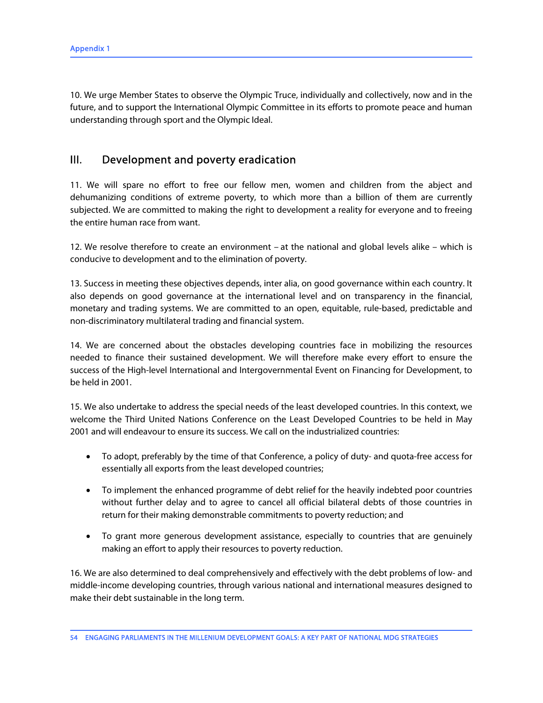10. We urge Member States to observe the Olympic Truce, individually and collectively, now and in the future, and to support the International Olympic Committee in its efforts to promote peace and human understanding through sport and the Olympic Ideal.

## III. Development and poverty eradication

11. We will spare no effort to free our fellow men, women and children from the abject and dehumanizing conditions of extreme poverty, to which more than a billion of them are currently subjected. We are committed to making the right to development a reality for everyone and to freeing the entire human race from want.

12. We resolve therefore to create an environment – at the national and global levels alike – which is conducive to development and to the elimination of poverty.

13. Success in meeting these objectives depends, inter alia, on good governance within each country. It also depends on good governance at the international level and on transparency in the financial, monetary and trading systems. We are committed to an open, equitable, rule-based, predictable and non-discriminatory multilateral trading and financial system.

14. We are concerned about the obstacles developing countries face in mobilizing the resources needed to finance their sustained development. We will therefore make every effort to ensure the success of the High-level International and Intergovernmental Event on Financing for Development, to be held in 2001.

15. We also undertake to address the special needs of the least developed countries. In this context, we welcome the Third United Nations Conference on the Least Developed Countries to be held in May 2001 and will endeavour to ensure its success. We call on the industrialized countries:

- To adopt, preferably by the time of that Conference, a policy of duty- and quota-free access for essentially all exports from the least developed countries;
- To implement the enhanced programme of debt relief for the heavily indebted poor countries without further delay and to agree to cancel all official bilateral debts of those countries in return for their making demonstrable commitments to poverty reduction; and
- To grant more generous development assistance, especially to countries that are genuinely making an effort to apply their resources to poverty reduction.

16. We are also determined to deal comprehensively and effectively with the debt problems of low- and middle-income developing countries, through various national and international measures designed to make their debt sustainable in the long term.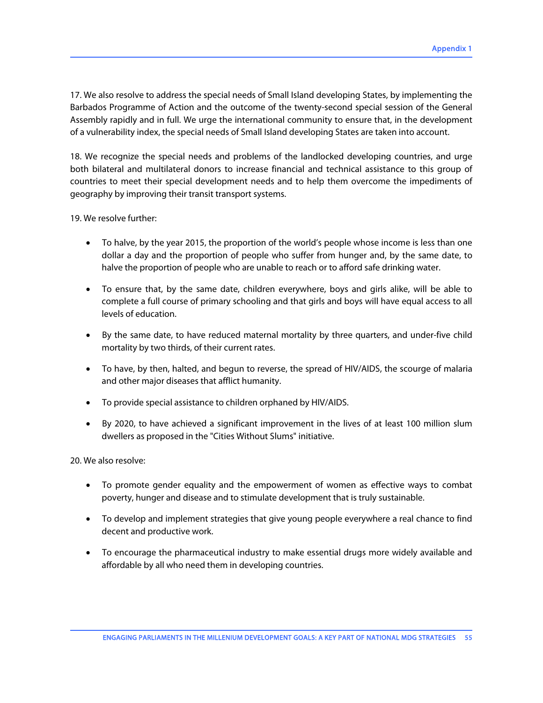17. We also resolve to address the special needs of Small Island developing States, by implementing the Barbados Programme of Action and the outcome of the twenty-second special session of the General Assembly rapidly and in full. We urge the international community to ensure that, in the development of a vulnerability index, the special needs of Small Island developing States are taken into account.

18. We recognize the special needs and problems of the landlocked developing countries, and urge both bilateral and multilateral donors to increase financial and technical assistance to this group of countries to meet their special development needs and to help them overcome the impediments of geography by improving their transit transport systems.

### 19. We resolve further:

- To halve, by the year 2015, the proportion of the world's people whose income is less than one dollar a day and the proportion of people who suffer from hunger and, by the same date, to halve the proportion of people who are unable to reach or to afford safe drinking water.
- To ensure that, by the same date, children everywhere, boys and girls alike, will be able to complete a full course of primary schooling and that girls and boys will have equal access to all levels of education.
- By the same date, to have reduced maternal mortality by three quarters, and under-five child mortality by two thirds, of their current rates.
- To have, by then, halted, and begun to reverse, the spread of HIV/AIDS, the scourge of malaria and other major diseases that afflict humanity.
- To provide special assistance to children orphaned by HIV/AIDS.
- By 2020, to have achieved a significant improvement in the lives of at least 100 million slum dwellers as proposed in the "Cities Without Slums" initiative.

20. We also resolve:

- To promote gender equality and the empowerment of women as effective ways to combat poverty, hunger and disease and to stimulate development that is truly sustainable.
- To develop and implement strategies that give young people everywhere a real chance to find decent and productive work.
- To encourage the pharmaceutical industry to make essential drugs more widely available and affordable by all who need them in developing countries.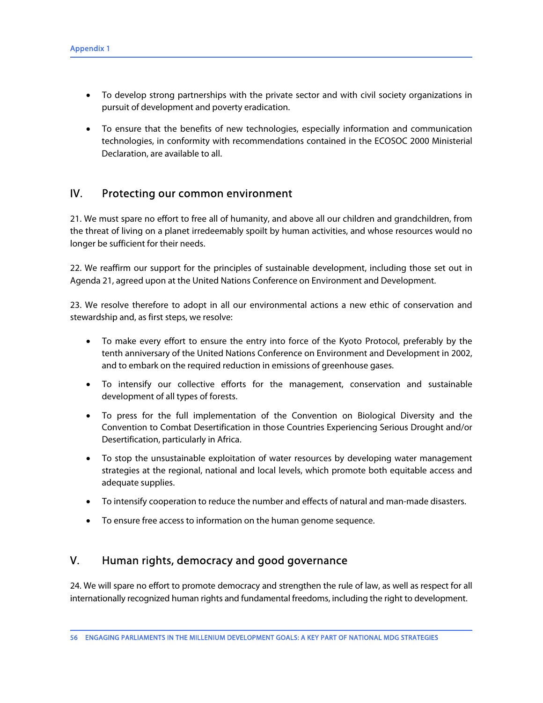- To develop strong partnerships with the private sector and with civil society organizations in pursuit of development and poverty eradication.
- To ensure that the benefits of new technologies, especially information and communication technologies, in conformity with recommendations contained in the ECOSOC 2000 Ministerial Declaration, are available to all.

# IV. Protecting our common environment

21. We must spare no effort to free all of humanity, and above all our children and grandchildren, from the threat of living on a planet irredeemably spoilt by human activities, and whose resources would no longer be sufficient for their needs.

22. We reaffirm our support for the principles of sustainable development, including those set out in Agenda 21, agreed upon at the United Nations Conference on Environment and Development.

23. We resolve therefore to adopt in all our environmental actions a new ethic of conservation and stewardship and, as first steps, we resolve:

- To make every effort to ensure the entry into force of the Kyoto Protocol, preferably by the tenth anniversary of the United Nations Conference on Environment and Development in 2002, and to embark on the required reduction in emissions of greenhouse gases.
- To intensify our collective efforts for the management, conservation and sustainable development of all types of forests.
- To press for the full implementation of the Convention on Biological Diversity and the Convention to Combat Desertification in those Countries Experiencing Serious Drought and/or Desertification, particularly in Africa.
- To stop the unsustainable exploitation of water resources by developing water management strategies at the regional, national and local levels, which promote both equitable access and adequate supplies.
- To intensify cooperation to reduce the number and effects of natural and man-made disasters.
- To ensure free access to information on the human genome sequence.

# V. Human rights, democracy and good governance

24. We will spare no effort to promote democracy and strengthen the rule of law, as well as respect for all internationally recognized human rights and fundamental freedoms, including the right to development.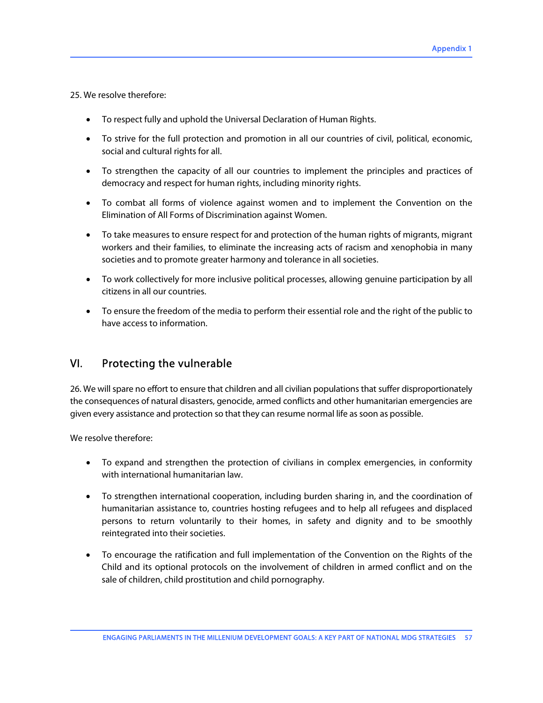25. We resolve therefore:

- To respect fully and uphold the Universal Declaration of Human Rights.
- To strive for the full protection and promotion in all our countries of civil, political, economic, social and cultural rights for all.
- To strengthen the capacity of all our countries to implement the principles and practices of democracy and respect for human rights, including minority rights.
- To combat all forms of violence against women and to implement the Convention on the Elimination of All Forms of Discrimination against Women.
- To take measures to ensure respect for and protection of the human rights of migrants, migrant workers and their families, to eliminate the increasing acts of racism and xenophobia in many societies and to promote greater harmony and tolerance in all societies.
- To work collectively for more inclusive political processes, allowing genuine participation by all citizens in all our countries.
- To ensure the freedom of the media to perform their essential role and the right of the public to have access to information.

### VI. Protecting the vulnerable

26. We will spare no effort to ensure that children and all civilian populations that suffer disproportionately the consequences of natural disasters, genocide, armed conflicts and other humanitarian emergencies are given every assistance and protection so that they can resume normal life as soon as possible.

We resolve therefore:

- To expand and strengthen the protection of civilians in complex emergencies, in conformity with international humanitarian law.
- To strengthen international cooperation, including burden sharing in, and the coordination of humanitarian assistance to, countries hosting refugees and to help all refugees and displaced persons to return voluntarily to their homes, in safety and dignity and to be smoothly reintegrated into their societies.
- To encourage the ratification and full implementation of the Convention on the Rights of the Child and its optional protocols on the involvement of children in armed conflict and on the sale of children, child prostitution and child pornography.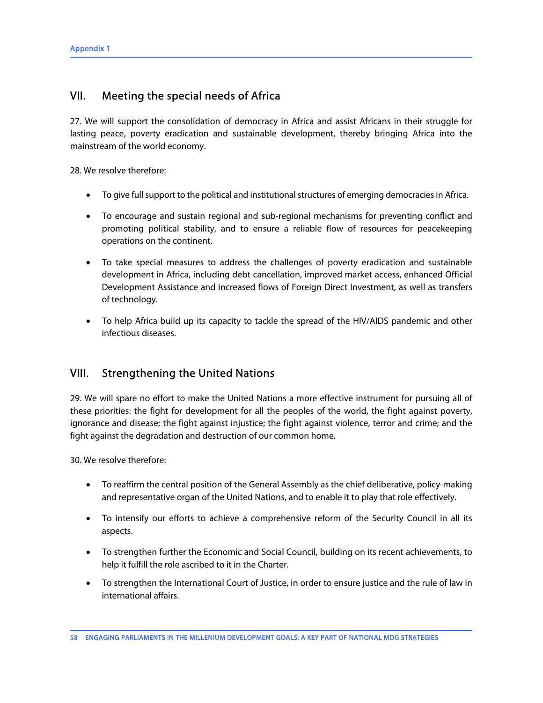### VII. Meeting the special needs of Africa

27. We will support the consolidation of democracy in Africa and assist Africans in their struggle for lasting peace, poverty eradication and sustainable development, thereby bringing Africa into the mainstream of the world economy.

28. We resolve therefore:

- To give full support to the political and institutional structures of emerging democracies in Africa.
- To encourage and sustain regional and sub-regional mechanisms for preventing conflict and promoting political stability, and to ensure a reliable flow of resources for peacekeeping operations on the continent.
- To take special measures to address the challenges of poverty eradication and sustainable development in Africa, including debt cancellation, improved market access, enhanced Official Development Assistance and increased flows of Foreign Direct Investment, as well as transfers of technology.
- To help Africa build up its capacity to tackle the spread of the HIV/AIDS pandemic and other infectious diseases.

### VIII. Strengthening the United Nations

29. We will spare no effort to make the United Nations a more effective instrument for pursuing all of these priorities: the fight for development for all the peoples of the world, the fight against poverty, ignorance and disease; the fight against injustice; the fight against violence, terror and crime; and the fight against the degradation and destruction of our common home.

30. We resolve therefore:

- To reaffirm the central position of the General Assembly as the chief deliberative, policy-making and representative organ of the United Nations, and to enable it to play that role effectively.
- To intensify our efforts to achieve a comprehensive reform of the Security Council in all its aspects.
- To strengthen further the Economic and Social Council, building on its recent achievements, to help it fulfill the role ascribed to it in the Charter.
- To strengthen the International Court of Justice, in order to ensure justice and the rule of law in international affairs.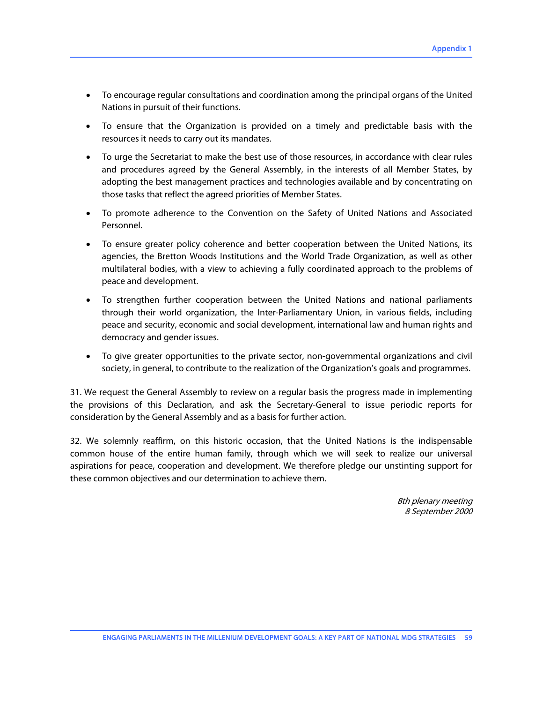- To encourage regular consultations and coordination among the principal organs of the United Nations in pursuit of their functions.
- To ensure that the Organization is provided on a timely and predictable basis with the resources it needs to carry out its mandates.
- To urge the Secretariat to make the best use of those resources, in accordance with clear rules and procedures agreed by the General Assembly, in the interests of all Member States, by adopting the best management practices and technologies available and by concentrating on those tasks that reflect the agreed priorities of Member States.
- To promote adherence to the Convention on the Safety of United Nations and Associated Personnel.
- To ensure greater policy coherence and better cooperation between the United Nations, its agencies, the Bretton Woods Institutions and the World Trade Organization, as well as other multilateral bodies, with a view to achieving a fully coordinated approach to the problems of peace and development.
- To strengthen further cooperation between the United Nations and national parliaments through their world organization, the Inter-Parliamentary Union, in various fields, including peace and security, economic and social development, international law and human rights and democracy and gender issues.
- To give greater opportunities to the private sector, non-governmental organizations and civil society, in general, to contribute to the realization of the Organization's goals and programmes.

31. We request the General Assembly to review on a regular basis the progress made in implementing the provisions of this Declaration, and ask the Secretary-General to issue periodic reports for consideration by the General Assembly and as a basis for further action.

32. We solemnly reaffirm, on this historic occasion, that the United Nations is the indispensable common house of the entire human family, through which we will seek to realize our universal aspirations for peace, cooperation and development. We therefore pledge our unstinting support for these common objectives and our determination to achieve them.

> 8th plenary meeting 8 September 2000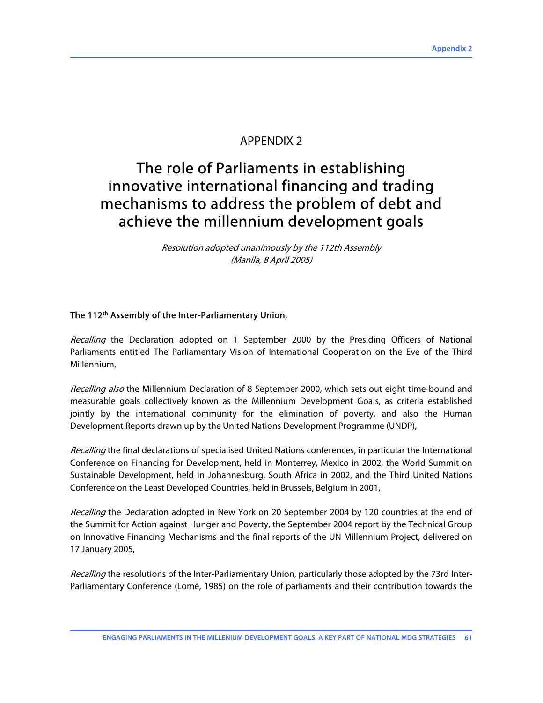# APPENDIX 2

# The role of Parliaments in establishing innovative international financing and trading mechanisms to address the problem of debt and achieve the millennium development goals

Resolution adopted unanimously by the 112th Assembly (Manila, 8 April 2005)

### The 112<sup>th</sup> Assembly of the Inter-Parliamentary Union,

Recalling the Declaration adopted on 1 September 2000 by the Presiding Officers of National Parliaments entitled The Parliamentary Vision of International Cooperation on the Eve of the Third Millennium,

Recalling also the Millennium Declaration of 8 September 2000, which sets out eight time-bound and measurable goals collectively known as the Millennium Development Goals, as criteria established jointly by the international community for the elimination of poverty, and also the Human Development Reports drawn up by the United Nations Development Programme (UNDP),

Recalling the final declarations of specialised United Nations conferences, in particular the International Conference on Financing for Development, held in Monterrey, Mexico in 2002, the World Summit on Sustainable Development, held in Johannesburg, South Africa in 2002, and the Third United Nations Conference on the Least Developed Countries, held in Brussels, Belgium in 2001,

Recalling the Declaration adopted in New York on 20 September 2004 by 120 countries at the end of the Summit for Action against Hunger and Poverty, the September 2004 report by the Technical Group on Innovative Financing Mechanisms and the final reports of the UN Millennium Project, delivered on 17 January 2005,

Recalling the resolutions of the Inter-Parliamentary Union, particularly those adopted by the 73rd Inter-Parliamentary Conference (Lomé, 1985) on the role of parliaments and their contribution towards the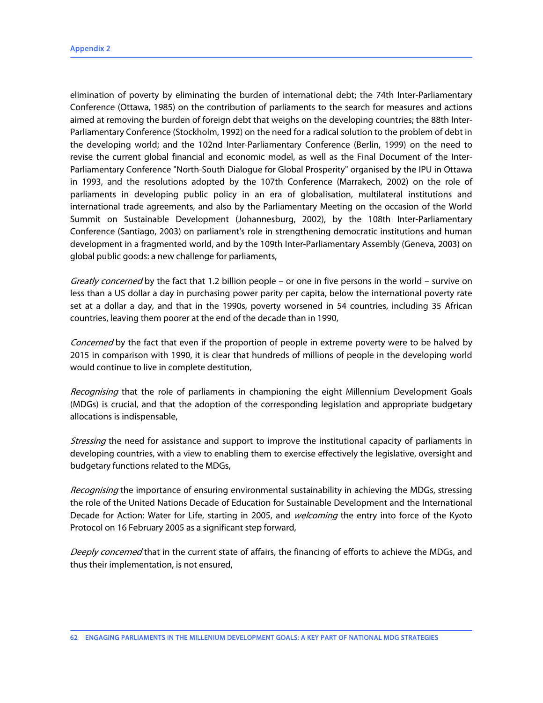elimination of poverty by eliminating the burden of international debt; the 74th Inter-Parliamentary Conference (Ottawa, 1985) on the contribution of parliaments to the search for measures and actions aimed at removing the burden of foreign debt that weighs on the developing countries; the 88th Inter-Parliamentary Conference (Stockholm, 1992) on the need for a radical solution to the problem of debt in the developing world; and the 102nd Inter-Parliamentary Conference (Berlin, 1999) on the need to revise the current global financial and economic model, as well as the Final Document of the Inter-Parliamentary Conference "North-South Dialogue for Global Prosperity" organised by the IPU in Ottawa in 1993, and the resolutions adopted by the 107th Conference (Marrakech, 2002) on the role of parliaments in developing public policy in an era of globalisation, multilateral institutions and international trade agreements, and also by the Parliamentary Meeting on the occasion of the World Summit on Sustainable Development (Johannesburg, 2002), by the 108th Inter-Parliamentary Conference (Santiago, 2003) on parliament's role in strengthening democratic institutions and human development in a fragmented world, and by the 109th Inter-Parliamentary Assembly (Geneva, 2003) on global public goods: a new challenge for parliaments,

Greatly concerned by the fact that 1.2 billion people – or one in five persons in the world – survive on less than a US dollar a day in purchasing power parity per capita, below the international poverty rate set at a dollar a day, and that in the 1990s, poverty worsened in 54 countries, including 35 African countries, leaving them poorer at the end of the decade than in 1990,

Concerned by the fact that even if the proportion of people in extreme poverty were to be halved by 2015 in comparison with 1990, it is clear that hundreds of millions of people in the developing world would continue to live in complete destitution,

Recognising that the role of parliaments in championing the eight Millennium Development Goals (MDGs) is crucial, and that the adoption of the corresponding legislation and appropriate budgetary allocations is indispensable,

*Stressing* the need for assistance and support to improve the institutional capacity of parliaments in developing countries, with a view to enabling them to exercise effectively the legislative, oversight and budgetary functions related to the MDGs,

Recognising the importance of ensuring environmental sustainability in achieving the MDGs, stressing the role of the United Nations Decade of Education for Sustainable Development and the International Decade for Action: Water for Life, starting in 2005, and *welcoming* the entry into force of the Kyoto Protocol on 16 February 2005 as a significant step forward,

Deeply concerned that in the current state of affairs, the financing of efforts to achieve the MDGs, and thus their implementation, is not ensured,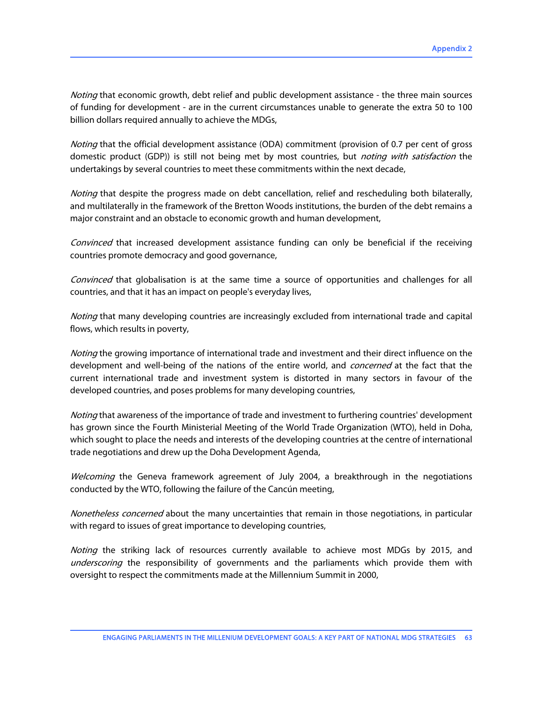Noting that economic growth, debt relief and public development assistance - the three main sources of funding for development - are in the current circumstances unable to generate the extra 50 to 100 billion dollars required annually to achieve the MDGs,

Noting that the official development assistance (ODA) commitment (provision of 0.7 per cent of gross domestic product (GDP)) is still not being met by most countries, but *noting with satisfaction* the undertakings by several countries to meet these commitments within the next decade,

Noting that despite the progress made on debt cancellation, relief and rescheduling both bilaterally, and multilaterally in the framework of the Bretton Woods institutions, the burden of the debt remains a major constraint and an obstacle to economic growth and human development,

Convinced that increased development assistance funding can only be beneficial if the receiving countries promote democracy and good governance,

Convinced that globalisation is at the same time a source of opportunities and challenges for all countries, and that it has an impact on people's everyday lives,

Noting that many developing countries are increasingly excluded from international trade and capital flows, which results in poverty,

Noting the growing importance of international trade and investment and their direct influence on the development and well-being of the nations of the entire world, and *concerned* at the fact that the current international trade and investment system is distorted in many sectors in favour of the developed countries, and poses problems for many developing countries,

Noting that awareness of the importance of trade and investment to furthering countries' development has grown since the Fourth Ministerial Meeting of the World Trade Organization (WTO), held in Doha, which sought to place the needs and interests of the developing countries at the centre of international trade negotiations and drew up the Doha Development Agenda,

Welcoming the Geneva framework agreement of July 2004, a breakthrough in the negotiations conducted by the WTO, following the failure of the Cancún meeting,

Nonetheless concerned about the many uncertainties that remain in those negotiations, in particular with regard to issues of great importance to developing countries,

Noting the striking lack of resources currently available to achieve most MDGs by 2015, and underscoring the responsibility of governments and the parliaments which provide them with oversight to respect the commitments made at the Millennium Summit in 2000,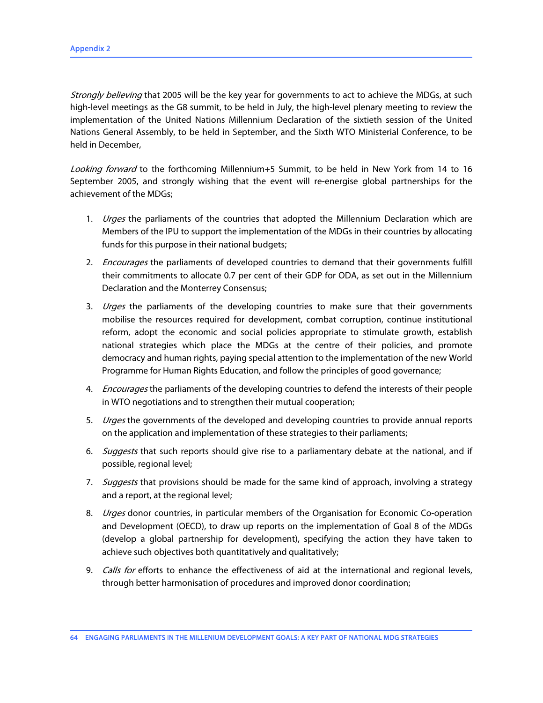Strongly believing that 2005 will be the key year for governments to act to achieve the MDGs, at such high-level meetings as the G8 summit, to be held in July, the high-level plenary meeting to review the implementation of the United Nations Millennium Declaration of the sixtieth session of the United Nations General Assembly, to be held in September, and the Sixth WTO Ministerial Conference, to be held in December,

Looking forward to the forthcoming Millennium+5 Summit, to be held in New York from 14 to 16 September 2005, and strongly wishing that the event will re-energise global partnerships for the achievement of the MDGs;

- 1. Urges the parliaments of the countries that adopted the Millennium Declaration which are Members of the IPU to support the implementation of the MDGs in their countries by allocating funds for this purpose in their national budgets;
- 2. *Encourages* the parliaments of developed countries to demand that their governments fulfill their commitments to allocate 0.7 per cent of their GDP for ODA, as set out in the Millennium Declaration and the Monterrey Consensus;
- 3. Urges the parliaments of the developing countries to make sure that their governments mobilise the resources required for development, combat corruption, continue institutional reform, adopt the economic and social policies appropriate to stimulate growth, establish national strategies which place the MDGs at the centre of their policies, and promote democracy and human rights, paying special attention to the implementation of the new World Programme for Human Rights Education, and follow the principles of good governance;
- 4. *Encourages* the parliaments of the developing countries to defend the interests of their people in WTO negotiations and to strengthen their mutual cooperation;
- 5. Urges the governments of the developed and developing countries to provide annual reports on the application and implementation of these strategies to their parliaments;
- 6. Suggests that such reports should give rise to a parliamentary debate at the national, and if possible, regional level;
- 7. Suggests that provisions should be made for the same kind of approach, involving a strategy and a report, at the regional level;
- 8. *Urges* donor countries, in particular members of the Organisation for Economic Co-operation and Development (OECD), to draw up reports on the implementation of Goal 8 of the MDGs (develop a global partnership for development), specifying the action they have taken to achieve such objectives both quantitatively and qualitatively;
- 9. Calls for efforts to enhance the effectiveness of aid at the international and regional levels, through better harmonisation of procedures and improved donor coordination;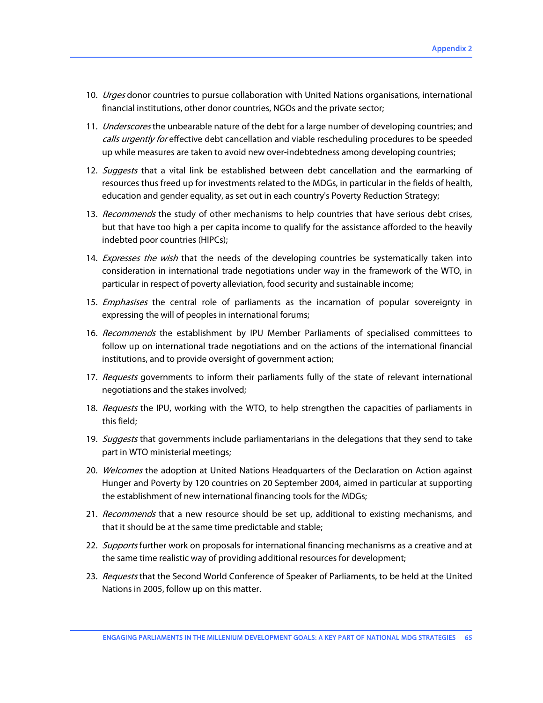- 10. Urges donor countries to pursue collaboration with United Nations organisations, international financial institutions, other donor countries, NGOs and the private sector;
- 11. *Underscores* the unbearable nature of the debt for a large number of developing countries; and calls urgently for effective debt cancellation and viable rescheduling procedures to be speeded up while measures are taken to avoid new over-indebtedness among developing countries;
- 12. Suggests that a vital link be established between debt cancellation and the earmarking of resources thus freed up for investments related to the MDGs, in particular in the fields of health, education and gender equality, as set out in each country's Poverty Reduction Strategy;
- 13. Recommends the study of other mechanisms to help countries that have serious debt crises, but that have too high a per capita income to qualify for the assistance afforded to the heavily indebted poor countries (HIPCs);
- 14. Expresses the wish that the needs of the developing countries be systematically taken into consideration in international trade negotiations under way in the framework of the WTO, in particular in respect of poverty alleviation, food security and sustainable income;
- 15. *Emphasises* the central role of parliaments as the incarnation of popular sovereignty in expressing the will of peoples in international forums;
- 16. Recommends the establishment by IPU Member Parliaments of specialised committees to follow up on international trade negotiations and on the actions of the international financial institutions, and to provide oversight of government action;
- 17. Requests governments to inform their parliaments fully of the state of relevant international negotiations and the stakes involved;
- 18. Requests the IPU, working with the WTO, to help strengthen the capacities of parliaments in this field;
- 19. Suggests that governments include parliamentarians in the delegations that they send to take part in WTO ministerial meetings;
- 20. Welcomes the adoption at United Nations Headquarters of the Declaration on Action against Hunger and Poverty by 120 countries on 20 September 2004, aimed in particular at supporting the establishment of new international financing tools for the MDGs;
- 21. Recommends that a new resource should be set up, additional to existing mechanisms, and that it should be at the same time predictable and stable;
- 22. Supports further work on proposals for international financing mechanisms as a creative and at the same time realistic way of providing additional resources for development;
- 23. Requests that the Second World Conference of Speaker of Parliaments, to be held at the United Nations in 2005, follow up on this matter.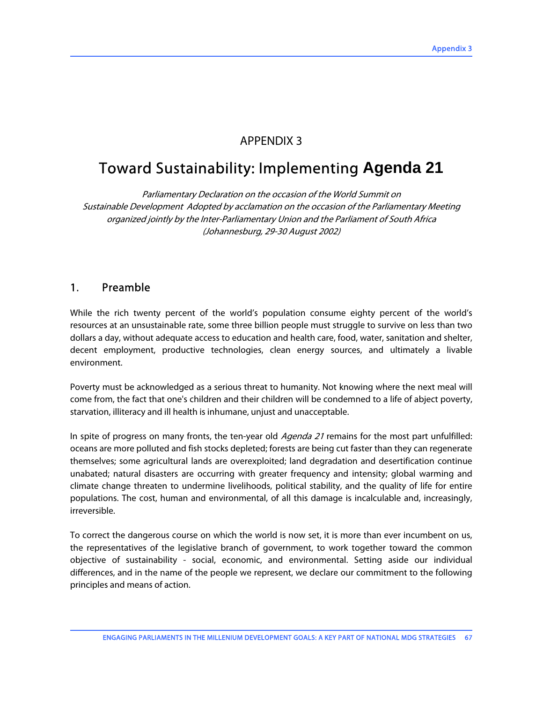## APPENDIX 3

## Toward Sustainability: Implementing **Agenda 21**

Parliamentary Declaration on the occasion of the World Summit on Sustainable Development Adopted by acclamation on the occasion of the Parliamentary Meeting organized jointly by the Inter-Parliamentary Union and the Parliament of South Africa (Johannesburg, 29-30 August 2002)

## 1. Preamble

While the rich twenty percent of the world's population consume eighty percent of the world's resources at an unsustainable rate, some three billion people must struggle to survive on less than two dollars a day, without adequate access to education and health care, food, water, sanitation and shelter, decent employment, productive technologies, clean energy sources, and ultimately a livable environment.

Poverty must be acknowledged as a serious threat to humanity. Not knowing where the next meal will come from, the fact that one's children and their children will be condemned to a life of abject poverty, starvation, illiteracy and ill health is inhumane, unjust and unacceptable.

In spite of progress on many fronts, the ten-year old *Agenda 21* remains for the most part unfulfilled: oceans are more polluted and fish stocks depleted; forests are being cut faster than they can regenerate themselves; some agricultural lands are overexploited; land degradation and desertification continue unabated; natural disasters are occurring with greater frequency and intensity; global warming and climate change threaten to undermine livelihoods, political stability, and the quality of life for entire populations. The cost, human and environmental, of all this damage is incalculable and, increasingly, irreversible.

To correct the dangerous course on which the world is now set, it is more than ever incumbent on us, the representatives of the legislative branch of government, to work together toward the common objective of sustainability - social, economic, and environmental. Setting aside our individual differences, and in the name of the people we represent, we declare our commitment to the following principles and means of action.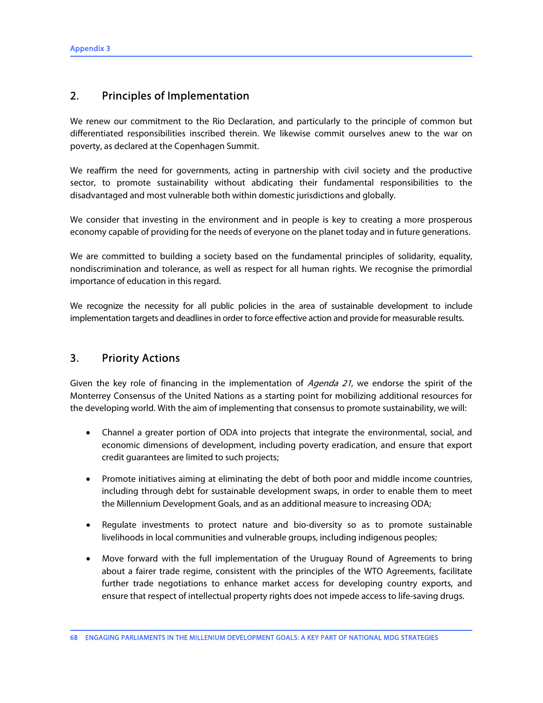### 2. Principles of Implementation

We renew our commitment to the Rio Declaration, and particularly to the principle of common but differentiated responsibilities inscribed therein. We likewise commit ourselves anew to the war on poverty, as declared at the Copenhagen Summit.

We reaffirm the need for governments, acting in partnership with civil society and the productive sector, to promote sustainability without abdicating their fundamental responsibilities to the disadvantaged and most vulnerable both within domestic jurisdictions and globally.

We consider that investing in the environment and in people is key to creating a more prosperous economy capable of providing for the needs of everyone on the planet today and in future generations.

We are committed to building a society based on the fundamental principles of solidarity, equality, nondiscrimination and tolerance, as well as respect for all human rights. We recognise the primordial importance of education in this regard.

We recognize the necessity for all public policies in the area of sustainable development to include implementation targets and deadlines in order to force effective action and provide for measurable results.

## 3. Priority Actions

Given the key role of financing in the implementation of *Agenda 21*, we endorse the spirit of the Monterrey Consensus of the United Nations as a starting point for mobilizing additional resources for the developing world. With the aim of implementing that consensus to promote sustainability, we will:

- Channel a greater portion of ODA into projects that integrate the environmental, social, and economic dimensions of development, including poverty eradication, and ensure that export credit guarantees are limited to such projects;
- Promote initiatives aiming at eliminating the debt of both poor and middle income countries, including through debt for sustainable development swaps, in order to enable them to meet the Millennium Development Goals, and as an additional measure to increasing ODA;
- Regulate investments to protect nature and bio-diversity so as to promote sustainable livelihoods in local communities and vulnerable groups, including indigenous peoples;
- Move forward with the full implementation of the Uruguay Round of Agreements to bring about a fairer trade regime, consistent with the principles of the WTO Agreements, facilitate further trade negotiations to enhance market access for developing country exports, and ensure that respect of intellectual property rights does not impede access to life-saving drugs.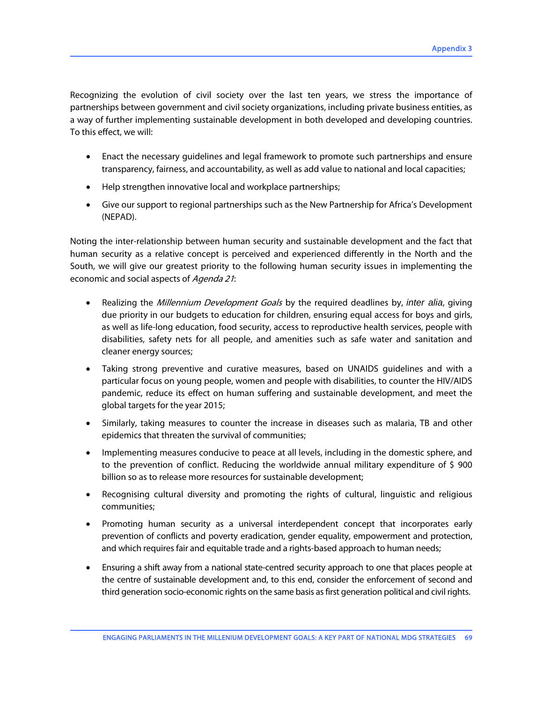Recognizing the evolution of civil society over the last ten years, we stress the importance of partnerships between government and civil society organizations, including private business entities, as a way of further implementing sustainable development in both developed and developing countries. To this effect, we will:

- Enact the necessary guidelines and legal framework to promote such partnerships and ensure transparency, fairness, and accountability, as well as add value to national and local capacities;
- Help strengthen innovative local and workplace partnerships;
- Give our support to regional partnerships such as the New Partnership for Africa's Development (NEPAD).

Noting the inter-relationship between human security and sustainable development and the fact that human security as a relative concept is perceived and experienced differently in the North and the South, we will give our greatest priority to the following human security issues in implementing the economic and social aspects of Agenda 21:

- Realizing the Millennium Development Goals by the required deadlines by, *inter alia*, giving due priority in our budgets to education for children, ensuring equal access for boys and girls, as well as life-long education, food security, access to reproductive health services, people with disabilities, safety nets for all people, and amenities such as safe water and sanitation and cleaner energy sources;
- Taking strong preventive and curative measures, based on UNAIDS guidelines and with a particular focus on young people, women and people with disabilities, to counter the HIV/AIDS pandemic, reduce its effect on human suffering and sustainable development, and meet the global targets for the year 2015;
- Similarly, taking measures to counter the increase in diseases such as malaria, TB and other epidemics that threaten the survival of communities;
- Implementing measures conducive to peace at all levels, including in the domestic sphere, and to the prevention of conflict. Reducing the worldwide annual military expenditure of \$ 900 billion so as to release more resources for sustainable development;
- Recognising cultural diversity and promoting the rights of cultural, linguistic and religious communities;
- Promoting human security as a universal interdependent concept that incorporates early prevention of conflicts and poverty eradication, gender equality, empowerment and protection, and which requires fair and equitable trade and a rights-based approach to human needs;
- Ensuring a shift away from a national state-centred security approach to one that places people at the centre of sustainable development and, to this end, consider the enforcement of second and third generation socio-economic rights on the same basis as first generation political and civil rights.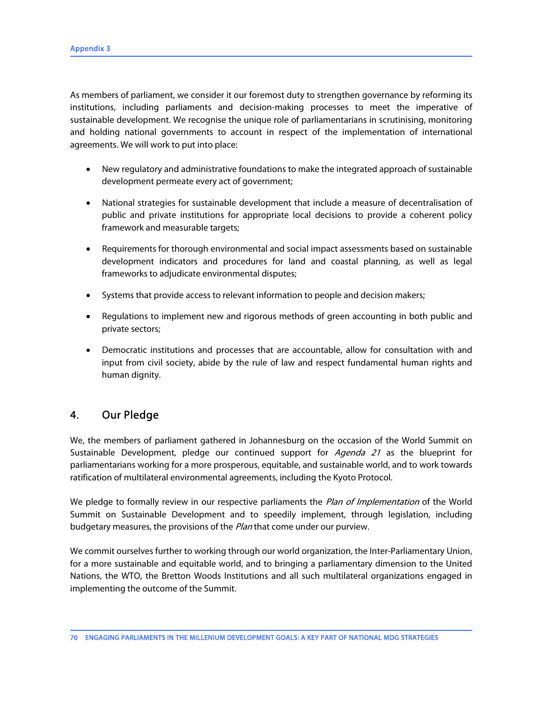As members of parliament, we consider it our foremost duty to strengthen governance by reforming its institutions, including parliaments and decision-making processes to meet the imperative of sustainable development. We recognise the unique role of parliamentarians in scrutinising, monitoring and holding national governments to account in respect of the implementation of international agreements. We will work to put into place:

- New regulatory and administrative foundations to make the integrated approach of sustainable development permeate every act of government;
- National strategies for sustainable development that include a measure of decentralisation of public and private institutions for appropriate local decisions to provide a coherent policy framework and measurable targets;
- Requirements for thorough environmental and social impact assessments based on sustainable development indicators and procedures for land and coastal planning, as well as legal frameworks to adjudicate environmental disputes;
- Systems that provide access to relevant information to people and decision makers;
- Regulations to implement new and rigorous methods of green accounting in both public and private sectors;
- Democratic institutions and processes that are accountable, allow for consultation with and input from civil society, abide by the rule of law and respect fundamental human rights and human dignity.

## 4. Our Pledge

We, the members of parliament gathered in Johannesburg on the occasion of the World Summit on Sustainable Development, pledge our continued support for Agenda 21 as the blueprint for parliamentarians working for a more prosperous, equitable, and sustainable world, and to work towards ratification of multilateral environmental agreements, including the Kyoto Protocol.

We pledge to formally review in our respective parliaments the Plan of Implementation of the World Summit on Sustainable Development and to speedily implement, through legislation, including budgetary measures, the provisions of the Plan that come under our purview.

We commit ourselves further to working through our world organization, the Inter-Parliamentary Union, for a more sustainable and equitable world, and to bringing a parliamentary dimension to the United Nations, the WTO, the Bretton Woods Institutions and all such multilateral organizations engaged in implementing the outcome of the Summit.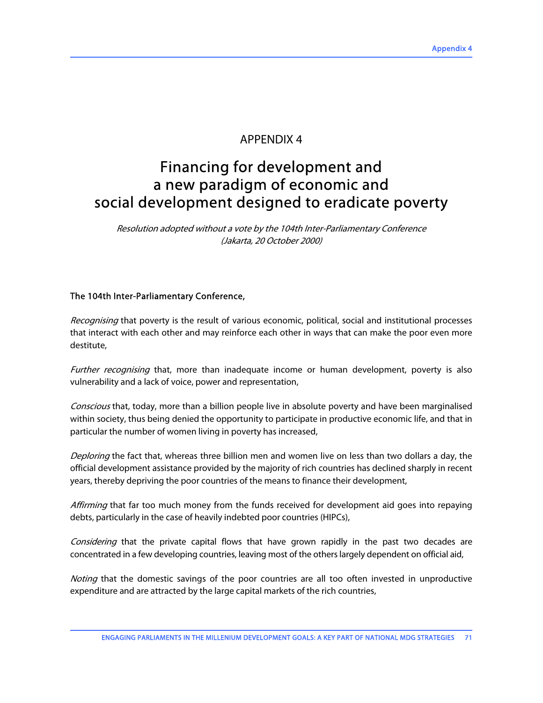## APPENDIX 4

# Financing for development and a new paradigm of economic and social development designed to eradicate poverty

Resolution adopted without a vote by the 104th Inter-Parliamentary Conference (Jakarta, 20 October 2000)

#### The 104th Inter-Parliamentary Conference,

Recognising that poverty is the result of various economic, political, social and institutional processes that interact with each other and may reinforce each other in ways that can make the poor even more destitute,

Further recognising that, more than inadequate income or human development, poverty is also vulnerability and a lack of voice, power and representation,

Conscious that, today, more than a billion people live in absolute poverty and have been marginalised within society, thus being denied the opportunity to participate in productive economic life, and that in particular the number of women living in poverty has increased,

Deploring the fact that, whereas three billion men and women live on less than two dollars a day, the official development assistance provided by the majority of rich countries has declined sharply in recent years, thereby depriving the poor countries of the means to finance their development,

Affirming that far too much money from the funds received for development aid goes into repaying debts, particularly in the case of heavily indebted poor countries (HIPCs),

Considering that the private capital flows that have grown rapidly in the past two decades are concentrated in a few developing countries, leaving most of the others largely dependent on official aid,

*Noting* that the domestic savings of the poor countries are all too often invested in unproductive expenditure and are attracted by the large capital markets of the rich countries,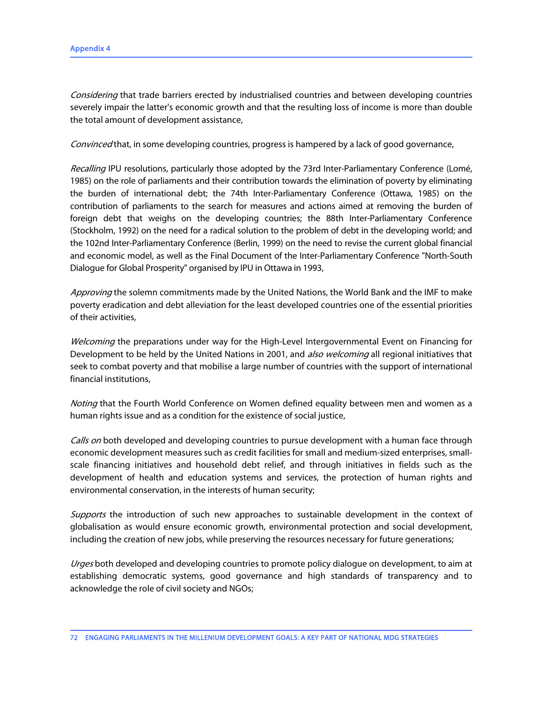Considering that trade barriers erected by industrialised countries and between developing countries severely impair the latter's economic growth and that the resulting loss of income is more than double the total amount of development assistance,

Convinced that, in some developing countries, progress is hampered by a lack of good governance,

Recalling IPU resolutions, particularly those adopted by the 73rd Inter-Parliamentary Conference (Lomé, 1985) on the role of parliaments and their contribution towards the elimination of poverty by eliminating the burden of international debt; the 74th Inter-Parliamentary Conference (Ottawa, 1985) on the contribution of parliaments to the search for measures and actions aimed at removing the burden of foreign debt that weighs on the developing countries; the 88th Inter-Parliamentary Conference (Stockholm, 1992) on the need for a radical solution to the problem of debt in the developing world; and the 102nd Inter-Parliamentary Conference (Berlin, 1999) on the need to revise the current global financial and economic model, as well as the Final Document of the Inter-Parliamentary Conference "North-South Dialogue for Global Prosperity" organised by IPU in Ottawa in 1993,

Approving the solemn commitments made by the United Nations, the World Bank and the IMF to make poverty eradication and debt alleviation for the least developed countries one of the essential priorities of their activities,

Welcoming the preparations under way for the High-Level Intergovernmental Event on Financing for Development to be held by the United Nations in 2001, and *also welcoming* all regional initiatives that seek to combat poverty and that mobilise a large number of countries with the support of international financial institutions,

Noting that the Fourth World Conference on Women defined equality between men and women as a human rights issue and as a condition for the existence of social justice,

Calls on both developed and developing countries to pursue development with a human face through economic development measures such as credit facilities for small and medium-sized enterprises, smallscale financing initiatives and household debt relief, and through initiatives in fields such as the development of health and education systems and services, the protection of human rights and environmental conservation, in the interests of human security;

Supports the introduction of such new approaches to sustainable development in the context of globalisation as would ensure economic growth, environmental protection and social development, including the creation of new jobs, while preserving the resources necessary for future generations;

Urges both developed and developing countries to promote policy dialogue on development, to aim at establishing democratic systems, good governance and high standards of transparency and to acknowledge the role of civil society and NGOs;

72 ENGAGING PARLIAMENTS IN THE MILLENIUM DEVELOPMENT GOALS: A KEY PART OF NATIONAL MDG STRATEGIES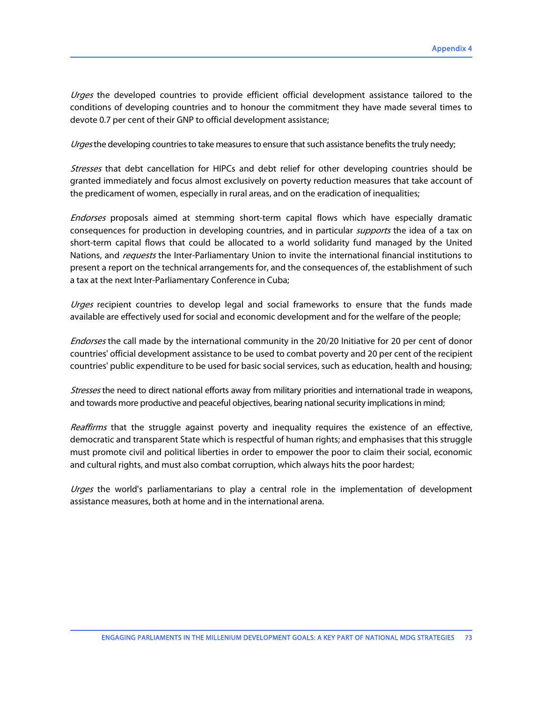Urges the developed countries to provide efficient official development assistance tailored to the conditions of developing countries and to honour the commitment they have made several times to devote 0.7 per cent of their GNP to official development assistance;

Urges the developing countries to take measures to ensure that such assistance benefits the truly needy;

*Stresses* that debt cancellation for HIPCs and debt relief for other developing countries should be granted immediately and focus almost exclusively on poverty reduction measures that take account of the predicament of women, especially in rural areas, and on the eradication of inequalities;

Endorses proposals aimed at stemming short-term capital flows which have especially dramatic consequences for production in developing countries, and in particular *supports* the idea of a tax on short-term capital flows that could be allocated to a world solidarity fund managed by the United Nations, and *requests* the Inter-Parliamentary Union to invite the international financial institutions to present a report on the technical arrangements for, and the consequences of, the establishment of such a tax at the next Inter-Parliamentary Conference in Cuba;

Urges recipient countries to develop legal and social frameworks to ensure that the funds made available are effectively used for social and economic development and for the welfare of the people;

Endorses the call made by the international community in the 20/20 Initiative for 20 per cent of donor countries' official development assistance to be used to combat poverty and 20 per cent of the recipient countries' public expenditure to be used for basic social services, such as education, health and housing;

Stresses the need to direct national efforts away from military priorities and international trade in weapons, and towards more productive and peaceful objectives, bearing national security implications in mind;

*Reaffirms* that the struggle against poverty and inequality requires the existence of an effective, democratic and transparent State which is respectful of human rights; and emphasises that this struggle must promote civil and political liberties in order to empower the poor to claim their social, economic and cultural rights, and must also combat corruption, which always hits the poor hardest;

Urges the world's parliamentarians to play a central role in the implementation of development assistance measures, both at home and in the international arena.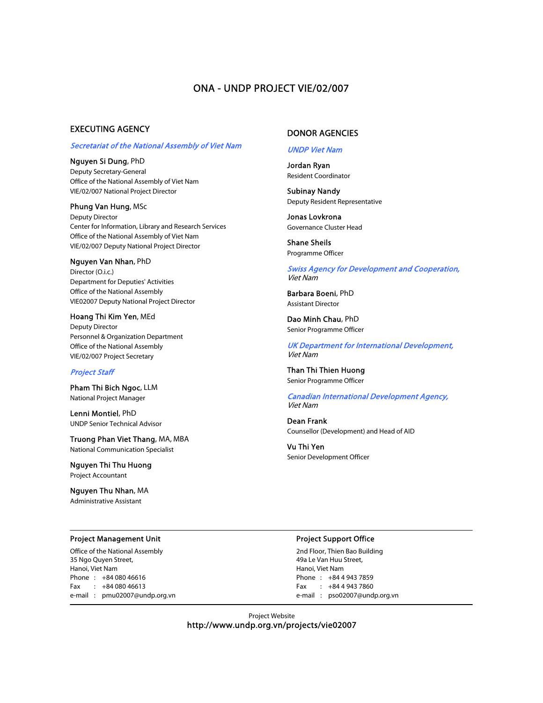## ONA - UNDP PROJECT VIE/02/007

#### EXECUTING AGENCY

#### Secretariat of the National Assembly of Viet Nam

Nguyen Si Dung, PhD Deputy Secretary-General Office of the National Assembly of Viet Nam VIE/02/007 National Project Director

#### Phung Van Hung, MSc

Deputy Director Center for Information, Library and Research Services Office of the National Assembly of Viet Nam VIE/02/007 Deputy National Project Director

#### Nguyen Van Nhan, PhD

Director (O.i.c.) Department for Deputies' Activities Office of the National Assembly VIE02007 Deputy National Project Director

## Hoang Thi Kim Yen, MEd Deputy Director

Personnel & Organization Department Office of the National Assembly VIE/02/007 Project Secretary

#### Project Staff

Pham Thi Bich Ngoc, LLM National Project Manager

Lenni Montiel, PhD UNDP Senior Technical Advisor

Truong Phan Viet Thang, MA, MBA National Communication Specialist

Nguyen Thi Thu Huong Project Accountant

Nguyen Thu Nhan, MA Administrative Assistant

#### $\overline{a}$ Project Management Unit

 Office of the National Assembly 35 Ngo Quyen Street, Hanoi, Viet Nam Phone : +84 080 46616 e-mail : pmu02007@undp.org.vn Fax : +84 080 46613

#### DONOR AGENCIES

#### UNDP Viet Nam

Jordan Ryan Resident Coordinator

Subinay Nandy Deputy Resident Representative

Jonas Lovkrona Governance Cluster Head

Shane Sheils Programme Officer

Swiss Agency for Development and Cooperation, Viet Nam

Barbara Boeni, PhD Assistant Director

Dao Minh Chau, PhD Senior Programme Officer

UK Department for International Development, Viet Nam

Than Thi Thien Huong Senior Programme Officer

Canadian International Development Agency, Viet Nam

Dean Frank Counsellor (Development) and Head of AID

Vu Thi Yen Senior Development Officer

#### Project Support Office

2nd Floor, Thien Bao Building 49a Le Van Huu Street, Hanoi, Viet Nam Phone : +84 4 943 7859 Fax : +84 4 943 7860 e-mail : pso02007@undp.org.vn

Project Website http://www.undp.org.vn/projects/vie02007